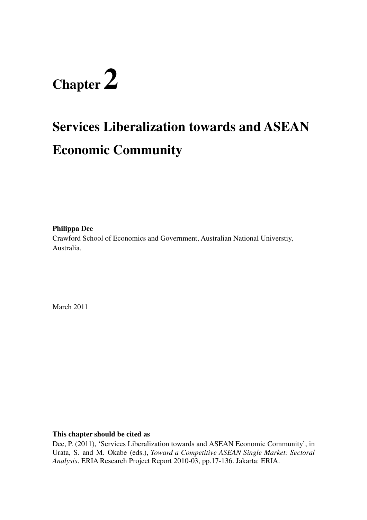# **Chapter 2**

# **Services Liberalization towards and ASEAN Economic Community**

**Philippa Dee** 

Crawford School of Economics and Government, Australian National Universtiy, Australia.

March 2011

#### **This chapter should be cited as**

Dee, P. (2011), 'Services Liberalization towards and ASEAN Economic Community', in Urata, S. and M. Okabe (eds.), *Toward a Competitive ASEAN Single Market: Sectoral Analysis*. ERIA Research Project Report 2010-03, pp.17-136. Jakarta: ERIA.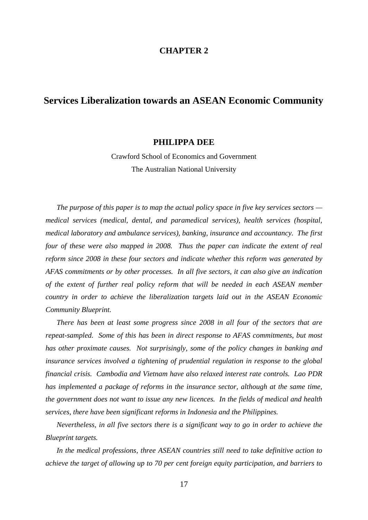#### **CHAPTER 2**

# **Services Liberalization towards an ASEAN Economic Community**

#### **PHILIPPA DEE**

Crawford School of Economics and Government The Australian National University

*The purpose of this paper is to map the actual policy space in five key services sectors medical services (medical, dental, and paramedical services), health services (hospital, medical laboratory and ambulance services), banking, insurance and accountancy. The first four of these were also mapped in 2008. Thus the paper can indicate the extent of real reform since 2008 in these four sectors and indicate whether this reform was generated by AFAS commitments or by other processes. In all five sectors, it can also give an indication of the extent of further real policy reform that will be needed in each ASEAN member country in order to achieve the liberalization targets laid out in the ASEAN Economic Community Blueprint.* 

*There has been at least some progress since 2008 in all four of the sectors that are repeat-sampled. Some of this has been in direct response to AFAS commitments, but most has other proximate causes. Not surprisingly, some of the policy changes in banking and insurance services involved a tightening of prudential regulation in response to the global financial crisis. Cambodia and Vietnam have also relaxed interest rate controls. Lao PDR has implemented a package of reforms in the insurance sector, although at the same time, the government does not want to issue any new licences. In the fields of medical and health services, there have been significant reforms in Indonesia and the Philippines.* 

*Nevertheless, in all five sectors there is a significant way to go in order to achieve the Blueprint targets.* 

*In the medical professions, three ASEAN countries still need to take definitive action to achieve the target of allowing up to 70 per cent foreign equity participation, and barriers to*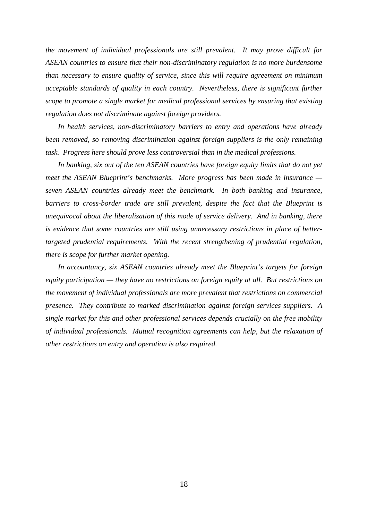*the movement of individual professionals are still prevalent. It may prove difficult for ASEAN countries to ensure that their non-discriminatory regulation is no more burdensome than necessary to ensure quality of service, since this will require agreement on minimum acceptable standards of quality in each country. Nevertheless, there is significant further scope to promote a single market for medical professional services by ensuring that existing regulation does not discriminate against foreign providers.* 

*In health services, non-discriminatory barriers to entry and operations have already been removed, so removing discrimination against foreign suppliers is the only remaining task. Progress here should prove less controversial than in the medical professions.* 

*In banking, six out of the ten ASEAN countries have foreign equity limits that do not yet meet the ASEAN Blueprint's benchmarks. More progress has been made in insurance seven ASEAN countries already meet the benchmark. In both banking and insurance, barriers to cross-border trade are still prevalent, despite the fact that the Blueprint is unequivocal about the liberalization of this mode of service delivery. And in banking, there is evidence that some countries are still using unnecessary restrictions in place of bettertargeted prudential requirements. With the recent strengthening of prudential regulation, there is scope for further market opening.* 

*In accountancy, six ASEAN countries already meet the Blueprint's targets for foreign equity participation — they have no restrictions on foreign equity at all. But restrictions on the movement of individual professionals are more prevalent that restrictions on commercial presence. They contribute to marked discrimination against foreign services suppliers. A single market for this and other professional services depends crucially on the free mobility of individual professionals. Mutual recognition agreements can help, but the relaxation of other restrictions on entry and operation is also required.* 

18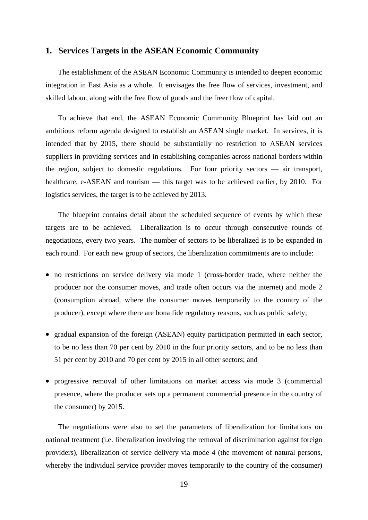#### **1. Services Targets in the ASEAN Economic Community**

The establishment of the ASEAN Economic Community is intended to deepen economic integration in East Asia as a whole. It envisages the free flow of services, investment, and skilled labour, along with the free flow of goods and the freer flow of capital.

To achieve that end, the ASEAN Economic Community Blueprint has laid out an ambitious reform agenda designed to establish an ASEAN single market. In services, it is intended that by 2015, there should be substantially no restriction to ASEAN services suppliers in providing services and in establishing companies across national borders within the region, subject to domestic regulations. For four priority sectors — air transport, healthcare, e-ASEAN and tourism — this target was to be achieved earlier, by 2010. For logistics services, the target is to be achieved by 2013.

The blueprint contains detail about the scheduled sequence of events by which these targets are to be achieved. Liberalization is to occur through consecutive rounds of negotiations, every two years. The number of sectors to be liberalized is to be expanded in each round. For each new group of sectors, the liberalization commitments are to include:

- no restrictions on service delivery via mode 1 (cross-border trade, where neither the producer nor the consumer moves, and trade often occurs via the internet) and mode 2 (consumption abroad, where the consumer moves temporarily to the country of the producer), except where there are bona fide regulatory reasons, such as public safety;
- gradual expansion of the foreign (ASEAN) equity participation permitted in each sector, to be no less than 70 per cent by 2010 in the four priority sectors, and to be no less than 51 per cent by 2010 and 70 per cent by 2015 in all other sectors; and
- progressive removal of other limitations on market access via mode 3 (commercial presence, where the producer sets up a permanent commercial presence in the country of the consumer) by 2015.

The negotiations were also to set the parameters of liberalization for limitations on national treatment (i.e. liberalization involving the removal of discrimination against foreign providers), liberalization of service delivery via mode 4 (the movement of natural persons, whereby the individual service provider moves temporarily to the country of the consumer)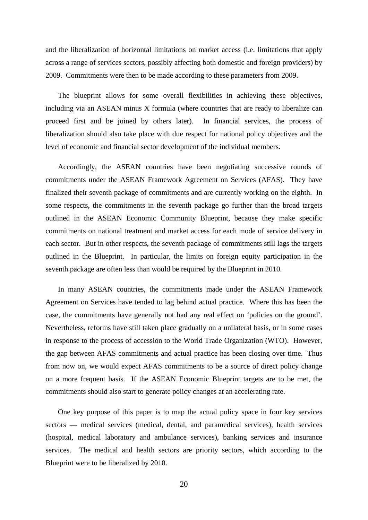and the liberalization of horizontal limitations on market access (i.e. limitations that apply across a range of services sectors, possibly affecting both domestic and foreign providers) by 2009. Commitments were then to be made according to these parameters from 2009.

The blueprint allows for some overall flexibilities in achieving these objectives, including via an ASEAN minus X formula (where countries that are ready to liberalize can proceed first and be joined by others later). In financial services, the process of liberalization should also take place with due respect for national policy objectives and the level of economic and financial sector development of the individual members.

Accordingly, the ASEAN countries have been negotiating successive rounds of commitments under the ASEAN Framework Agreement on Services (AFAS). They have finalized their seventh package of commitments and are currently working on the eighth. In some respects, the commitments in the seventh package go further than the broad targets outlined in the ASEAN Economic Community Blueprint, because they make specific commitments on national treatment and market access for each mode of service delivery in each sector. But in other respects, the seventh package of commitments still lags the targets outlined in the Blueprint. In particular, the limits on foreign equity participation in the seventh package are often less than would be required by the Blueprint in 2010.

In many ASEAN countries, the commitments made under the ASEAN Framework Agreement on Services have tended to lag behind actual practice. Where this has been the case, the commitments have generally not had any real effect on 'policies on the ground'. Nevertheless, reforms have still taken place gradually on a unilateral basis, or in some cases in response to the process of accession to the World Trade Organization (WTO). However, the gap between AFAS commitments and actual practice has been closing over time. Thus from now on, we would expect AFAS commitments to be a source of direct policy change on a more frequent basis. If the ASEAN Economic Blueprint targets are to be met, the commitments should also start to generate policy changes at an accelerating rate.

One key purpose of this paper is to map the actual policy space in four key services sectors — medical services (medical, dental, and paramedical services), health services (hospital, medical laboratory and ambulance services), banking services and insurance services. The medical and health sectors are priority sectors, which according to the Blueprint were to be liberalized by 2010.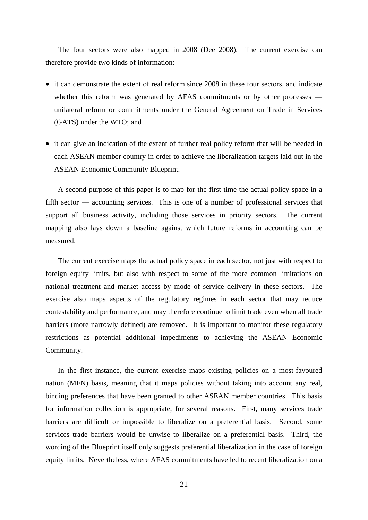The four sectors were also mapped in 2008 (Dee 2008). The current exercise can therefore provide two kinds of information:

- it can demonstrate the extent of real reform since 2008 in these four sectors, and indicate whether this reform was generated by AFAS commitments or by other processes unilateral reform or commitments under the General Agreement on Trade in Services (GATS) under the WTO; and
- it can give an indication of the extent of further real policy reform that will be needed in each ASEAN member country in order to achieve the liberalization targets laid out in the ASEAN Economic Community Blueprint.

A second purpose of this paper is to map for the first time the actual policy space in a fifth sector — accounting services. This is one of a number of professional services that support all business activity, including those services in priority sectors. The current mapping also lays down a baseline against which future reforms in accounting can be measured.

The current exercise maps the actual policy space in each sector, not just with respect to foreign equity limits, but also with respect to some of the more common limitations on national treatment and market access by mode of service delivery in these sectors. The exercise also maps aspects of the regulatory regimes in each sector that may reduce contestability and performance, and may therefore continue to limit trade even when all trade barriers (more narrowly defined) are removed. It is important to monitor these regulatory restrictions as potential additional impediments to achieving the ASEAN Economic Community.

In the first instance, the current exercise maps existing policies on a most-favoured nation (MFN) basis, meaning that it maps policies without taking into account any real, binding preferences that have been granted to other ASEAN member countries. This basis for information collection is appropriate, for several reasons. First, many services trade barriers are difficult or impossible to liberalize on a preferential basis. Second, some services trade barriers would be unwise to liberalize on a preferential basis. Third, the wording of the Blueprint itself only suggests preferential liberalization in the case of foreign equity limits. Nevertheless, where AFAS commitments have led to recent liberalization on a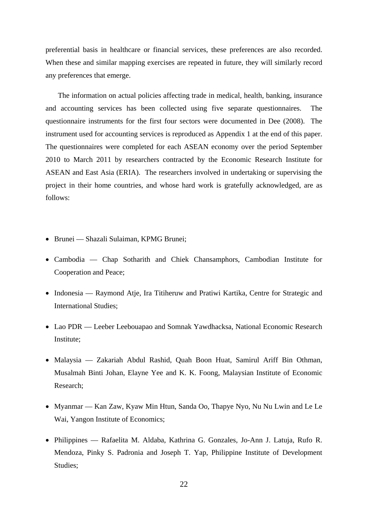preferential basis in healthcare or financial services, these preferences are also recorded. When these and similar mapping exercises are repeated in future, they will similarly record any preferences that emerge.

The information on actual policies affecting trade in medical, health, banking, insurance and accounting services has been collected using five separate questionnaires. The questionnaire instruments for the first four sectors were documented in Dee (2008). The instrument used for accounting services is reproduced as Appendix 1 at the end of this paper. The questionnaires were completed for each ASEAN economy over the period September 2010 to March 2011 by researchers contracted by the Economic Research Institute for ASEAN and East Asia (ERIA). The researchers involved in undertaking or supervising the project in their home countries, and whose hard work is gratefully acknowledged, are as follows:

- Brunei Shazali Sulaiman, KPMG Brunei;
- Cambodia Chap Sotharith and Chiek Chansamphors, Cambodian Institute for Cooperation and Peace;
- Indonesia Raymond Atje, Ira Titiheruw and Pratiwi Kartika, Centre for Strategic and International Studies;
- Lao PDR Leeber Leebouapao and Somnak Yawdhacksa, National Economic Research Institute;
- Malaysia Zakariah Abdul Rashid, Quah Boon Huat, Samirul Ariff Bin Othman, Musalmah Binti Johan, Elayne Yee and K. K. Foong, Malaysian Institute of Economic Research;
- Myanmar Kan Zaw, Kyaw Min Htun, Sanda Oo, Thapye Nyo, Nu Nu Lwin and Le Le Wai, Yangon Institute of Economics;
- Philippines Rafaelita M. Aldaba, Kathrina G. Gonzales, Jo-Ann J. Latuja, Rufo R. Mendoza, Pinky S. Padronia and Joseph T. Yap, Philippine Institute of Development Studies;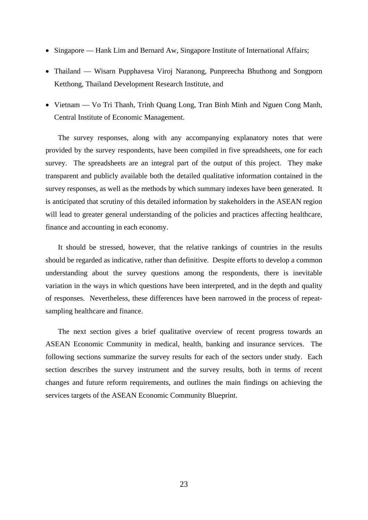- Singapore Hank Lim and Bernard Aw, Singapore Institute of International Affairs;
- Thailand Wisarn Pupphavesa Viroj Naranong, Punpreecha Bhuthong and Songporn Ketthong, Thailand Development Research Institute, and
- Vietnam Vo Tri Thanh, Trinh Quang Long, Tran Binh Minh and Nguen Cong Manh, Central Institute of Economic Management.

The survey responses, along with any accompanying explanatory notes that were provided by the survey respondents, have been compiled in five spreadsheets, one for each survey. The spreadsheets are an integral part of the output of this project. They make transparent and publicly available both the detailed qualitative information contained in the survey responses, as well as the methods by which summary indexes have been generated. It is anticipated that scrutiny of this detailed information by stakeholders in the ASEAN region will lead to greater general understanding of the policies and practices affecting healthcare, finance and accounting in each economy.

It should be stressed, however, that the relative rankings of countries in the results should be regarded as indicative, rather than definitive. Despite efforts to develop a common understanding about the survey questions among the respondents, there is inevitable variation in the ways in which questions have been interpreted, and in the depth and quality of responses. Nevertheless, these differences have been narrowed in the process of repeatsampling healthcare and finance.

The next section gives a brief qualitative overview of recent progress towards an ASEAN Economic Community in medical, health, banking and insurance services. The following sections summarize the survey results for each of the sectors under study. Each section describes the survey instrument and the survey results, both in terms of recent changes and future reform requirements, and outlines the main findings on achieving the services targets of the ASEAN Economic Community Blueprint.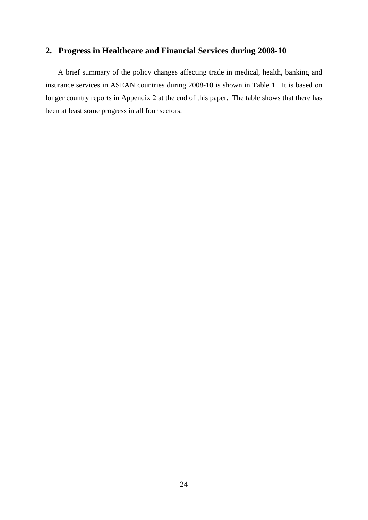#### **2. Progress in Healthcare and Financial Services during 2008-10**

A brief summary of the policy changes affecting trade in medical, health, banking and insurance services in ASEAN countries during 2008-10 is shown in Table 1. It is based on longer country reports in Appendix 2 at the end of this paper. The table shows that there has been at least some progress in all four sectors.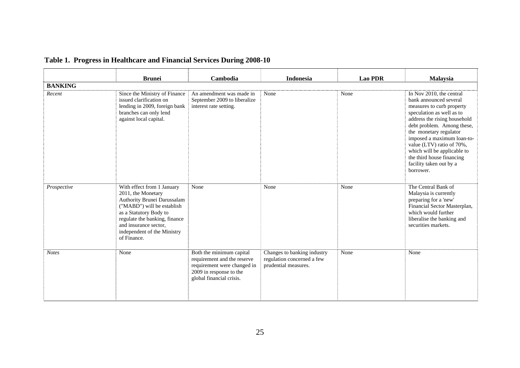|                | <b>Brunei</b>                                                                                                                                                                                                                                   | Cambodia                                                                                                                                      | <b>Indonesia</b>                                                                  | <b>Lao PDR</b> | <b>Malaysia</b>                                                                                                                                                                                                                                                                                                                                                     |
|----------------|-------------------------------------------------------------------------------------------------------------------------------------------------------------------------------------------------------------------------------------------------|-----------------------------------------------------------------------------------------------------------------------------------------------|-----------------------------------------------------------------------------------|----------------|---------------------------------------------------------------------------------------------------------------------------------------------------------------------------------------------------------------------------------------------------------------------------------------------------------------------------------------------------------------------|
| <b>BANKING</b> |                                                                                                                                                                                                                                                 |                                                                                                                                               |                                                                                   |                |                                                                                                                                                                                                                                                                                                                                                                     |
| Recent         | Since the Ministry of Finance<br>issued clarification on<br>lending in 2009, foreign bank<br>branches can only lend<br>against local capital.                                                                                                   | An amendment was made in<br>September 2009 to liberalize<br>interest rate setting.                                                            | None                                                                              | None           | In Nov 2010, the central<br>bank announced several<br>measures to curb property<br>speculation as well as to<br>address the rising household<br>debt problem. Among these,<br>the monetary regulator<br>imposed a maximum loan-to-<br>value (LTV) ratio of 70%,<br>which will be applicable to<br>the third house financing<br>facility taken out by a<br>borrower. |
| Prospective    | With effect from 1 January<br>2011, the Monetary<br>Authority Brunei Darussalam<br>("MABD") will be establish<br>as a Statutory Body to<br>regulate the banking, finance<br>and insurance sector,<br>independent of the Ministry<br>of Finance. | None                                                                                                                                          | None                                                                              | None           | The Central Bank of<br>Malaysia is currently<br>preparing for a 'new'<br>Financial Sector Masterplan,<br>which would further<br>liberalise the banking and<br>securities markets.                                                                                                                                                                                   |
| <b>Notes</b>   | None                                                                                                                                                                                                                                            | Both the minimum capital<br>requirement and the reserve<br>requirement were changed in<br>2009 in response to the<br>global financial crisis. | Changes to banking industry<br>regulation concerned a few<br>prudential measures. | None           | None                                                                                                                                                                                                                                                                                                                                                                |

# **Table 1. Progress in Healthcare and Financial Services During 2008-10**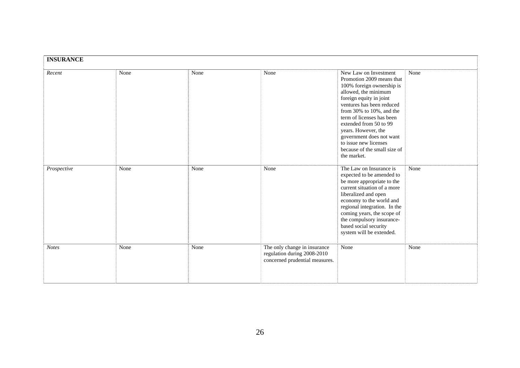| <b>INSURANCE</b> |      |      |                                                                                               |                                                                                                                                                                                                                                                                                                                                                                               |      |
|------------------|------|------|-----------------------------------------------------------------------------------------------|-------------------------------------------------------------------------------------------------------------------------------------------------------------------------------------------------------------------------------------------------------------------------------------------------------------------------------------------------------------------------------|------|
| Recent           | None | None | None                                                                                          | New Law on Investment<br>Promotion 2009 means that<br>100% foreign ownership is<br>allowed, the minimum<br>foreign equity in joint<br>ventures has been reduced<br>from 30% to 10%, and the<br>term of licenses has been<br>extended from 50 to 99<br>years. However, the<br>government does not want<br>to issue new licenses<br>because of the small size of<br>the market. | None |
| Prospective      | None | None | None                                                                                          | The Law on Insurance is<br>expected to be amended to<br>be more appropriate to the<br>current situation of a more<br>liberalized and open<br>economy to the world and<br>regional integration. In the<br>coming years, the scope of<br>the compulsory insurance-<br>based social security<br>system will be extended.                                                         | None |
| <b>Notes</b>     | None | None | The only change in insurance<br>regulation during 2008-2010<br>concerned prudential measures. | None                                                                                                                                                                                                                                                                                                                                                                          | None |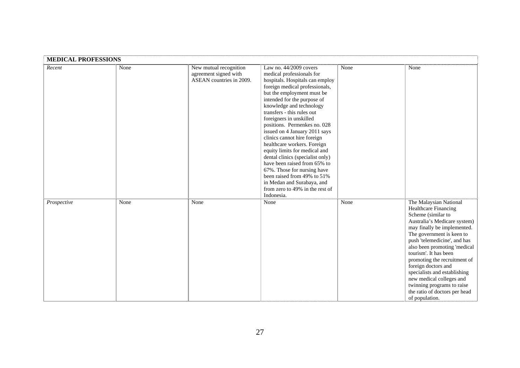| <b>MEDICAL PROFESSIONS</b> |      |                                                                             |                                                                                                                                                                                                                                                                                                                                                                                                                                                                                                                                                                                                                                                               |      |                                                                                                                                                                                                                                                                                                                                                                                                                                                               |
|----------------------------|------|-----------------------------------------------------------------------------|---------------------------------------------------------------------------------------------------------------------------------------------------------------------------------------------------------------------------------------------------------------------------------------------------------------------------------------------------------------------------------------------------------------------------------------------------------------------------------------------------------------------------------------------------------------------------------------------------------------------------------------------------------------|------|---------------------------------------------------------------------------------------------------------------------------------------------------------------------------------------------------------------------------------------------------------------------------------------------------------------------------------------------------------------------------------------------------------------------------------------------------------------|
| Recent                     | None | New mutual recognition<br>agreement signed with<br>ASEAN countries in 2009. | Law no. $44/2009$ covers<br>medical professionals for<br>hospitals. Hospitals can employ<br>foreign medical professionals,<br>but the employment must be<br>intended for the purpose of<br>knowledge and technology<br>transfers - this rules out<br>foreigners in unskilled<br>positions. Permenkes no. 028<br>issued on 4 January 2011 says<br>clinics cannot hire foreign<br>healthcare workers. Foreign<br>equity limits for medical and<br>dental clinics (specialist only)<br>have been raised from 65% to<br>67%. Those for nursing have<br>been raised from 49% to 51%<br>in Medan and Surabaya, and<br>from zero to 49% in the rest of<br>Indonesia. | None | None                                                                                                                                                                                                                                                                                                                                                                                                                                                          |
| Prospective                | None | None                                                                        | None                                                                                                                                                                                                                                                                                                                                                                                                                                                                                                                                                                                                                                                          | None | The Malaysian National<br>Healthcare Financing<br>Scheme (similar to<br>Australia's Medicare system)<br>may finally be implemented.<br>The government is keen to<br>push 'telemedicine', and has<br>also been promoting 'medical<br>tourism'. It has been<br>promoting the recruitment of<br>foreign doctors and<br>specialists and establishing<br>new medical colleges and<br>twinning programs to raise<br>the ratio of doctors per head<br>of population. |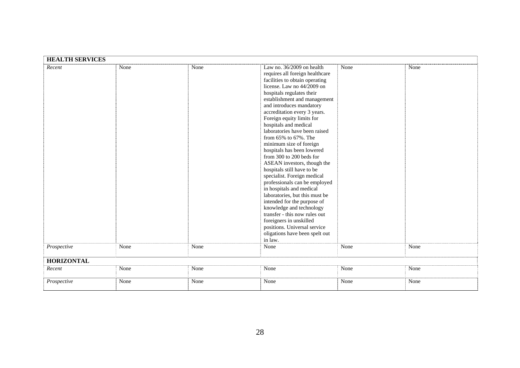| <b>HEALTH SERVICES</b> |      |      |                                 |      |      |  |  |  |
|------------------------|------|------|---------------------------------|------|------|--|--|--|
| Recent                 | None | None | Law no. $36/2009$ on health     | None | None |  |  |  |
|                        |      |      | requires all foreign healthcare |      |      |  |  |  |
|                        |      |      | facilities to obtain operating  |      |      |  |  |  |
|                        |      |      | license. Law no 44/2009 on      |      |      |  |  |  |
|                        |      |      | hospitals regulates their       |      |      |  |  |  |
|                        |      |      | establishment and management    |      |      |  |  |  |
|                        |      |      | and introduces mandatory        |      |      |  |  |  |
|                        |      |      | accreditation every 3 years.    |      |      |  |  |  |
|                        |      |      | Foreign equity limits for       |      |      |  |  |  |
|                        |      |      | hospitals and medical           |      |      |  |  |  |
|                        |      |      | laboratories have been raised   |      |      |  |  |  |
|                        |      |      | from $65\%$ to $67\%$ . The     |      |      |  |  |  |
|                        |      |      | minimum size of foreign         |      |      |  |  |  |
|                        |      |      | hospitals has been lowered      |      |      |  |  |  |
|                        |      |      | from 300 to 200 beds for        |      |      |  |  |  |
|                        |      |      | ASEAN investors, though the     |      |      |  |  |  |
|                        |      |      | hospitals still have to be      |      |      |  |  |  |
|                        |      |      | specialist. Foreign medical     |      |      |  |  |  |
|                        |      |      | professionals can be employed   |      |      |  |  |  |
|                        |      |      | in hospitals and medical        |      |      |  |  |  |
|                        |      |      | laboratories, but this must be  |      |      |  |  |  |
|                        |      |      | intended for the purpose of     |      |      |  |  |  |
|                        |      |      | knowledge and technology        |      |      |  |  |  |
|                        |      |      | transfer - this now rules out   |      |      |  |  |  |
|                        |      |      | foreigners in unskilled         |      |      |  |  |  |
|                        |      |      | positions. Universal service    |      |      |  |  |  |
|                        |      |      | oligations have been spelt out  |      |      |  |  |  |
|                        |      |      | in law.                         |      |      |  |  |  |
| Prospective            | None | None | None                            | None | None |  |  |  |
| <b>HORIZONTAL</b>      |      |      |                                 |      |      |  |  |  |
|                        |      |      |                                 |      |      |  |  |  |
| Recent                 | None | None | None                            | None | None |  |  |  |
| Prospective            | None | None | None                            | None | None |  |  |  |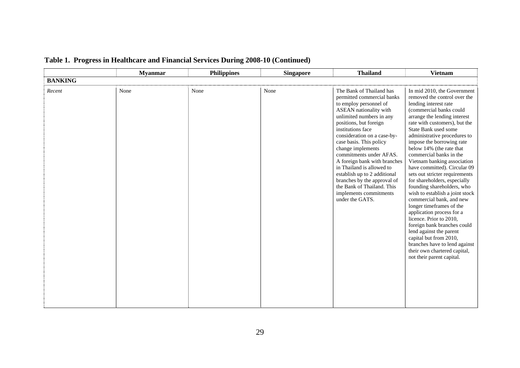|                | <b>Myanmar</b> | <b>Philippines</b> | <b>Singapore</b> | <b>Thailand</b>                                                                                                                                                                                                                                                                                                                                                                                                                                                                                        | <b>Vietnam</b>                                                                                                                                                                                                                                                                                                                                                                                                                                                                                                                                                                                                                                                                                                                                                                                                                   |
|----------------|----------------|--------------------|------------------|--------------------------------------------------------------------------------------------------------------------------------------------------------------------------------------------------------------------------------------------------------------------------------------------------------------------------------------------------------------------------------------------------------------------------------------------------------------------------------------------------------|----------------------------------------------------------------------------------------------------------------------------------------------------------------------------------------------------------------------------------------------------------------------------------------------------------------------------------------------------------------------------------------------------------------------------------------------------------------------------------------------------------------------------------------------------------------------------------------------------------------------------------------------------------------------------------------------------------------------------------------------------------------------------------------------------------------------------------|
| <b>BANKING</b> |                |                    |                  |                                                                                                                                                                                                                                                                                                                                                                                                                                                                                                        |                                                                                                                                                                                                                                                                                                                                                                                                                                                                                                                                                                                                                                                                                                                                                                                                                                  |
| Recent         | None           | None               | None             | The Bank of Thailand has<br>permitted commercial banks<br>to employ personnel of<br>ASEAN nationality with<br>unlimited numbers in any<br>positions, but foreign<br>institutions face<br>consideration on a case-by-<br>case basis. This policy<br>change implements<br>commitments under AFAS.<br>A foreign bank with branches<br>in Thailand is allowed to<br>establish up to 2 additional<br>branches by the approval of<br>the Bank of Thailand. This<br>implements commitments<br>under the GATS. | In mid 2010, the Government<br>removed the control over the<br>lending interest rate<br>(commercial banks could<br>arrange the lending interest<br>rate with customers), but the<br>State Bank used some<br>administrative procedures to<br>impose the borrowing rate<br>below 14% (the rate that<br>commercial banks in the<br>Vietnam banking association<br>have committed). Circular 09<br>sets out stricter requirements<br>for shareholders, especially<br>founding shareholders, who<br>wish to establish a joint stock<br>commercial bank, and new<br>longer timeframes of the<br>application process for a<br>licence. Prior to 2010,<br>foreign bank branches could<br>lend against the parent<br>capital but from 2010,<br>branches have to lend against<br>their own chartered capital,<br>not their parent capital. |

# **Table 1. Progress in Healthcare and Financial Services During 2008-10 (Continued)**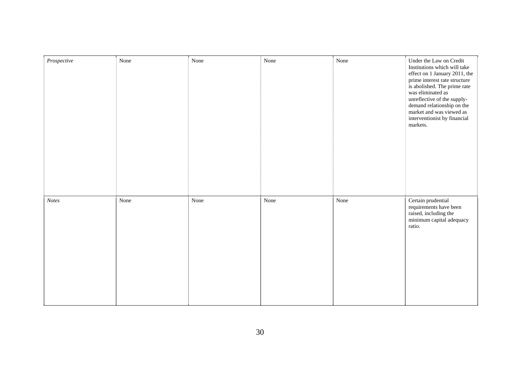| $\label{prospective} Prospective$ | None | None | None | None | Under the Law on Credit<br>Institutions which will take<br>effect on 1 January 2011, the<br>prime interest rate structure<br>is abolished. The prime rate<br>was eliminated as<br>unreflective of the supply-<br>demand relationship on the<br>market and was viewed as<br>interventionist by financial<br>markets. |
|-----------------------------------|------|------|------|------|---------------------------------------------------------------------------------------------------------------------------------------------------------------------------------------------------------------------------------------------------------------------------------------------------------------------|
| <b>Notes</b>                      | None | None | None | None | Certain prudential<br>requirements have been<br>raised, including the<br>minimum capital adequacy<br>ratio.                                                                                                                                                                                                         |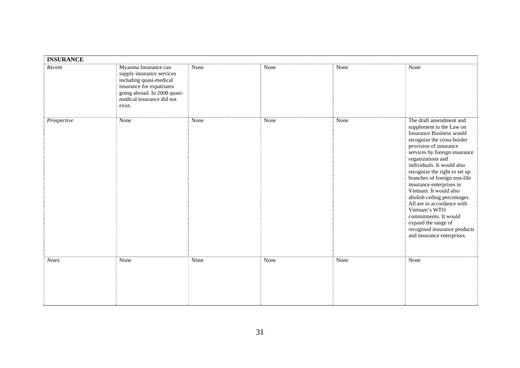| <b>INSURANCE</b> |                                                                                                                                                                                  |      |      |      |                                                                                                                                                                                                                                                                                                                                                                                                                                                                                                                                                       |  |
|------------------|----------------------------------------------------------------------------------------------------------------------------------------------------------------------------------|------|------|------|-------------------------------------------------------------------------------------------------------------------------------------------------------------------------------------------------------------------------------------------------------------------------------------------------------------------------------------------------------------------------------------------------------------------------------------------------------------------------------------------------------------------------------------------------------|--|
| Recent           | Myanma Insurance can<br>supply insurance services<br>including quasi-medical<br>insurance for expatriates<br>going abroad. In 2008 quasi-<br>medical insurance did not<br>exist. | None | None | None | None                                                                                                                                                                                                                                                                                                                                                                                                                                                                                                                                                  |  |
| Prospective      | None                                                                                                                                                                             | None | None | None | The draft amendment and<br>supplement to the Law on<br><b>Insurance Business would</b><br>recognize the cross-border<br>provision of insurance<br>services by foreign insurance<br>organizations and<br>individuals. It would also<br>recognize the right to set up<br>branches of foreign non-life<br>insurance enterprises in<br>Vietnam. It would also<br>abolish ceding percentages.<br>All are in accordance with<br>Vietnam's WTO<br>commitments. It would<br>expand the range of<br>recognsed insurance products<br>and insurance enterprises. |  |
| <b>Notes</b>     | None                                                                                                                                                                             | None | None | None | None                                                                                                                                                                                                                                                                                                                                                                                                                                                                                                                                                  |  |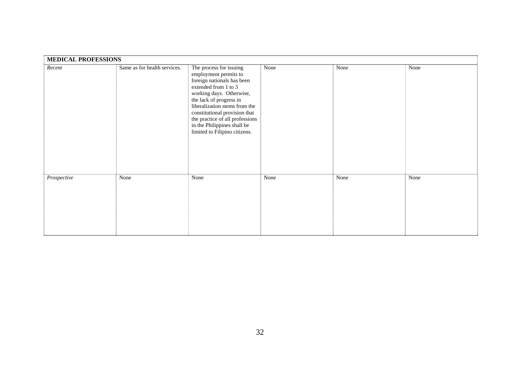| <b>MEDICAL PROFESSIONS</b> |                              |                                                                                                                                                                                                                                                                                                                                    |      |      |      |
|----------------------------|------------------------------|------------------------------------------------------------------------------------------------------------------------------------------------------------------------------------------------------------------------------------------------------------------------------------------------------------------------------------|------|------|------|
| Recent                     | Same as for health services. | The process for issuing<br>employment permits to<br>foreign nationals has been<br>extended from 1 to 3<br>working days. Otherwise,<br>the lack of progress in<br>liberalization stems from the<br>constitutional provision that<br>the practice of all professions<br>in the Philippines shall be<br>limited to Filipino citizens. | None | None | None |
| Prospective                | None                         | None                                                                                                                                                                                                                                                                                                                               | None | None | None |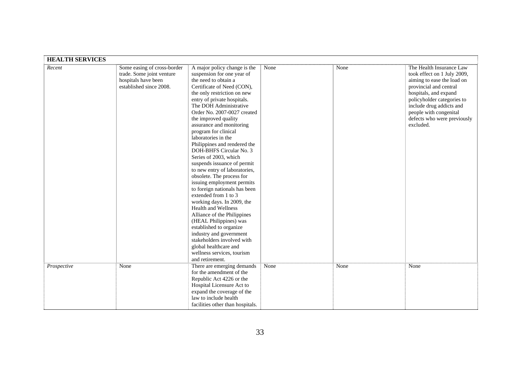| <b>HEALTH SERVICES</b> |                                                                                                            |                                                                                                                                                                                                                                                                                                                                                                                                                                                                                                                                                                                                                                                                                                                                                                                                                                                                                                |      |      |                                                                                                                                                                                                                                                                          |
|------------------------|------------------------------------------------------------------------------------------------------------|------------------------------------------------------------------------------------------------------------------------------------------------------------------------------------------------------------------------------------------------------------------------------------------------------------------------------------------------------------------------------------------------------------------------------------------------------------------------------------------------------------------------------------------------------------------------------------------------------------------------------------------------------------------------------------------------------------------------------------------------------------------------------------------------------------------------------------------------------------------------------------------------|------|------|--------------------------------------------------------------------------------------------------------------------------------------------------------------------------------------------------------------------------------------------------------------------------|
| Recent                 | Some easing of cross-border<br>trade. Some joint venture<br>hospitals have been<br>established since 2008. | A major policy change is the<br>suspension for one year of<br>the need to obtain a<br>Certificate of Need (CON),<br>the only restriction on new<br>entry of private hospitals.<br>The DOH Administrative<br>Order No. 2007-0027 created<br>the improved quality<br>assurance and monitoring<br>program for clinical<br>laboratories in the<br>Philippines and rendered the<br>DOH-BHFS Circular No. 3<br>Series of 2003, which<br>suspends issuance of permit<br>to new entry of laboratories,<br>obsolete. The process for<br>issuing employment permits<br>to foreign nationals has been<br>extended from 1 to 3<br>working days. In 2009, the<br>Health and Wellness<br>Alliance of the Philippines<br>(HEAL Philippines) was<br>established to organize<br>industry and government<br>stakeholders involved with<br>global healthcare and<br>wellness services, tourism<br>and retirement. | None | None | The Health Insurance Law<br>took effect on 1 July 2009,<br>aiming to ease the load on<br>provincial and central<br>hospitals, and expand<br>policyholder categories to<br>include drug addicts and<br>people with congenital<br>defects who were previously<br>excluded. |
| Prospective            | None                                                                                                       | There are emerging demands<br>for the amendment of the<br>Republic Act 4226 or the<br>Hospital Licensure Act to<br>expand the coverage of the<br>law to include health<br>facilities other than hospitals.                                                                                                                                                                                                                                                                                                                                                                                                                                                                                                                                                                                                                                                                                     | None | None | None                                                                                                                                                                                                                                                                     |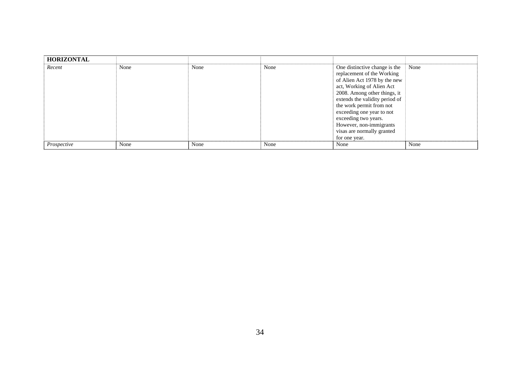| <b>HORIZONTAL</b> |      |      |      |                                |      |
|-------------------|------|------|------|--------------------------------|------|
| Recent            | None | None | None | One distinctive change is the  | None |
|                   |      |      |      | replacement of the Working     |      |
|                   |      |      |      | of Alien Act 1978 by the new   |      |
|                   |      |      |      | act, Working of Alien Act      |      |
|                   |      |      |      | 2008. Among other things, it   |      |
|                   |      |      |      | extends the validity period of |      |
|                   |      |      |      | the work permit from not       |      |
|                   |      |      |      | exceeding one year to not      |      |
|                   |      |      |      | exceeding two years.           |      |
|                   |      |      |      | However, non-immigrants        |      |
|                   |      |      |      | visas are normally granted     |      |
|                   |      |      |      | for one year.                  |      |
| Prospective       | None | None | None | None                           | None |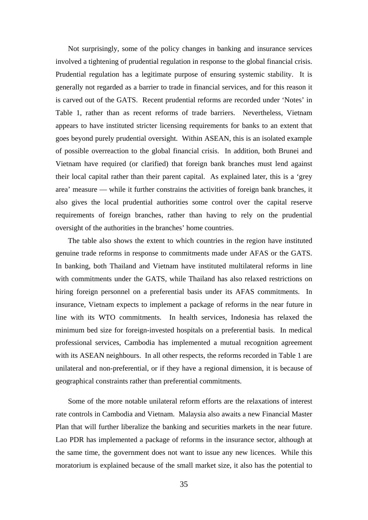Not surprisingly, some of the policy changes in banking and insurance services involved a tightening of prudential regulation in response to the global financial crisis. Prudential regulation has a legitimate purpose of ensuring systemic stability. It is generally not regarded as a barrier to trade in financial services, and for this reason it is carved out of the GATS. Recent prudential reforms are recorded under 'Notes' in Table 1, rather than as recent reforms of trade barriers. Nevertheless, Vietnam appears to have instituted stricter licensing requirements for banks to an extent that goes beyond purely prudential oversight. Within ASEAN, this is an isolated example of possible overreaction to the global financial crisis. In addition, both Brunei and Vietnam have required (or clarified) that foreign bank branches must lend against their local capital rather than their parent capital. As explained later, this is a 'grey area' measure — while it further constrains the activities of foreign bank branches, it also gives the local prudential authorities some control over the capital reserve requirements of foreign branches, rather than having to rely on the prudential oversight of the authorities in the branches' home countries.

The table also shows the extent to which countries in the region have instituted genuine trade reforms in response to commitments made under AFAS or the GATS. In banking, both Thailand and Vietnam have instituted multilateral reforms in line with commitments under the GATS, while Thailand has also relaxed restrictions on hiring foreign personnel on a preferential basis under its AFAS commitments. In insurance, Vietnam expects to implement a package of reforms in the near future in line with its WTO commitments. In health services, Indonesia has relaxed the minimum bed size for foreign-invested hospitals on a preferential basis. In medical professional services, Cambodia has implemented a mutual recognition agreement with its ASEAN neighbours. In all other respects, the reforms recorded in Table 1 are unilateral and non-preferential, or if they have a regional dimension, it is because of geographical constraints rather than preferential commitments.

Some of the more notable unilateral reform efforts are the relaxations of interest rate controls in Cambodia and Vietnam. Malaysia also awaits a new Financial Master Plan that will further liberalize the banking and securities markets in the near future. Lao PDR has implemented a package of reforms in the insurance sector, although at the same time, the government does not want to issue any new licences. While this moratorium is explained because of the small market size, it also has the potential to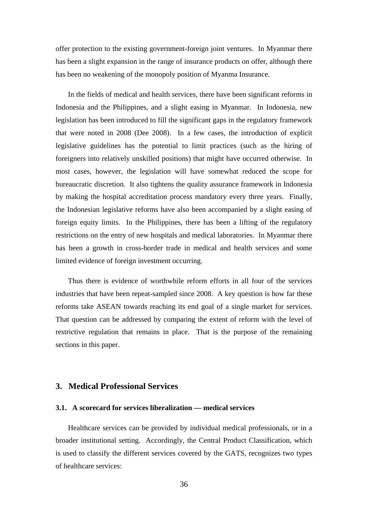offer protection to the existing government-foreign joint ventures. In Myanmar there has been a slight expansion in the range of insurance products on offer, although there has been no weakening of the monopoly position of Myanma Insurance.

In the fields of medical and health services, there have been significant reforms in Indonesia and the Philippines, and a slight easing in Myanmar. In Indonesia, new legislation has been introduced to fill the significant gaps in the regulatory framework that were noted in 2008 (Dee 2008). In a few cases, the introduction of explicit legislative guidelines has the potential to limit practices (such as the hiring of foreigners into relatively unskilled positions) that might have occurred otherwise. In most cases, however, the legislation will have somewhat reduced the scope for bureaucratic discretion. It also tightens the quality assurance framework in Indonesia by making the hospital accreditation process mandatory every three years. Finally, the Indonesian legislative reforms have also been accompanied by a slight easing of foreign equity limits. In the Philippines, there has been a lifting of the regulatory restrictions on the entry of new hospitals and medical laboratories. In Myanmar there has been a growth in cross-border trade in medical and health services and some limited evidence of foreign investment occurring.

Thus there is evidence of worthwhile reform efforts in all four of the services industries that have been repeat-sampled since 2008. A key question is how far these reforms take ASEAN towards reaching its end goal of a single market for services. That question can be addressed by comparing the extent of reform with the level of restrictive regulation that remains in place. That is the purpose of the remaining sections in this paper.

#### **3. Medical Professional Services**

#### **3.1. A scorecard for services liberalization — medical services**

Healthcare services can be provided by individual medical professionals, or in a broader institutional setting. Accordingly, the Central Product Classification, which is used to classify the different services covered by the GATS, recognizes two types of healthcare services: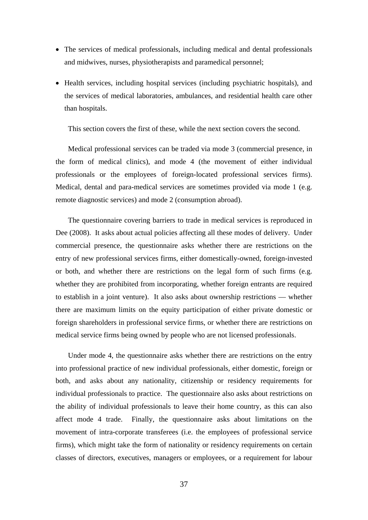- The services of medical professionals, including medical and dental professionals and midwives, nurses, physiotherapists and paramedical personnel;
- Health services, including hospital services (including psychiatric hospitals), and the services of medical laboratories, ambulances, and residential health care other than hospitals.

This section covers the first of these, while the next section covers the second.

Medical professional services can be traded via mode 3 (commercial presence, in the form of medical clinics), and mode 4 (the movement of either individual professionals or the employees of foreign-located professional services firms). Medical, dental and para-medical services are sometimes provided via mode 1 (e.g. remote diagnostic services) and mode 2 (consumption abroad).

The questionnaire covering barriers to trade in medical services is reproduced in Dee (2008). It asks about actual policies affecting all these modes of delivery. Under commercial presence, the questionnaire asks whether there are restrictions on the entry of new professional services firms, either domestically-owned, foreign-invested or both, and whether there are restrictions on the legal form of such firms (e.g. whether they are prohibited from incorporating, whether foreign entrants are required to establish in a joint venture). It also asks about ownership restrictions — whether there are maximum limits on the equity participation of either private domestic or foreign shareholders in professional service firms, or whether there are restrictions on medical service firms being owned by people who are not licensed professionals.

Under mode 4, the questionnaire asks whether there are restrictions on the entry into professional practice of new individual professionals, either domestic, foreign or both, and asks about any nationality, citizenship or residency requirements for individual professionals to practice. The questionnaire also asks about restrictions on the ability of individual professionals to leave their home country, as this can also affect mode 4 trade. Finally, the questionnaire asks about limitations on the movement of intra-corporate transferees (i.e. the employees of professional service firms), which might take the form of nationality or residency requirements on certain classes of directors, executives, managers or employees, or a requirement for labour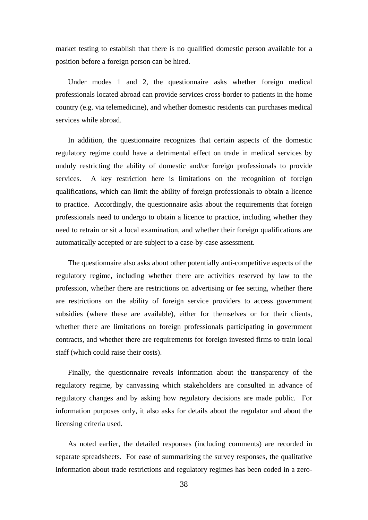market testing to establish that there is no qualified domestic person available for a position before a foreign person can be hired.

Under modes 1 and 2, the questionnaire asks whether foreign medical professionals located abroad can provide services cross-border to patients in the home country (e.g. via telemedicine), and whether domestic residents can purchases medical services while abroad.

In addition, the questionnaire recognizes that certain aspects of the domestic regulatory regime could have a detrimental effect on trade in medical services by unduly restricting the ability of domestic and/or foreign professionals to provide services. A key restriction here is limitations on the recognition of foreign qualifications, which can limit the ability of foreign professionals to obtain a licence to practice. Accordingly, the questionnaire asks about the requirements that foreign professionals need to undergo to obtain a licence to practice, including whether they need to retrain or sit a local examination, and whether their foreign qualifications are automatically accepted or are subject to a case-by-case assessment.

The questionnaire also asks about other potentially anti-competitive aspects of the regulatory regime, including whether there are activities reserved by law to the profession, whether there are restrictions on advertising or fee setting, whether there are restrictions on the ability of foreign service providers to access government subsidies (where these are available), either for themselves or for their clients, whether there are limitations on foreign professionals participating in government contracts, and whether there are requirements for foreign invested firms to train local staff (which could raise their costs).

Finally, the questionnaire reveals information about the transparency of the regulatory regime, by canvassing which stakeholders are consulted in advance of regulatory changes and by asking how regulatory decisions are made public. For information purposes only, it also asks for details about the regulator and about the licensing criteria used.

As noted earlier, the detailed responses (including comments) are recorded in separate spreadsheets. For ease of summarizing the survey responses, the qualitative information about trade restrictions and regulatory regimes has been coded in a zero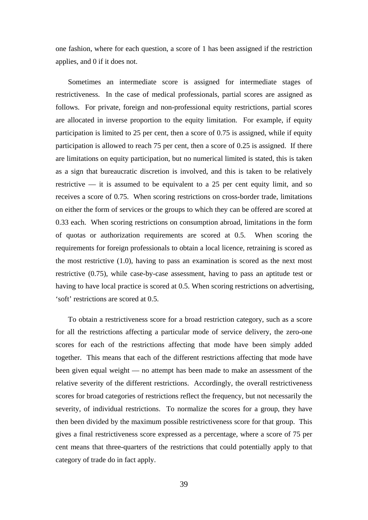one fashion, where for each question, a score of 1 has been assigned if the restriction applies, and 0 if it does not.

Sometimes an intermediate score is assigned for intermediate stages of restrictiveness. In the case of medical professionals, partial scores are assigned as follows. For private, foreign and non-professional equity restrictions, partial scores are allocated in inverse proportion to the equity limitation. For example, if equity participation is limited to 25 per cent, then a score of 0.75 is assigned, while if equity participation is allowed to reach 75 per cent, then a score of 0.25 is assigned. If there are limitations on equity participation, but no numerical limited is stated, this is taken as a sign that bureaucratic discretion is involved, and this is taken to be relatively restrictive  $-$  it is assumed to be equivalent to a 25 per cent equity limit, and so receives a score of 0.75. When scoring restrictions on cross-border trade, limitations on either the form of services or the groups to which they can be offered are scored at 0.33 each. When scoring restrictions on consumption abroad, limitations in the form of quotas or authorization requirements are scored at 0.5. When scoring the requirements for foreign professionals to obtain a local licence, retraining is scored as the most restrictive (1.0), having to pass an examination is scored as the next most restrictive (0.75), while case-by-case assessment, having to pass an aptitude test or having to have local practice is scored at 0.5. When scoring restrictions on advertising, 'soft' restrictions are scored at 0.5.

To obtain a restrictiveness score for a broad restriction category, such as a score for all the restrictions affecting a particular mode of service delivery, the zero-one scores for each of the restrictions affecting that mode have been simply added together. This means that each of the different restrictions affecting that mode have been given equal weight — no attempt has been made to make an assessment of the relative severity of the different restrictions. Accordingly, the overall restrictiveness scores for broad categories of restrictions reflect the frequency, but not necessarily the severity, of individual restrictions. To normalize the scores for a group, they have then been divided by the maximum possible restrictiveness score for that group. This gives a final restrictiveness score expressed as a percentage, where a score of 75 per cent means that three-quarters of the restrictions that could potentially apply to that category of trade do in fact apply.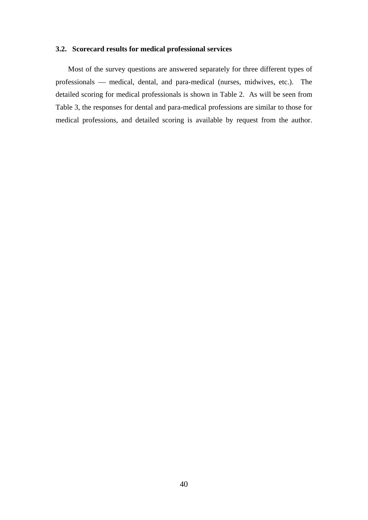#### **3.2. Scorecard results for medical professional services**

Most of the survey questions are answered separately for three different types of professionals — medical, dental, and para-medical (nurses, midwives, etc.). The detailed scoring for medical professionals is shown in Table 2. As will be seen from Table 3, the responses for dental and para-medical professions are similar to those for medical professions, and detailed scoring is available by request from the author.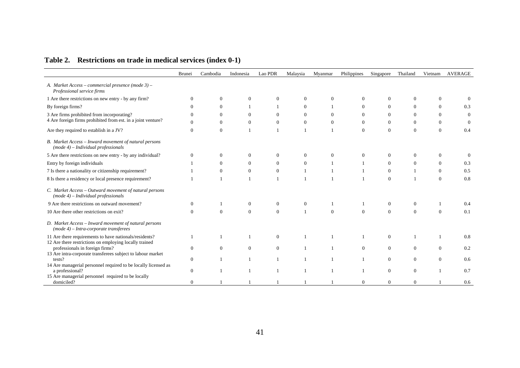| Table 2. Restrictions on trade in medical services (index 0-1) |  |  |
|----------------------------------------------------------------|--|--|
|----------------------------------------------------------------|--|--|

|                                                                                                     | <b>Brunei</b>  | Cambodia | Indonesia        | Lao PDR      | Malaysia     | Myanmar        | Philippines      | Singapore      | Thailand       | Vietnam        | <b>AVERAGE</b> |
|-----------------------------------------------------------------------------------------------------|----------------|----------|------------------|--------------|--------------|----------------|------------------|----------------|----------------|----------------|----------------|
| A. Market Access - commercial presence (mode 3) -<br>Professional service firms                     |                |          |                  |              |              |                |                  |                |                |                |                |
| 1 Are there restrictions on new entry - by any firm?                                                | $\Omega$       | $\Omega$ | $\Omega$         | $\Omega$     | $\Omega$     |                | $\Omega$         | 0              | $\Omega$       |                |                |
| By foreign firms?                                                                                   | $\Omega$       | $\Omega$ |                  |              | $\Omega$     |                | $\theta$         | $\Omega$       | $\theta$       | $\Omega$       | 0.3            |
| 3 Are firms prohibited from incorporating?                                                          | $\Omega$       | $\Omega$ | $\Omega$         | $\mathbf{0}$ | $\mathbf{0}$ | $\theta$       | $\boldsymbol{0}$ | $\mathbf{0}$   | $\theta$       | $\Omega$       | $\theta$       |
| 4 Are foreign firms prohibited from est. in a joint venture?                                        |                | $\Omega$ | $\mathbf{0}$     | $\theta$     | $\theta$     | $\overline{0}$ | $\mathbf{0}$     | $\overline{0}$ | $\theta$       | $\Omega$       | $\Omega$       |
| Are they required to establish in a JV?                                                             | $\overline{0}$ | $\theta$ |                  |              |              |                | $\mathbf{0}$     | $\overline{0}$ | $\mathbf{0}$   | $\Omega$       | 0.4            |
| B. Market Access - Inward movement of natural persons<br>$(mod e \ 4) - Individual \ professionals$ |                |          |                  |              |              |                |                  |                |                |                |                |
| 5 Are there restrictions on new entry - by any individual?                                          | $\Omega$       | $\Omega$ | $\Omega$         | $\Omega$     | $\Omega$     |                | $\theta$         | 0              | $\Omega$       | $\Omega$       |                |
| Entry by foreign individuals                                                                        |                | $\Omega$ | $\overline{0}$   | $\Omega$     | $\mathbf{0}$ |                |                  | $\overline{0}$ | $\overline{0}$ | $\overline{0}$ | 0.3            |
| 7 Is there a nationality or citizenship requirement?                                                |                | $\Omega$ | $\mathbf{0}$     | $\theta$     | 1            |                |                  | $\overline{0}$ |                | $\Omega$       | 0.5            |
| 8 Is there a residency or local presence requirement?                                               |                |          |                  | $\mathbf{1}$ | $\mathbf{1}$ |                |                  | $\Omega$       |                | $\Omega$       | 0.8            |
| C. Market Access - Outward movement of natural persons<br>$(mod e \ 4) - Individual$ professionals  |                |          |                  |              |              |                |                  |                |                |                |                |
| 9 Are there restrictions on outward movement?                                                       | $\theta$       |          | $\theta$         | $\mathbf{0}$ | $\mathbf{0}$ |                |                  | $\overline{0}$ | $\theta$       |                | 0.4            |
| 10 Are there other restrictions on exit?                                                            | $\Omega$       | $\Omega$ | $\mathbf{0}$     | $\theta$     |              | $\Omega$       | $\mathbf{0}$     | $\overline{0}$ | $\theta$       | $\Omega$       | 0.1            |
| D. Market Access - Inward movement of natural persons<br>$(mod e4) - Intra-corporate transferences$ |                |          |                  |              |              |                |                  |                |                |                |                |
| 11 Are there requirements to have nationals/residents?                                              |                |          |                  | $\Omega$     |              |                |                  | $\Omega$       |                |                | 0.8            |
| 12 Are there restrictions on employing locally trained<br>professionals in foreign firms?           | $\overline{0}$ | $\theta$ | $\boldsymbol{0}$ | $\mathbf{0}$ |              |                | $\theta$         | $\overline{0}$ | $\theta$       | $\Omega$       | 0.2            |
| 13 Are intra-corporate transferees subject to labour market                                         |                |          |                  |              |              |                |                  |                |                |                |                |
| tests?                                                                                              | $\mathbf{0}$   |          |                  |              |              |                |                  | $\overline{0}$ | $\mathbf{0}$   | $\Omega$       | 0.6            |
| 14 Are managerial personnel required to be locally licensed as<br>a professional?                   | $\mathbf{0}$   |          |                  |              |              |                |                  | $\overline{0}$ | $\mathbf{0}$   |                | 0.7            |
| 15 Are managerial personnel required to be locally<br>domiciled?                                    | $\overline{0}$ |          |                  |              |              |                | $\mathbf{0}$     | $\overline{0}$ | $\theta$       |                | 0.6            |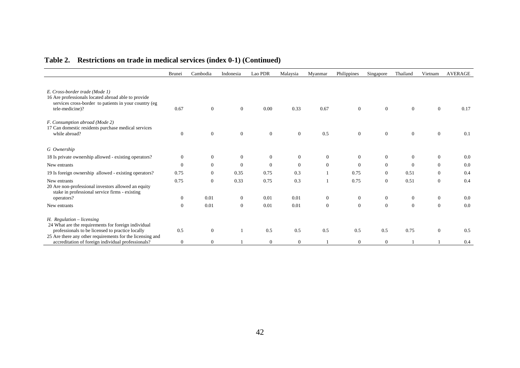|                                                                                                                                                                                                       | <b>Brunei</b>  | Cambodia       | Indonesia        | Lao PDR      | Malaysia     | Myanmar        | Philippines    | Singapore      | Thailand       | Vietnam        | <b>AVERAGE</b> |
|-------------------------------------------------------------------------------------------------------------------------------------------------------------------------------------------------------|----------------|----------------|------------------|--------------|--------------|----------------|----------------|----------------|----------------|----------------|----------------|
| E. Cross-border trade (Mode 1)<br>16 Are professionals located abroad able to provide<br>services cross-border to patients in your country (eg<br>tele-medicine)?                                     | 0.67           | $\overline{0}$ | $\mathbf{0}$     | 0.00         | 0.33         | 0.67           | $\theta$       | $\overline{0}$ | $\mathbf{0}$   | $\Omega$       | 0.17           |
| F. Consumption abroad (Mode 2)<br>17 Can domestic residents purchase medical services<br>while abroad?                                                                                                | $\overline{0}$ | $\mathbf{0}$   | $\boldsymbol{0}$ | $\mathbf{0}$ | $\mathbf{0}$ | 0.5            | $\mathbf{0}$   | $\mathbf{0}$   | $\mathbf{0}$   | $\overline{0}$ | 0.1            |
| G Ownership                                                                                                                                                                                           |                |                |                  |              |              |                |                |                |                |                |                |
| 18 Is private ownership allowed - existing operators?                                                                                                                                                 | 0              | $\mathbf{0}$   | $\mathbf{0}$     | $\mathbf{0}$ | $\mathbf{0}$ | $\mathbf{0}$   | $\overline{0}$ | $\mathbf{0}$   | $\overline{0}$ | $\overline{0}$ | 0.0            |
| New entrants                                                                                                                                                                                          | $\Omega$       | $\overline{0}$ | $\theta$         | $\theta$     | $\theta$     | $\overline{0}$ | $\Omega$       | $\theta$       | $\theta$       | $\overline{0}$ | 0.0            |
| 19 Is foreign ownership allowed - existing operators?                                                                                                                                                 | 0.75           | $\overline{0}$ | 0.35             | 0.75         | 0.3          |                | 0.75           | $\mathbf{0}$   | 0.51           | $\Omega$       | 0.4            |
| New entrants<br>20 Are non-professional investors allowed an equity<br>stake in professional service firms - existing                                                                                 | 0.75           | $\theta$       | 0.33             | 0.75         | 0.3          | $\mathbf{1}$   | 0.75           | $\theta$       | 0.51           | $\overline{0}$ | 0.4            |
| operators?                                                                                                                                                                                            | $\overline{0}$ | 0.01           | $\overline{0}$   | 0.01         | 0.01         | $\overline{0}$ | $\overline{0}$ | $\mathbf{0}$   | $\mathbf{0}$   | $\overline{0}$ | 0.0            |
| New entrants                                                                                                                                                                                          | $\overline{0}$ | 0.01           | $\overline{0}$   | 0.01         | 0.01         | $\overline{0}$ | $\Omega$       | $\mathbf{0}$   | $\overline{0}$ | $\Omega$       | 0.0            |
| $H.$ Regulation $-$ licensing<br>24 What are the requirements for foreign individual<br>professionals to be licensed to practice locally<br>25 Are there any other requirements for the licensing and | 0.5            | $\overline{0}$ |                  | 0.5          | 0.5          | 0.5            | 0.5            | 0.5            | 0.75           | $\Omega$       | 0.5            |
| accreditation of foreign individual professionals?                                                                                                                                                    | $\overline{0}$ | $\overline{0}$ |                  | $\theta$     | $\theta$     |                | $\mathbf{0}$   | $\theta$       |                |                | 0.4            |

## **Table 2. Restrictions on trade in medical services (index 0-1) (Continued)**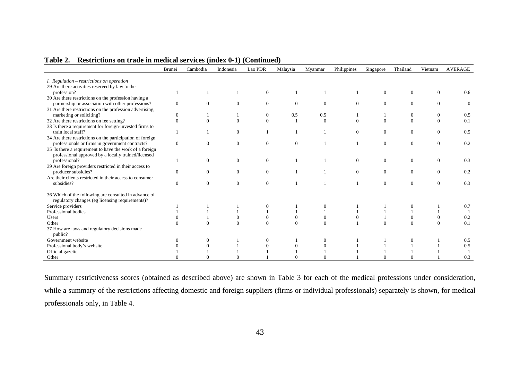|                                                           | Brunei       | Cambodia     | Indonesia | Lao PDR        | Malaysia | Myanmar  | Philippines | Singapore      | Thailand       | Vietnam  | <b>AVERAGE</b> |
|-----------------------------------------------------------|--------------|--------------|-----------|----------------|----------|----------|-------------|----------------|----------------|----------|----------------|
|                                                           |              |              |           |                |          |          |             |                |                |          |                |
| <i>I.</i> Regulation $-$ restrictions on operation        |              |              |           |                |          |          |             |                |                |          |                |
| 29 Are there activities reserved by law to the            |              |              |           |                |          |          |             |                |                |          |                |
| profession?                                               |              |              |           | $\Omega$       |          |          |             | $\overline{0}$ | $\overline{0}$ | $\Omega$ | 0.6            |
| 30 Are there restrictions on the profession having a      |              |              |           |                |          |          |             |                |                |          |                |
| partnership or association with other professions?        | $\Omega$     | $\Omega$     | $\Omega$  | $\Omega$       | $\Omega$ | $\Omega$ | $\Omega$    | $\Omega$       | $\Omega$       | $\Omega$ | $\Omega$       |
| 31 Are there restrictions on the profession advertising,  |              |              |           |                |          |          |             |                |                |          |                |
| marketing or soliciting?                                  | $\mathbf{0}$ |              |           | $\overline{0}$ | 0.5      | 0.5      |             |                | $\overline{0}$ | $\theta$ | 0.5            |
| 32 Are there restrictions on fee setting?                 | $\Omega$     | $\Omega$     | $\Omega$  | $\Omega$       |          | $\Omega$ | $\Omega$    | $\Omega$       | $\Omega$       | $\Omega$ | 0.1            |
| 33 Is there a requirement for foreign-invested firms to   |              |              |           |                |          |          |             |                |                |          |                |
| train local staff?                                        |              |              | $\theta$  |                |          |          | $\Omega$    | $\overline{0}$ | $\Omega$       | $\theta$ | 0.5            |
| 34 Are there restrictions on the participation of foreign |              |              |           |                |          |          |             |                |                |          |                |
| professionals or firms in government contracts?           | $\Omega$     | $\theta$     | $\Omega$  | $\Omega$       | $\Omega$ |          |             | $\Omega$       | $\Omega$       | $\Omega$ | 0.2            |
| 35 Is there a requirement to have the work of a foreign   |              |              |           |                |          |          |             |                |                |          |                |
| professional approved by a locally trained/licensed       |              |              |           |                |          |          |             |                |                |          |                |
| professional?                                             |              | $\mathbf{0}$ | $\Omega$  | $\Omega$       |          |          | $\theta$    | $\overline{0}$ | $\Omega$       | $\Omega$ | 0.3            |
| 39 Are foreign providers restricted in their access to    |              |              |           |                |          |          |             |                |                |          |                |
| producer subsidies?                                       | $\Omega$     | $\theta$     | $\Omega$  | $\Omega$       |          |          | $\Omega$    | $\Omega$       | $\Omega$       | $\Omega$ | 0.2            |
| Are their clients restricted in their access to consumer  |              |              |           |                |          |          |             |                |                |          |                |
| subsidies?                                                | $\mathbf{0}$ | $\mathbf{0}$ | $\Omega$  | $\overline{0}$ |          |          |             | $\overline{0}$ | $\overline{0}$ | $\Omega$ | 0.3            |
| 36 Which of the following are consulted in advance of     |              |              |           |                |          |          |             |                |                |          |                |
| regulatory changes (eg licensing requirements)?           |              |              |           |                |          |          |             |                |                |          |                |
| Service providers                                         |              |              |           |                |          |          |             |                |                |          | 0.7            |
| Professional bodies                                       |              |              |           |                |          |          |             |                |                |          |                |
| Users                                                     |              |              |           | $\Omega$       |          |          |             |                |                |          | 0.2            |
| Other                                                     |              |              |           |                |          |          |             | $\Omega$       |                | $\Omega$ | 0.1            |
| 37 How are laws and regulatory decisions made             |              |              |           |                |          |          |             |                |                |          |                |
| public?                                                   |              |              |           |                |          |          |             |                |                |          |                |
| Government website                                        |              |              |           |                |          |          |             |                |                |          | 0.5            |
| Professional body's website                               |              |              |           |                |          |          |             |                |                |          | 0.5            |
| Official gazette                                          |              |              |           |                |          |          |             |                |                |          |                |
| Other                                                     |              |              |           |                |          |          |             |                |                |          | 0.3            |

#### **Table 2. Restrictions on trade in medical services (index 0-1) (Continued)**

Summary restrictiveness scores (obtained as described above) are shown in Table 3 for each of the medical professions under consideration, while a summary of the restrictions affecting domestic and foreign suppliers (firms or individual professionals) separately is shown, for medical professionals only, in Table 4.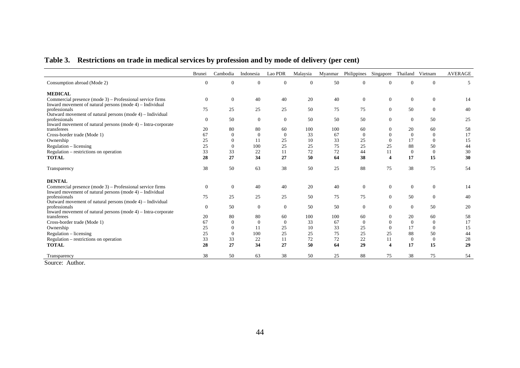# **Table 3. Restrictions on trade in medical services by profession and by mode of delivery (per cent)**

|                                                                                                                             | <b>Brunei</b> | Cambodia       | Indonesia      | Lao PDR        | Malaysia |     | Myanmar Philippines Singapore |                         | Thailand Vietnam |                | <b>AVERAGE</b> |
|-----------------------------------------------------------------------------------------------------------------------------|---------------|----------------|----------------|----------------|----------|-----|-------------------------------|-------------------------|------------------|----------------|----------------|
| Consumption abroad (Mode 2)                                                                                                 | $\theta$      | $\overline{0}$ | $\theta$       | $\Omega$       | $\theta$ | 50  | $\mathbf{0}$                  | $\Omega$                | $\Omega$         | $\theta$       | 5              |
| <b>MEDICAL</b>                                                                                                              |               |                |                |                |          |     |                               |                         |                  |                |                |
| Commercial presence (mode 3) – Professional service firms<br>Inward movement of natural persons (mode 4) - Individual       | $\theta$      | $\overline{0}$ | 40             | 40             | 20       | 40  | $\mathbf{0}$                  | $\theta$                | $\mathbf{0}$     | $\theta$       | 14             |
| professionals                                                                                                               | 75            | 25             | 25             | 25             | 50       | 75  | 75                            | $\overline{0}$          | 50               | $\overline{0}$ | 40             |
| Outward movement of natural persons (mode 4) - Individual<br>professionals                                                  | $\theta$      | 50             | $\overline{0}$ | $\overline{0}$ | 50       | 50  | 50                            | $\theta$                | $\mathbf{0}$     | 50             | 25             |
| Inward movement of natural persons (mode $4$ ) – Intra-corporate<br>transferees                                             | 20            | 80             | 80             | 60             | 100      | 100 | 60                            | $\theta$                | 20               | 60             | 58             |
| Cross-border trade (Mode 1)                                                                                                 | 67            | $\theta$       | $\overline{0}$ | $\Omega$       | 33       | 67  | $\theta$                      | $\mathbf{0}$            | $\theta$         | $\overline{0}$ | 17             |
| Ownership                                                                                                                   | 25            | $\overline{0}$ | 11             | 25             | 10       | 33  | 25                            | $\mathbf{0}$            | 17               | $\Omega$       | 15             |
| $Regularion - licensing$                                                                                                    | 25            | $\theta$       | 100            | 25             | 25       | 75  | 25                            | 25                      | 88               | 50             | 44             |
| Regulation – restrictions on operation                                                                                      | 33            | 33             | 22             | 11             | 72       | 72  | 44                            | 11                      | $\theta$         | $\Omega$       | 30             |
| <b>TOTAL</b>                                                                                                                | 28            | 27             | 34             | 27             | 50       | 64  | 38                            | $\overline{\mathbf{4}}$ | 17               | 15             | 30             |
| Transparency                                                                                                                | 38            | 50             | 63             | 38             | 50       | 25  | 88                            | 75                      | 38               | 75             | 54             |
| <b>DENTAL</b>                                                                                                               |               |                |                |                |          |     |                               |                         |                  |                |                |
| Commercial presence (mode $3$ ) – Professional service firms<br>Inward movement of natural persons (mode $4$ ) – Individual | $\theta$      | $\overline{0}$ | 40             | 40             | 20       | 40  | $\mathbf{0}$                  | $\theta$                | $\overline{0}$   | $\theta$       | 14             |
| professionals<br>Outward movement of natural persons (mode 4) – Individual                                                  | 75            | 25             | 25             | 25             | 50       | 75  | 75                            | $\overline{0}$          | 50               | $\theta$       | 40             |
| professionals<br>Inward movement of natural persons (mode $4$ ) - Intra-corporate                                           | $\Omega$      | 50             | $\overline{0}$ | $\Omega$       | 50       | 50  | $\theta$                      | $\Omega$                | $\overline{0}$   | 50             | 20             |
| transferees                                                                                                                 | 20            | 80             | 80             | 60             | 100      | 100 | 60                            | $\theta$                | 20               | 60             | 58             |
| Cross-border trade (Mode 1)                                                                                                 | 67            | $\overline{0}$ | $\theta$       | $\Omega$       | 33       | 67  | $\Omega$                      | $\Omega$                | $\Omega$         | $\theta$       | 17             |
| Ownership                                                                                                                   | 25            | $\overline{0}$ | 11             | 25             | 10       | 33  | 25                            | $\mathbf{0}$            | 17               | $\theta$       | 15             |
| $Regularion - licensing$                                                                                                    | 25            | $\Omega$       | 100            | 25             | 25       | 75  | 25                            | 25                      | 88               | 50             | 44             |
| Regulation - restrictions on operation                                                                                      | 33            | 33             | 22             | 11             | 72       | 72  | 22                            | 11                      | $\theta$         | $\overline{0}$ | 28             |
| <b>TOTAL</b>                                                                                                                | 28            | 27             | 34             | 27             | 50       | 64  | 29                            | $\overline{\mathbf{4}}$ | 17               | 15             | 29             |
| Transparency                                                                                                                | 38            | 50             | 63             | 38             | 50       | 25  | 88                            | 75                      | 38               | 75             | 54             |

Source: Author.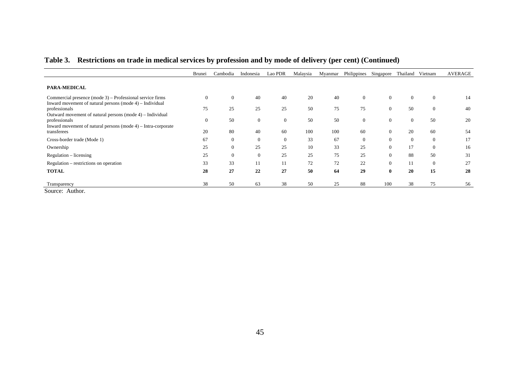|                                                                                   | <b>Brunei</b>  | Cambodia       | Indonesia      | Lao PDR        | Malaysia | Myanmar | Philippines | Singapore      | Thailand Vietnam |                | <b>AVERAGE</b> |
|-----------------------------------------------------------------------------------|----------------|----------------|----------------|----------------|----------|---------|-------------|----------------|------------------|----------------|----------------|
|                                                                                   |                |                |                |                |          |         |             |                |                  |                |                |
| <b>PARA-MEDICAL</b>                                                               |                |                |                |                |          |         |             |                |                  |                |                |
| Commercial presence (mode $3$ ) – Professional service firms                      | $\mathbf{0}$   | $\overline{0}$ | 40             | 40             | 20       | 40      | $\theta$    | $\overline{0}$ | $\theta$         | $\overline{0}$ | 14             |
| Inward movement of natural persons (mode $4$ ) – Individual                       |                |                |                |                |          |         |             |                |                  |                |                |
| professionals                                                                     | 75             | 25             | 25             | 25             | 50       | 75      | 75          | $\overline{0}$ | 50               | $\mathbf{0}$   | 40             |
| Outward movement of natural persons (mode 4) – Individual                         | $\overline{0}$ | 50             | $\theta$       | $\overline{0}$ | 50       | 50      | $\theta$    | $\overline{0}$ | $\theta$         | 50             | 20             |
| professionals<br>Inward movement of natural persons (mode $4$ ) – Intra-corporate |                |                |                |                |          |         |             |                |                  |                |                |
| transferees                                                                       | 20             | 80             | 40             | 60             | 100      | 100     | 60          | $\overline{0}$ | 20               | 60             | 54             |
| Cross-border trade (Mode 1)                                                       | 67             | $\overline{0}$ | $\theta$       | $\overline{0}$ | 33       | 67      | $\theta$    | $\overline{0}$ | $\theta$         | $\overline{0}$ | 17             |
| Ownership                                                                         | 25             | $\overline{0}$ | 25             | 25             | 10       | 33      | 25          | $\overline{0}$ | 17               | $\overline{0}$ | 16             |
| Regulation – licensing                                                            | 25             | $\Omega$       | $\overline{0}$ | 25             | 25       | 75      | 25          | $\overline{0}$ | 88               | 50             | 31             |
| Regulation – restrictions on operation                                            | 33             | 33             | 11             | 11             | 72       | 72      | 22          | $\overline{0}$ |                  | $\overline{0}$ | 27             |
| <b>TOTAL</b>                                                                      | 28             | 27             | 22             | 27             | 50       | 64      | 29          | $\bf{0}$       | 20               | 15             | 28             |
|                                                                                   |                |                |                |                |          |         |             |                |                  |                |                |
| Transparency<br>$\sim$                                                            | 38             | 50             | 63             | 38             | 50       | 25      | 88          | 100            | 38               | 75             | 56             |

## **Table 3. Restrictions on trade in medical services by profession and by mode of delivery (per cent) (Continued)**

Source: Author.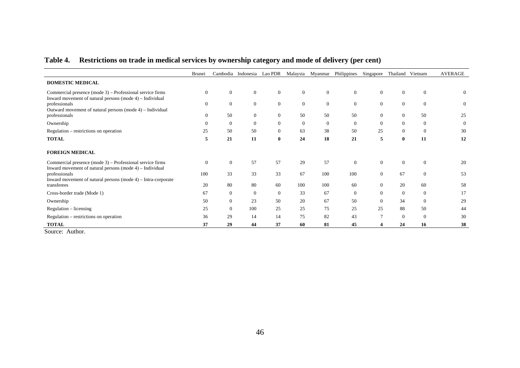|                                                                                                                        | <b>Brunei</b>    |                | Cambodia Indonesia | Lao PDR        |              | Malaysia Myanmar | Philippines    | Singapore        | Thailand Vietnam |              | <b>AVERAGE</b> |
|------------------------------------------------------------------------------------------------------------------------|------------------|----------------|--------------------|----------------|--------------|------------------|----------------|------------------|------------------|--------------|----------------|
| <b>DOMESTIC MEDICAL</b>                                                                                                |                  |                |                    |                |              |                  |                |                  |                  |              |                |
| Commercial presence (mode 3) – Professional service firms                                                              | $\boldsymbol{0}$ | $\theta$       | $\overline{0}$     | $\overline{0}$ | $\mathbf{0}$ | $\overline{0}$   | $\theta$       | $\mathbf{0}$     | $\theta$         | $\mathbf{0}$ | $\mathbf{0}$   |
| Inward movement of natural persons (mode 4) – Individual<br>professionals                                              | $\overline{0}$   | $\overline{0}$ | $\overline{0}$     | $\overline{0}$ | $\mathbf{0}$ | $\overline{0}$   | $\mathbf{0}$   | $\theta$         | $\theta$         | $\theta$     | $\theta$       |
| Outward movement of natural persons (mode 4) – Individual                                                              |                  |                |                    |                |              |                  |                |                  |                  |              |                |
| professionals                                                                                                          | 0                | 50             | $\overline{0}$     | $\overline{0}$ | 50           | 50               | 50             | $\mathbf{0}$     | $\overline{0}$   | 50           | 25             |
| Ownership                                                                                                              | $\Omega$         | $\overline{0}$ | $\overline{0}$     | $\Omega$       | $\theta$     | $\Omega$         | $\theta$       | $\theta$         | $\theta$         | $\theta$     | $\theta$       |
| Regulation – restrictions on operation                                                                                 | 25               | 50             | 50                 | $\mathbf{0}$   | 63           | 38               | 50             | 25               | $\theta$         | $\mathbf{0}$ | 30             |
| <b>TOTAL</b>                                                                                                           | 5                | 21             | 11                 | $\mathbf{0}$   | 24           | 18               | 21             | 5                | $\bf{0}$         | 11           | 12             |
| <b>FOREIGN MEDICAL</b>                                                                                                 |                  |                |                    |                |              |                  |                |                  |                  |              |                |
| Commercial presence $(mod 3)$ – Professional service firms<br>Inward movement of natural persons (mode 4) – Individual | $\theta$         | $\overline{0}$ | 57                 | 57             | 29           | 57               | $\overline{0}$ | $\mathbf{0}$     | $\theta$         | $\Omega$     | 20             |
| professionals<br>Inward movement of natural persons (mode $4$ ) – Intra-corporate                                      | 100              | 33             | 33                 | 33             | 67           | 100              | 100            | $\boldsymbol{0}$ | 67               | $\theta$     | 53             |
| transferees                                                                                                            | 20               | 80             | 80                 | 60             | 100          | 100              | 60             | $\Omega$         | 20               | 60           | 58             |
| Cross-border trade (Mode 1)                                                                                            | 67               | $\overline{0}$ | $\overline{0}$     | $\overline{0}$ | 33           | 67               | $\theta$       | $\Omega$         | $\theta$         | $\mathbf{0}$ | 17             |
| Ownership                                                                                                              | 50               | $\overline{0}$ | 23                 | 50             | 20           | 67               | 50             | $\theta$         | 34               | $\theta$     | 29             |
| $Regularion - licensing$                                                                                               | 25               | $\overline{0}$ | 100                | 25             | 25           | 75               | 25             | 25               | 88               | 50           | 44             |
| Regulation – restrictions on operation                                                                                 | 36               | 29             | 14                 | 14             | 75           | 82               | 43             | 7                | $\theta$         | $\theta$     | 30             |
| <b>TOTAL</b>                                                                                                           | 37               | 29             | 44                 | 37             | 60           | 81               | 45             |                  | 24               | 16           | 38             |

# **Table 4. Restrictions on trade in medical services by ownership category and mode of delivery (per cent)**

Source: Author.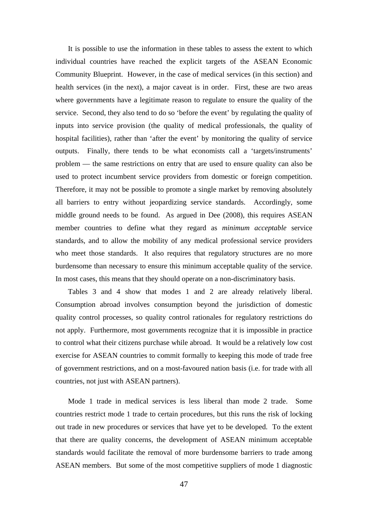It is possible to use the information in these tables to assess the extent to which individual countries have reached the explicit targets of the ASEAN Economic Community Blueprint. However, in the case of medical services (in this section) and health services (in the next), a major caveat is in order. First, these are two areas where governments have a legitimate reason to regulate to ensure the quality of the service. Second, they also tend to do so 'before the event' by regulating the quality of inputs into service provision (the quality of medical professionals, the quality of hospital facilities), rather than 'after the event' by monitoring the quality of service outputs. Finally, there tends to be what economists call a 'targets/instruments' problem — the same restrictions on entry that are used to ensure quality can also be used to protect incumbent service providers from domestic or foreign competition. Therefore, it may not be possible to promote a single market by removing absolutely all barriers to entry without jeopardizing service standards. Accordingly, some middle ground needs to be found. As argued in Dee (2008), this requires ASEAN member countries to define what they regard as *minimum acceptable* service standards, and to allow the mobility of any medical professional service providers who meet those standards. It also requires that regulatory structures are no more burdensome than necessary to ensure this minimum acceptable quality of the service. In most cases, this means that they should operate on a non-discriminatory basis.

Tables 3 and 4 show that modes 1 and 2 are already relatively liberal. Consumption abroad involves consumption beyond the jurisdiction of domestic quality control processes, so quality control rationales for regulatory restrictions do not apply. Furthermore, most governments recognize that it is impossible in practice to control what their citizens purchase while abroad. It would be a relatively low cost exercise for ASEAN countries to commit formally to keeping this mode of trade free of government restrictions, and on a most-favoured nation basis (i.e. for trade with all countries, not just with ASEAN partners).

Mode 1 trade in medical services is less liberal than mode 2 trade. Some countries restrict mode 1 trade to certain procedures, but this runs the risk of locking out trade in new procedures or services that have yet to be developed. To the extent that there are quality concerns, the development of ASEAN minimum acceptable standards would facilitate the removal of more burdensome barriers to trade among ASEAN members. But some of the most competitive suppliers of mode 1 diagnostic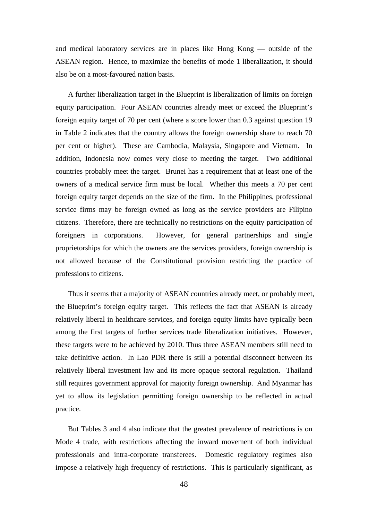and medical laboratory services are in places like Hong Kong — outside of the ASEAN region. Hence, to maximize the benefits of mode 1 liberalization, it should also be on a most-favoured nation basis.

A further liberalization target in the Blueprint is liberalization of limits on foreign equity participation. Four ASEAN countries already meet or exceed the Blueprint's foreign equity target of 70 per cent (where a score lower than 0.3 against question 19 in Table 2 indicates that the country allows the foreign ownership share to reach 70 per cent or higher). These are Cambodia, Malaysia, Singapore and Vietnam. In addition, Indonesia now comes very close to meeting the target. Two additional countries probably meet the target. Brunei has a requirement that at least one of the owners of a medical service firm must be local. Whether this meets a 70 per cent foreign equity target depends on the size of the firm. In the Philippines, professional service firms may be foreign owned as long as the service providers are Filipino citizens. Therefore, there are technically no restrictions on the equity participation of foreigners in corporations. However, for general partnerships and single proprietorships for which the owners are the services providers, foreign ownership is not allowed because of the Constitutional provision restricting the practice of professions to citizens.

Thus it seems that a majority of ASEAN countries already meet, or probably meet, the Blueprint's foreign equity target. This reflects the fact that ASEAN is already relatively liberal in healthcare services, and foreign equity limits have typically been among the first targets of further services trade liberalization initiatives. However, these targets were to be achieved by 2010. Thus three ASEAN members still need to take definitive action. In Lao PDR there is still a potential disconnect between its relatively liberal investment law and its more opaque sectoral regulation. Thailand still requires government approval for majority foreign ownership. And Myanmar has yet to allow its legislation permitting foreign ownership to be reflected in actual practice.

But Tables 3 and 4 also indicate that the greatest prevalence of restrictions is on Mode 4 trade, with restrictions affecting the inward movement of both individual professionals and intra-corporate transferees. Domestic regulatory regimes also impose a relatively high frequency of restrictions. This is particularly significant, as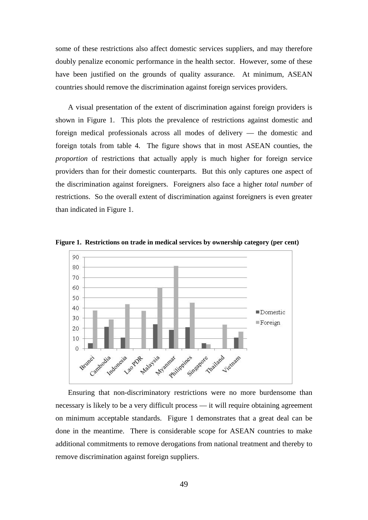some of these restrictions also affect domestic services suppliers, and may therefore doubly penalize economic performance in the health sector. However, some of these have been justified on the grounds of quality assurance. At minimum, ASEAN countries should remove the discrimination against foreign services providers.

A visual presentation of the extent of discrimination against foreign providers is shown in Figure 1. This plots the prevalence of restrictions against domestic and foreign medical professionals across all modes of delivery — the domestic and foreign totals from table 4. The figure shows that in most ASEAN counties, the *proportion* of restrictions that actually apply is much higher for foreign service providers than for their domestic counterparts. But this only captures one aspect of the discrimination against foreigners. Foreigners also face a higher *total number* of restrictions. So the overall extent of discrimination against foreigners is even greater than indicated in Figure 1.



**Figure 1. Restrictions on trade in medical services by ownership category (per cent)** 

Ensuring that non-discriminatory restrictions were no more burdensome than necessary is likely to be a very difficult process — it will require obtaining agreement on minimum acceptable standards. Figure 1 demonstrates that a great deal can be done in the meantime. There is considerable scope for ASEAN countries to make additional commitments to remove derogations from national treatment and thereby to remove discrimination against foreign suppliers.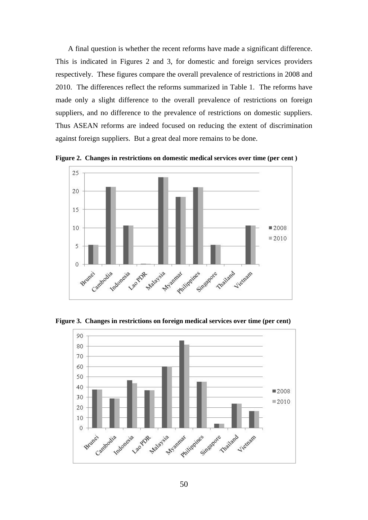A final question is whether the recent reforms have made a significant difference. This is indicated in Figures 2 and 3, for domestic and foreign services providers respectively. These figures compare the overall prevalence of restrictions in 2008 and 2010. The differences reflect the reforms summarized in Table 1. The reforms have made only a slight difference to the overall prevalence of restrictions on foreign suppliers, and no difference to the prevalence of restrictions on domestic suppliers. Thus ASEAN reforms are indeed focused on reducing the extent of discrimination against foreign suppliers. But a great deal more remains to be done.



**Figure 2. Changes in restrictions on domestic medical services over time (per cent )**

**Figure 3. Changes in restrictions on foreign medical services over time (per cent)** 

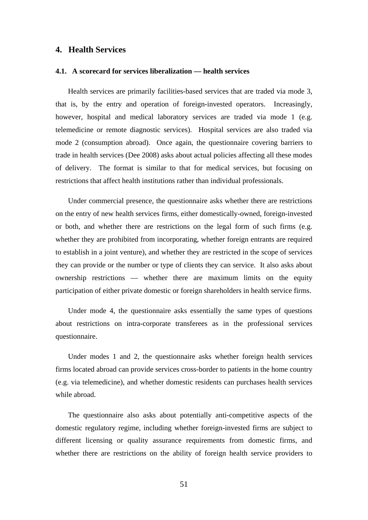#### **4. Health Services**

#### **4.1. A scorecard for services liberalization — health services**

Health services are primarily facilities-based services that are traded via mode 3, that is, by the entry and operation of foreign-invested operators. Increasingly, however, hospital and medical laboratory services are traded via mode 1 (e.g. telemedicine or remote diagnostic services). Hospital services are also traded via mode 2 (consumption abroad). Once again, the questionnaire covering barriers to trade in health services (Dee 2008) asks about actual policies affecting all these modes of delivery. The format is similar to that for medical services, but focusing on restrictions that affect health institutions rather than individual professionals.

Under commercial presence, the questionnaire asks whether there are restrictions on the entry of new health services firms, either domestically-owned, foreign-invested or both, and whether there are restrictions on the legal form of such firms (e.g. whether they are prohibited from incorporating, whether foreign entrants are required to establish in a joint venture), and whether they are restricted in the scope of services they can provide or the number or type of clients they can service. It also asks about ownership restrictions — whether there are maximum limits on the equity participation of either private domestic or foreign shareholders in health service firms.

Under mode 4, the questionnaire asks essentially the same types of questions about restrictions on intra-corporate transferees as in the professional services questionnaire.

Under modes 1 and 2, the questionnaire asks whether foreign health services firms located abroad can provide services cross-border to patients in the home country (e.g. via telemedicine), and whether domestic residents can purchases health services while abroad.

The questionnaire also asks about potentially anti-competitive aspects of the domestic regulatory regime, including whether foreign-invested firms are subject to different licensing or quality assurance requirements from domestic firms, and whether there are restrictions on the ability of foreign health service providers to

51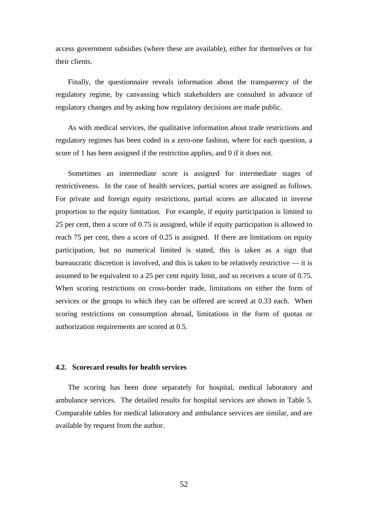access government subsidies (where these are available), either for themselves or for their clients.

Finally, the questionnaire reveals information about the transparency of the regulatory regime, by canvassing which stakeholders are consulted in advance of regulatory changes and by asking how regulatory decisions are made public.

As with medical services, the qualitative information about trade restrictions and regulatory regimes has been coded in a zero-one fashion, where for each question, a score of 1 has been assigned if the restriction applies, and 0 if it does not.

Sometimes an intermediate score is assigned for intermediate stages of restrictiveness. In the case of health services, partial scores are assigned as follows. For private and foreign equity restrictions, partial scores are allocated in inverse proportion to the equity limitation. For example, if equity participation is limited to 25 per cent, then a score of 0.75 is assigned, while if equity participation is allowed to reach 75 per cent, then a score of 0.25 is assigned. If there are limitations on equity participation, but no numerical limited is stated, this is taken as a sign that bureaucratic discretion is involved, and this is taken to be relatively restrictive — it is assumed to be equivalent to a 25 per cent equity limit, and so receives a score of 0.75. When scoring restrictions on cross-border trade, limitations on either the form of services or the groups to which they can be offered are scored at 0.33 each. When scoring restrictions on consumption abroad, limitations in the form of quotas or authorization requirements are scored at 0.5.

#### **4.2. Scorecard results for health services**

The scoring has been done separately for hospital, medical laboratory and ambulance services. The detailed results for hospital services are shown in Table 5. Comparable tables for medical laboratory and ambulance services are similar, and are available by request from the author.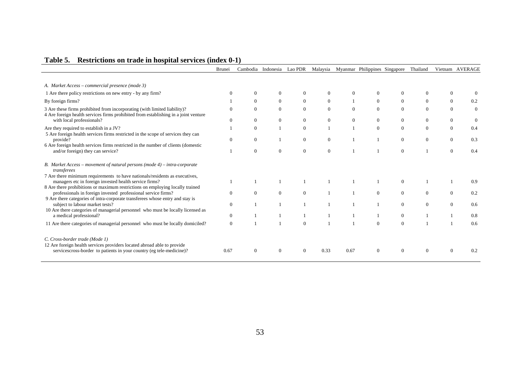|                                                                                                                                                                                                                                 | Brunei         |                | Cambodia Indonesia | Lao PDR        | Malaysia       |                | Myanmar Philippines Singapore |                | Thailand     |                | Vietnam AVERAGE |
|---------------------------------------------------------------------------------------------------------------------------------------------------------------------------------------------------------------------------------|----------------|----------------|--------------------|----------------|----------------|----------------|-------------------------------|----------------|--------------|----------------|-----------------|
|                                                                                                                                                                                                                                 |                |                |                    |                |                |                |                               |                |              |                |                 |
| A. Market Access – commercial presence (mode 3)                                                                                                                                                                                 |                |                |                    |                |                |                |                               |                |              |                |                 |
| 1 Are there policy restrictions on new entry - by any firm?                                                                                                                                                                     |                | $\theta$       | $\mathbf{0}$       | $\Omega$       |                | $\Omega$       | $\Omega$                      | $\mathbf{0}$   | $\theta$     | $\Omega$       |                 |
| By foreign firms?                                                                                                                                                                                                               |                | $\overline{0}$ | $\overline{0}$     | $\overline{0}$ | $\overline{0}$ |                | $\overline{0}$                | $\overline{0}$ | $\Omega$     | $\Omega$       | 0.2             |
| 3 Are these firms prohibited from incorporating (with limited liability)?<br>4 Are foreign health services firms prohibited from establishing in a joint venture                                                                | $\Omega$       | $\overline{0}$ | $\overline{0}$     | $\theta$       | $\Omega$       | $\Omega$       | $\Omega$                      | $\theta$       | $\Omega$     | $\Omega$       | $\mathbf{0}$    |
| with local professionals?                                                                                                                                                                                                       | $\Omega$       | $\mathbf{0}$   | $\mathbf{0}$       | $\overline{0}$ | $\overline{0}$ | $\overline{0}$ | $\overline{0}$                | $\overline{0}$ | $\mathbf{0}$ | $\overline{0}$ | $\overline{0}$  |
| Are they required to establish in a JV?                                                                                                                                                                                         |                | $\theta$       |                    | $\overline{0}$ |                |                | $\mathbf{0}$                  | $\overline{0}$ | $\Omega$     | $\Omega$       | 0.4             |
| 5 Are foreign health services firms restricted in the scope of services they can<br>provide?                                                                                                                                    | $\Omega$       | $\mathbf{0}$   |                    | $\overline{0}$ | $\overline{0}$ |                |                               | $\mathbf{0}$   | $\mathbf{0}$ | $\overline{0}$ | 0.3             |
| 6 Are foreign health services firms restricted in the number of clients (domestic<br>and/or foreign) they can service?                                                                                                          |                | $\theta$       | $\mathbf{0}$       | $\overline{0}$ | $\Omega$       |                |                               | $\theta$       |              | $\Omega$       | 0.4             |
| B. Market Access – movement of natural persons (mode $4$ ) – intra-corporate<br>transferees                                                                                                                                     |                |                |                    |                |                |                |                               |                |              |                |                 |
| 7 Are there minimum requirements to have nationals/residents as executives,<br>managers etc in foreign invested health service firms?                                                                                           |                |                |                    |                |                |                |                               | $\mathbf{0}$   |              |                | 0.9             |
| 8 Are there prohibitions or maximum restrictions on employing locally trained<br>professionals in foreign invested professional service firms?<br>9 Are there categories of intra-corporate transferees whose entry and stay is | $\mathbf{0}$   | $\overline{0}$ | $\overline{0}$     | $\Omega$       |                |                | $\overline{0}$                | $\overline{0}$ | $\Omega$     | $\overline{0}$ | 0.2             |
| subject to labour market tests?<br>10 Are there categories of managerial personnel who must be locally licensed as                                                                                                              | $\mathbf{0}$   |                |                    |                |                |                |                               | $\overline{0}$ | $\Omega$     | $\Omega$       | 0.6             |
| a medical professional?                                                                                                                                                                                                         | $\overline{0}$ |                |                    |                |                |                |                               | $\overline{0}$ |              |                | 0.8             |
| 11 Are there categories of managerial personnel who must be locally domiciled?                                                                                                                                                  | $\theta$       |                |                    | $\Omega$       |                |                | $\Omega$                      | $\Omega$       |              |                | 0.6             |
| C. Cross-border trade (Mode 1)                                                                                                                                                                                                  |                |                |                    |                |                |                |                               |                |              |                |                 |
| 12 Are foreign health services providers located abroad able to provide<br>services cross-border to patients in your country (eg tele-medicine)?                                                                                | 0.67           | $\theta$       | $\theta$           | $\Omega$       | 0.33           | 0.67           | $\Omega$                      | $\Omega$       | $\theta$     | $\Omega$       | 0.2             |

# **Table 5. Restrictions on trade in hospital services (index 0-1)**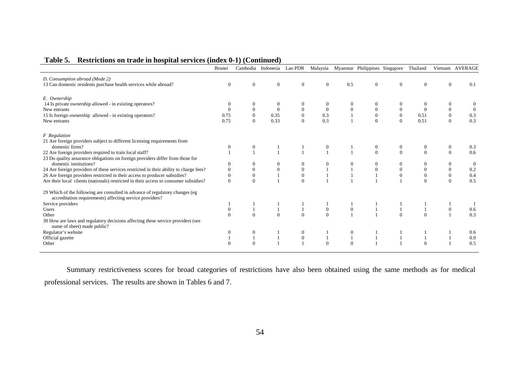| Table 5. Restrictions on trade in hospital services (index 0-1) (Continued) |  |  |  |  |  |  |
|-----------------------------------------------------------------------------|--|--|--|--|--|--|
|-----------------------------------------------------------------------------|--|--|--|--|--|--|

|                                                                                                                                          | Brunei   | Cambodia         | Indonesia Lao PDR |                  | Malaysia     |              | Myanmar Philippines Singapore |                  | Thailand       |                | Vietnam AVERAGE |
|------------------------------------------------------------------------------------------------------------------------------------------|----------|------------------|-------------------|------------------|--------------|--------------|-------------------------------|------------------|----------------|----------------|-----------------|
| D. Consumption abroad (Mode 2)                                                                                                           |          |                  |                   |                  |              |              |                               |                  |                |                |                 |
| 13 Can domestic residents purchase health services while abroad?                                                                         | $\theta$ | $\theta$         | $\theta$          | $\theta$         | $\Omega$     | 0.5          | $\overline{0}$                | $\mathbf{0}$     | $\mathbf{0}$   | $\mathbf{0}$   | 0.1             |
|                                                                                                                                          |          |                  |                   |                  |              |              |                               |                  |                |                |                 |
| E. Ownership                                                                                                                             |          |                  |                   |                  |              |              |                               |                  |                |                |                 |
| 14 Is private ownership allowed - in existing operators?                                                                                 |          | $\mathbf{0}$     | $\theta$          | $\theta$         |              |              | $\Omega$                      |                  |                | $\Omega$       |                 |
| New entrants                                                                                                                             |          | $\mathbf{0}$     | $\overline{0}$    | $\mathbf{0}$     | $\mathbf{0}$ | $\theta$     | $\mathbf{0}$                  |                  | $\Omega$       | $\overline{0}$ | $\overline{0}$  |
| 15 Is foreign ownership allowed - in existing operators?                                                                                 | 0.75     | $\boldsymbol{0}$ | 0.35              | $\boldsymbol{0}$ | 0.3          |              | $\mathbf{0}$                  | $\boldsymbol{0}$ | 0.51           |                | 0.3             |
| New entrants                                                                                                                             | 0.75     | $\Omega$         | 0.33              | $\Omega$         | 0.3          |              | $\Omega$                      | $\Omega$         | 0.51           |                | 0.3             |
| <b>F</b> Regulation                                                                                                                      |          |                  |                   |                  |              |              |                               |                  |                |                |                 |
| 21 Are foreign providers subject to different licensing requirements from                                                                |          |                  |                   |                  |              |              |                               |                  |                |                |                 |
| domestic firms?                                                                                                                          | 0        | $\mathbf{0}$     |                   |                  | $\mathbf{0}$ |              | $\mathbf{0}$                  | $\mathbf{0}$     | $\mathbf{0}$   | $\overline{0}$ | 0.3             |
| 22 Are foreign providers required to train local staff?                                                                                  |          | $\mathbf{1}$     |                   |                  |              |              | $\Omega$                      | $\Omega$         | $\Omega$       | $\Omega$       | 0.6             |
| 23 Do quality assurance obligations on foreign providers differ from those for                                                           |          |                  |                   |                  |              |              |                               |                  |                |                |                 |
| domestic institutions?                                                                                                                   |          | $\boldsymbol{0}$ | $\mathbf{0}$      | $\mathbf{0}$     |              |              | $\overline{0}$                |                  | $\overline{0}$ | $\overline{0}$ | $\overline{0}$  |
| 24 Are foreign providers of these services restricted in their ability to charge fees?                                                   |          | $\mathbf{0}$     | $\mathbf{0}$      | $\boldsymbol{0}$ |              |              | $\mathbf{0}$                  |                  | $\theta$       | $\Omega$       | 0.2             |
| 26 Are foreign providers restricted in their access to producer subsidies?                                                               |          | $\boldsymbol{0}$ |                   | $\boldsymbol{0}$ |              |              |                               | $\mathbf{0}$     | $\mathbf{0}$   |                | 0.4             |
| Are their local clients (nationals) restricted in their access to consumer subsidies?                                                    | $\theta$ | $\mathbf{0}$     |                   | $\theta$         |              |              |                               |                  | $\Omega$       | $\Omega$       | 0.5             |
|                                                                                                                                          |          |                  |                   |                  |              |              |                               |                  |                |                |                 |
| 29 Which of the following are consulted in advance of regulatory changes (eg<br>accreditation requirements) affecting service providers? |          |                  |                   |                  |              |              |                               |                  |                |                |                 |
| Service providers                                                                                                                        |          |                  |                   |                  |              |              |                               |                  |                |                |                 |
| Users                                                                                                                                    | $\theta$ | 1                | $\mathbf{1}$      |                  | $\mathbf{0}$ | $\mathbf{0}$ |                               |                  |                | $\overline{0}$ | 0.6             |
| Other                                                                                                                                    | $\Omega$ | $\Omega$         | $\Omega$          | $\Omega$         | $\Omega$     |              |                               | $\Omega$         | $\Omega$       |                | 0.3             |
| 30 How are laws and regulatory decisions affecting these service providers (see<br>name of sheet) made public?                           |          |                  |                   |                  |              |              |                               |                  |                |                |                 |
| Regulator's website                                                                                                                      |          | $\mathbf{0}$     |                   | $\mathbf{0}$     |              | 0            |                               |                  |                |                | 0.6             |
| Official gazette                                                                                                                         |          | $\mathbf{1}$     |                   | $\boldsymbol{0}$ |              |              |                               |                  |                |                | 0.9             |
| Other                                                                                                                                    |          | $\Omega$         |                   |                  |              | $\Omega$     |                               |                  | $\theta$       |                | 0.5             |
|                                                                                                                                          |          |                  |                   |                  |              |              |                               |                  |                |                |                 |

Summary restrictiveness scores for broad categories of restrictions have also been obtained using the same methods as for medical professional services. The results are shown in Tables 6 and 7.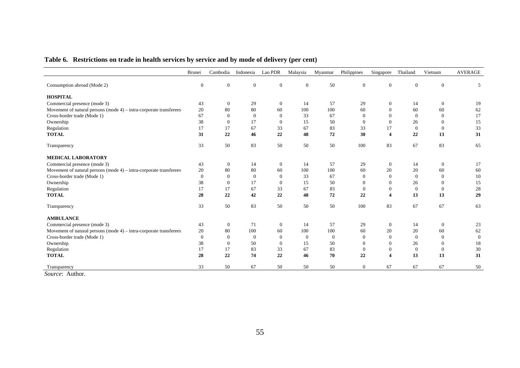| Table 6. Restrictions on trade in health services by service and by mode of delivery (per cent) |  |  |  |  |  |  |
|-------------------------------------------------------------------------------------------------|--|--|--|--|--|--|
|                                                                                                 |  |  |  |  |  |  |

|                                                                       | Brunei           | Cambodia         | Indonesia      | Lao PDR        | Malaysia       | Myanmar  | Philippines      | Singapore               | Thailand     | Vietnam        | <b>AVERAGE</b> |
|-----------------------------------------------------------------------|------------------|------------------|----------------|----------------|----------------|----------|------------------|-------------------------|--------------|----------------|----------------|
| Consumption abroad (Mode 2)                                           | $\mathbf{0}$     | $\boldsymbol{0}$ | $\mathbf{0}$   | $\mathbf{0}$   | $\mathbf{0}$   | 50       | $\mathbf{0}$     | $\mathbf{0}$            | $\mathbf{0}$ | $\mathbf{0}$   | 5              |
| <b>HOSPITAL</b>                                                       |                  |                  |                |                |                |          |                  |                         |              |                |                |
| Commercial presence (mode 3)                                          | 43               | $\mathbf{0}$     | 29             | $\mathbf{0}$   | 14             | 57       | 29               | $\mathbf{0}$            | 14           | $\mathbf{0}$   | 19             |
| Movement of natural persons (mode $4$ ) – intra-corporate transferees | 20               | 80               | 80             | 60             | 100            | 100      | 60               | $\overline{0}$          | 60           | 60             | 62             |
| Cross-border trade (Mode 1)                                           | 67               | $\Omega$         | $\overline{0}$ | $\mathbf{0}$   | 33             | 67       | $\theta$         | $\theta$                | $\Omega$     | $\Omega$       | 17             |
| Ownership                                                             | 38               | $\Omega$         | 17             | $\mathbf{0}$   | 15             | 50       | $\theta$         | $\overline{0}$          | 26           | $\Omega$       | 15             |
| Regulation                                                            | 17               | 17               | 67             | 33             | 67             | 83       | 33               | 17                      | $\Omega$     | $\overline{0}$ | 33             |
| <b>TOTAL</b>                                                          | 31               | 22               | 46             | 22             | 48             | 72       | 30               | $\overline{\mathbf{4}}$ | 22           | 13             | 31             |
| Transparency                                                          | 33               | 50               | 83             | 50             | 50             | 50       | 100              | 83                      | 67           | 83             | 65             |
| <b>MEDICAL LABORATORY</b>                                             |                  |                  |                |                |                |          |                  |                         |              |                |                |
| Commercial presence (mode 3)                                          | 43               | $\mathbf{0}$     | 14             | $\mathbf{0}$   | 14             | 57       | 29               | $\mathbf{0}$            | 14           | $\mathbf{0}$   | 17             |
| Movement of natural persons (mode $4$ ) – intra-corporate transferees | 20               | 80               | 80             | 60             | 100            | 100      | 60               | 20                      | 20           | 60             | 60             |
| Cross-border trade (Mode 1)                                           | $\boldsymbol{0}$ | $\Omega$         | $\theta$       | $\mathbf{0}$   | 33             | 67       | $\theta$         | $\overline{0}$          | $\Omega$     | $\Omega$       | 10             |
| Ownership                                                             | 38               | $\Omega$         | 17             | $\mathbf{0}$   | 15             | 50       | $\theta$         | $\theta$                | 26           | $\Omega$       | 15             |
| Regulation                                                            | 17               | 17               | 67             | 33             | 67             | 83       | $\overline{0}$   | $\theta$                | $\Omega$     | $\overline{0}$ | 28             |
| <b>TOTAL</b>                                                          | 28               | 22               | 42             | 22             | 48             | 72       | 22               | $\overline{\mathbf{4}}$ | 13           | 13             | 29             |
| Transparency                                                          | 33               | 50               | 83             | 50             | 50             | 50       | 100              | 83                      | 67           | 67             | 63             |
| <b>AMBULANCE</b>                                                      |                  |                  |                |                |                |          |                  |                         |              |                |                |
| Commercial presence (mode 3)                                          | 43               | $\mathbf{0}$     | 71             | $\mathbf{0}$   | 14             | 57       | 29               | $\mathbf{0}$            | 14           | $\mathbf{0}$   | 23             |
| Movement of natural persons (mode $4$ ) – intra-corporate transferees | 20               | 80               | 100            | 60             | 100            | 100      | 60               | 20                      | 20           | 60             | 62             |
| Cross-border trade (Mode 1)                                           | $\overline{0}$   | $\Omega$         | $\theta$       | $\overline{0}$ | $\overline{0}$ | $\theta$ | $\theta$         | $\theta$                | $\Omega$     | $\theta$       | $\overline{0}$ |
| Ownership                                                             | 38               | $\Omega$         | 50             | $\mathbf{0}$   | 15             | 50       | $\theta$         | $\theta$                | 26           | $\Omega$       | 18             |
| Regulation                                                            | 17               | 17               | 83             | 33             | 67             | 83       | $\boldsymbol{0}$ | $\mathbf{0}$            | $\theta$     | $\overline{0}$ | 30             |
| <b>TOTAL</b>                                                          | 28               | 22               | 74             | 22             | 46             | 70       | 22               | $\overline{\mathbf{4}}$ | 13           | 13             | 31             |
| Transparency                                                          | 33               | 50               | 67             | 50             | 50             | 50       | $\overline{0}$   | 67                      | 67           | 67             | 50             |

*Source*: Author.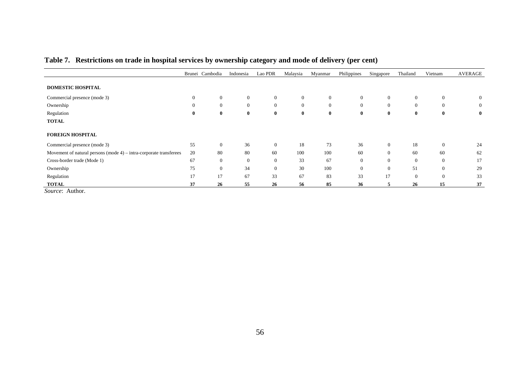|                                                                       |              | Brunei Cambodia  | Indonesia    | Lao PDR        | Malaysia       | Myanmar      | Philippines    | Singapore    | Thailand       | Vietnam        | <b>AVERAGE</b> |
|-----------------------------------------------------------------------|--------------|------------------|--------------|----------------|----------------|--------------|----------------|--------------|----------------|----------------|----------------|
|                                                                       |              |                  |              |                |                |              |                |              |                |                |                |
| <b>DOMESTIC HOSPITAL</b>                                              |              |                  |              |                |                |              |                |              |                |                |                |
| Commercial presence (mode 3)                                          | $\mathbf{0}$ | $\overline{0}$   | $\theta$     | $\overline{0}$ | $\overline{0}$ | $\mathbf{0}$ | $\overline{0}$ | $\mathbf{0}$ | $\overline{0}$ | $\overline{0}$ | $\overline{0}$ |
| Ownership                                                             | $\mathbf{0}$ | $\mathbf{0}$     | $\mathbf{0}$ | $\overline{0}$ | $\mathbf{0}$   | $\mathbf{0}$ | $\mathbf{0}$   | $\mathbf{0}$ | $\overline{0}$ | $\mathbf{0}$   | $\overline{0}$ |
| Regulation                                                            | $\bf{0}$     | $\bf{0}$         | $\bf{0}$     | $\bf{0}$       | $\bf{0}$       | $\bf{0}$     | $\bf{0}$       | $\bf{0}$     | $\bf{0}$       | $\bf{0}$       | $\bf{0}$       |
| <b>TOTAL</b>                                                          |              |                  |              |                |                |              |                |              |                |                |                |
|                                                                       |              |                  |              |                |                |              |                |              |                |                |                |
| <b>FOREIGN HOSPITAL</b>                                               |              |                  |              |                |                |              |                |              |                |                |                |
| Commercial presence (mode 3)                                          | 55           | $\boldsymbol{0}$ | 36           | $\overline{0}$ | 18             | 73           | 36             | $\mathbf{0}$ | 18             | $\mathbf{0}$   | 24             |
| Movement of natural persons (mode $4$ ) – intra-corporate transferees | 20           | 80               | 80           | 60             | 100            | 100          | 60             | $\mathbf{0}$ | 60             | 60             | 62             |
| Cross-border trade (Mode 1)                                           | 67           | $\overline{0}$   | $\mathbf{0}$ | $\overline{0}$ | 33             | 67           | $\mathbf{0}$   | $\mathbf{0}$ | $\theta$       | $\overline{0}$ | 17             |
| Ownership                                                             | 75           | $\mathbf{0}$     | 34           | $\Omega$       | 30             | 100          | $\theta$       | $\mathbf{0}$ | 51             | $\Omega$       | 29             |
| Regulation                                                            | 17           | 17               | 67           | 33             | 67             | 83           | 33             | 17           | $\overline{0}$ | $\theta$       | 33             |
| <b>TOTAL</b>                                                          | 37           | 26               | 55           | 26             | 56             | 85           | 36             | 5            | 26             | 15             | 37             |

# **Table 7. Restrictions on trade in hospital services by ownership category and mode of delivery (per cent)**

*Source*: Author.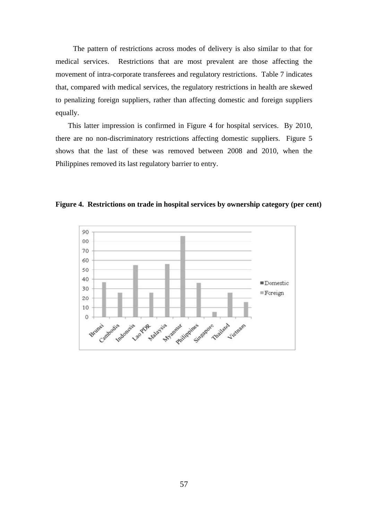The pattern of restrictions across modes of delivery is also similar to that for medical services. Restrictions that are most prevalent are those affecting the movement of intra-corporate transferees and regulatory restrictions. Table 7 indicates that, compared with medical services, the regulatory restrictions in health are skewed to penalizing foreign suppliers, rather than affecting domestic and foreign suppliers equally.

This latter impression is confirmed in Figure 4 for hospital services. By 2010, there are no non-discriminatory restrictions affecting domestic suppliers. Figure 5 shows that the last of these was removed between 2008 and 2010, when the Philippines removed its last regulatory barrier to entry.



**Figure 4. Restrictions on trade in hospital services by ownership category (per cent)**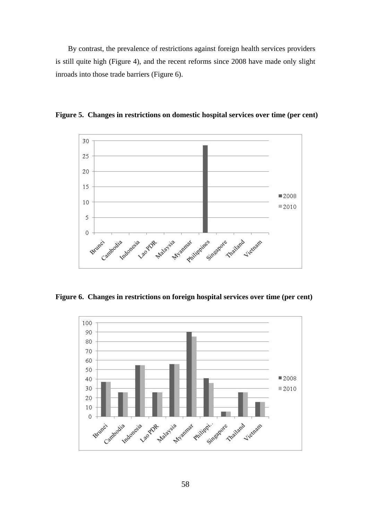By contrast, the prevalence of restrictions against foreign health services providers is still quite high (Figure 4), and the recent reforms since 2008 have made only slight inroads into those trade barriers (Figure 6).



**Figure 5. Changes in restrictions on domestic hospital services over time (per cent)** 

**Figure 6. Changes in restrictions on foreign hospital services over time (per cent)** 

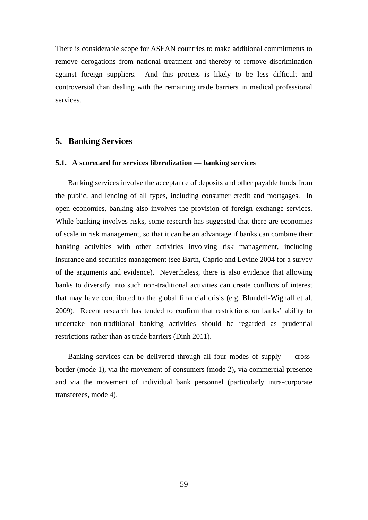There is considerable scope for ASEAN countries to make additional commitments to remove derogations from national treatment and thereby to remove discrimination against foreign suppliers. And this process is likely to be less difficult and controversial than dealing with the remaining trade barriers in medical professional services.

### **5. Banking Services**

#### **5.1. A scorecard for services liberalization — banking services**

Banking services involve the acceptance of deposits and other payable funds from the public, and lending of all types, including consumer credit and mortgages. In open economies, banking also involves the provision of foreign exchange services. While banking involves risks, some research has suggested that there are economies of scale in risk management, so that it can be an advantage if banks can combine their banking activities with other activities involving risk management, including insurance and securities management (see Barth, Caprio and Levine 2004 for a survey of the arguments and evidence). Nevertheless, there is also evidence that allowing banks to diversify into such non-traditional activities can create conflicts of interest that may have contributed to the global financial crisis (e.g. Blundell-Wignall et al. 2009). Recent research has tended to confirm that restrictions on banks' ability to undertake non-traditional banking activities should be regarded as prudential restrictions rather than as trade barriers (Dinh 2011).

Banking services can be delivered through all four modes of supply — crossborder (mode 1), via the movement of consumers (mode 2), via commercial presence and via the movement of individual bank personnel (particularly intra-corporate transferees, mode 4).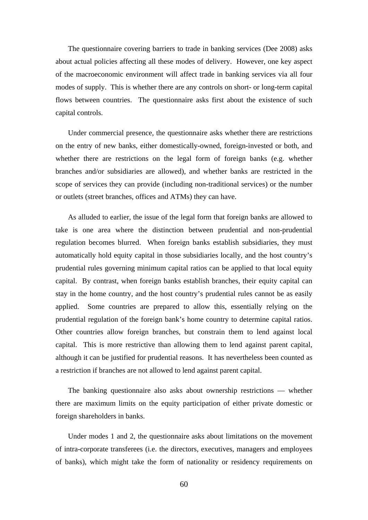The questionnaire covering barriers to trade in banking services (Dee 2008) asks about actual policies affecting all these modes of delivery. However, one key aspect of the macroeconomic environment will affect trade in banking services via all four modes of supply. This is whether there are any controls on short- or long-term capital flows between countries. The questionnaire asks first about the existence of such capital controls.

Under commercial presence, the questionnaire asks whether there are restrictions on the entry of new banks, either domestically-owned, foreign-invested or both, and whether there are restrictions on the legal form of foreign banks (e.g. whether branches and/or subsidiaries are allowed), and whether banks are restricted in the scope of services they can provide (including non-traditional services) or the number or outlets (street branches, offices and ATMs) they can have.

As alluded to earlier, the issue of the legal form that foreign banks are allowed to take is one area where the distinction between prudential and non-prudential regulation becomes blurred. When foreign banks establish subsidiaries, they must automatically hold equity capital in those subsidiaries locally, and the host country's prudential rules governing minimum capital ratios can be applied to that local equity capital. By contrast, when foreign banks establish branches, their equity capital can stay in the home country, and the host country's prudential rules cannot be as easily applied. Some countries are prepared to allow this, essentially relying on the prudential regulation of the foreign bank's home country to determine capital ratios. Other countries allow foreign branches, but constrain them to lend against local capital. This is more restrictive than allowing them to lend against parent capital, although it can be justified for prudential reasons. It has nevertheless been counted as a restriction if branches are not allowed to lend against parent capital.

The banking questionnaire also asks about ownership restrictions — whether there are maximum limits on the equity participation of either private domestic or foreign shareholders in banks.

Under modes 1 and 2, the questionnaire asks about limitations on the movement of intra-corporate transferees (i.e. the directors, executives, managers and employees of banks), which might take the form of nationality or residency requirements on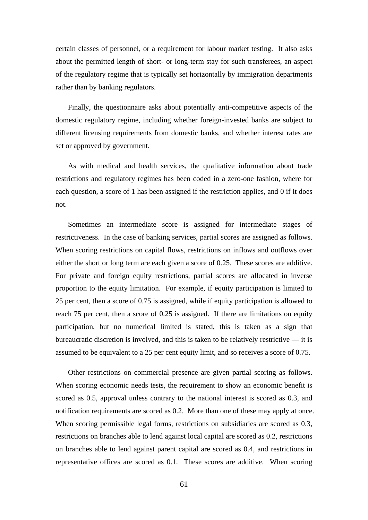certain classes of personnel, or a requirement for labour market testing. It also asks about the permitted length of short- or long-term stay for such transferees, an aspect of the regulatory regime that is typically set horizontally by immigration departments rather than by banking regulators.

Finally, the questionnaire asks about potentially anti-competitive aspects of the domestic regulatory regime, including whether foreign-invested banks are subject to different licensing requirements from domestic banks, and whether interest rates are set or approved by government.

As with medical and health services, the qualitative information about trade restrictions and regulatory regimes has been coded in a zero-one fashion, where for each question, a score of 1 has been assigned if the restriction applies, and 0 if it does not.

Sometimes an intermediate score is assigned for intermediate stages of restrictiveness. In the case of banking services, partial scores are assigned as follows. When scoring restrictions on capital flows, restrictions on inflows and outflows over either the short or long term are each given a score of 0.25. These scores are additive. For private and foreign equity restrictions, partial scores are allocated in inverse proportion to the equity limitation. For example, if equity participation is limited to 25 per cent, then a score of 0.75 is assigned, while if equity participation is allowed to reach 75 per cent, then a score of 0.25 is assigned. If there are limitations on equity participation, but no numerical limited is stated, this is taken as a sign that bureaucratic discretion is involved, and this is taken to be relatively restrictive — it is assumed to be equivalent to a 25 per cent equity limit, and so receives a score of 0.75.

Other restrictions on commercial presence are given partial scoring as follows. When scoring economic needs tests, the requirement to show an economic benefit is scored as 0.5, approval unless contrary to the national interest is scored as 0.3, and notification requirements are scored as 0.2. More than one of these may apply at once. When scoring permissible legal forms, restrictions on subsidiaries are scored as 0.3, restrictions on branches able to lend against local capital are scored as 0.2, restrictions on branches able to lend against parent capital are scored as 0.4, and restrictions in representative offices are scored as 0.1. These scores are additive. When scoring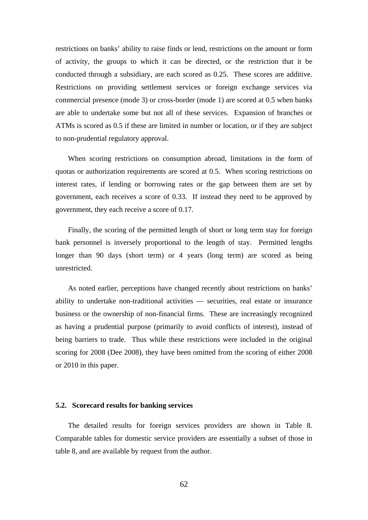restrictions on banks' ability to raise finds or lend, restrictions on the amount or form of activity, the groups to which it can be directed, or the restriction that it be conducted through a subsidiary, are each scored as 0.25. These scores are additive. Restrictions on providing settlement services or foreign exchange services via commercial presence (mode 3) or cross-border (mode 1) are scored at 0.5 when banks are able to undertake some but not all of these services. Expansion of branches or ATMs is scored as 0.5 if these are limited in number or location, or if they are subject to non-prudential regulatory approval.

When scoring restrictions on consumption abroad, limitations in the form of quotas or authorization requirements are scored at 0.5. When scoring restrictions on interest rates, if lending or borrowing rates or the gap between them are set by government, each receives a score of 0.33. If instead they need to be approved by government, they each receive a score of 0.17.

Finally, the scoring of the permitted length of short or long term stay for foreign bank personnel is inversely proportional to the length of stay. Permitted lengths longer than 90 days (short term) or 4 years (long term) are scored as being unrestricted.

As noted earlier, perceptions have changed recently about restrictions on banks' ability to undertake non-traditional activities — securities, real estate or insurance business or the ownership of non-financial firms. These are increasingly recognized as having a prudential purpose (primarily to avoid conflicts of interest), instead of being barriers to trade. Thus while these restrictions were included in the original scoring for 2008 (Dee 2008), they have been omitted from the scoring of either 2008 or 2010 in this paper.

#### **5.2. Scorecard results for banking services**

The detailed results for foreign services providers are shown in Table 8. Comparable tables for domestic service providers are essentially a subset of those in table 8, and are available by request from the author.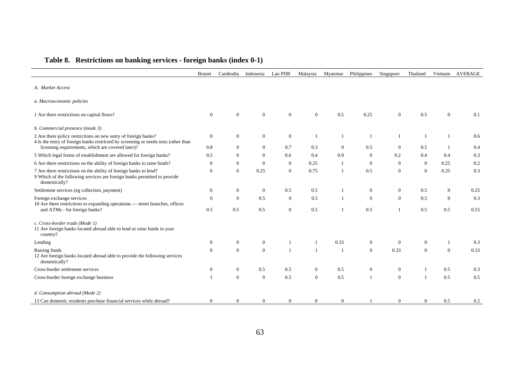|                                                                                                                                                                                                                                            | <b>Brunei</b>    | Cambodia                       | Indonesia                  | Lao PDR          | Malaysia       | Myanmar               | Philippines                    | Singapore       | Thailand                   | Vietnam        | <b>AVERAGE</b> |
|--------------------------------------------------------------------------------------------------------------------------------------------------------------------------------------------------------------------------------------------|------------------|--------------------------------|----------------------------|------------------|----------------|-----------------------|--------------------------------|-----------------|----------------------------|----------------|----------------|
| A. Market Access                                                                                                                                                                                                                           |                  |                                |                            |                  |                |                       |                                |                 |                            |                |                |
| a. Macroeconomic policies                                                                                                                                                                                                                  |                  |                                |                            |                  |                |                       |                                |                 |                            |                |                |
| 1 Are there restrictions on capital flows?                                                                                                                                                                                                 | $\overline{0}$   | $\overline{0}$                 | $\theta$                   | $\mathbf{0}$     | $\overline{0}$ | 0.5                   | 0.25                           | $\theta$        | 0.5                        | $\overline{0}$ | 0.1            |
| b. Commercial presence (mode 3)                                                                                                                                                                                                            |                  |                                |                            |                  |                |                       |                                |                 |                            |                |                |
| 2 Are there policy restrictions on new entry of foreign banks?<br>4 Is the entry of foreign banks restricted by screening or needs tests (other than                                                                                       | $\boldsymbol{0}$ | $\overline{0}$                 | $\mathbf{0}$               | $\boldsymbol{0}$ |                | $\mathbf{1}$          | 1                              | 1               |                            | $\mathbf{1}$   | 0.6            |
| licensing requirements, which are covered later)?                                                                                                                                                                                          | 0.8              | $\overline{0}$                 | $\overline{0}$             | 0.7              | 0.3            | $\theta$              | 0.5                            | $\theta$        | 0.5                        | $\mathbf{1}$   | 0.4            |
| 5 Which legal forms of establishment are allowed for foreign banks?                                                                                                                                                                        | 0.5<br>$\theta$  | $\mathbf{0}$                   | $\overline{0}$<br>$\Omega$ | 0.6<br>$\theta$  | 0.4<br>0.25    | 0.9<br>$\overline{1}$ | $\mathbf{0}$<br>$\overline{0}$ | 0.2<br>$\theta$ | 0.4                        | 0.4<br>0.25    | 0.3<br>0.2     |
| 6 Are there restrictions on the ability of foreign banks to raise funds?<br>7 Are there restrictions on the ability of foreign banks to lend?<br>9 Which of the following services are foreign banks permitted to provide<br>domestically? | $\mathbf{0}$     | $\overline{0}$<br>$\mathbf{0}$ | 0.25                       | $\Omega$         | 0.75           | $\overline{1}$        | 0.5                            | $\Omega$        | $\overline{0}$<br>$\Omega$ | 0.25           | 0.3            |
| Settlement services (eg collection, payment)                                                                                                                                                                                               | $\mathbf{0}$     | $\mathbf{0}$                   | $\overline{0}$             | 0.5              | 0.5            |                       | $\overline{0}$                 | $\mathbf{0}$    | 0.5                        | $\overline{0}$ | 0.25           |
| Foreign exchange services<br>10 Are there restrictions to expanding operations — street branches, offices                                                                                                                                  | $\overline{0}$   | $\theta$                       | 0.5                        | $\mathbf{0}$     | 0.5            | $\mathbf{1}$          | $\overline{0}$                 | $\theta$        | 0.5                        | $\theta$       | 0.3            |
| and ATMs - for foreign banks?                                                                                                                                                                                                              | 0.5              | 0.5                            | 0.5                        | $\mathbf{0}$     | 0.5            | $\overline{1}$        | 0.5                            | -1              | 0.5                        | 0.5            | 0.55           |
| c. Cross-border trade (Mode 1)<br>11 Are foreign banks located abroad able to lend or raise funds in your<br>country?                                                                                                                      |                  |                                |                            |                  |                |                       |                                |                 |                            |                |                |
| Lending                                                                                                                                                                                                                                    | $\mathbf{0}$     | $\boldsymbol{0}$               | $\mathbf{0}$               |                  |                | 0.33                  | $\boldsymbol{0}$               | $\mathbf{0}$    | $\boldsymbol{0}$           | 1              | 0.3            |
| Raising funds<br>12 Are foreign banks located abroad able to provide the following services<br>domestically?                                                                                                                               | $\overline{0}$   | $\overline{0}$                 | $\theta$                   |                  | $\mathbf{1}$   | $\overline{1}$        | $\overline{0}$                 | 0.33            | $\overline{0}$             | $\overline{0}$ | 0.33           |
| Cross-border settlement services                                                                                                                                                                                                           | $\mathbf{0}$     | $\overline{0}$                 | 0.5                        | 0.5              | $\overline{0}$ | 0.5                   | $\mathbf{0}$                   | $\mathbf{0}$    |                            | 0.5            | 0.3            |
| Cross-border foreign exchange business                                                                                                                                                                                                     | $\overline{1}$   | $\mathbf{0}$                   | $\mathbf{0}$               | 0.5              | $\mathbf{0}$   | 0.5                   | $\mathbf{1}$                   | $\mathbf{0}$    |                            | 0.5            | 0.5            |
| d. Consumption abroad (Mode 2)                                                                                                                                                                                                             |                  |                                |                            |                  |                |                       |                                |                 |                            |                |                |
| 13 Can domestic residents purchase financial services while abroad?                                                                                                                                                                        | $\mathbf{0}$     | $\mathbf{0}$                   | $\overline{0}$             | $\theta$         | $\overline{0}$ | $\overline{0}$        |                                | $\theta$        | $\overline{0}$             | 0.5            | 0.2            |

# **Table 8. Restrictions on banking services - foreign banks (index 0-1)**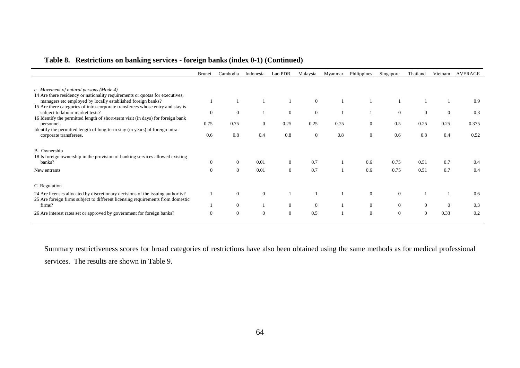|  |  | Table 8. Restrictions on banking services - foreign banks (index 0-1) (Continued) |
|--|--|-----------------------------------------------------------------------------------|
|  |  |                                                                                   |

|                                                                                                                                                                  | <b>Brunei</b> | Cambodia       | Indonesia      | Lao PDR        | Malaysia       | Myanmar | Philippines    | Singapore      | Thailand | Vietnam  | AVERAGE |
|------------------------------------------------------------------------------------------------------------------------------------------------------------------|---------------|----------------|----------------|----------------|----------------|---------|----------------|----------------|----------|----------|---------|
| e. Movement of natural persons (Mode 4)<br>14 Are there residency or nationality requirements or quotas for executives,                                          |               |                |                |                |                |         |                |                |          |          |         |
| managers etc employed by locally established foreign banks?<br>15 Are there categories of intra-corporate transferees whose entry and stay is                    |               |                |                |                | $\overline{0}$ |         |                |                |          |          | 0.9     |
| subject to labour market tests?<br>16 Identify the permitted length of short-term visit (in days) for foreign bank                                               | $\Omega$      | $\overline{0}$ |                | $\overline{0}$ | $\overline{0}$ |         |                | $\overline{0}$ | $\Omega$ | $\theta$ | 0.3     |
| personnel.                                                                                                                                                       | 0.75          | 0.75           | $\overline{0}$ | 0.25           | 0.25           | 0.75    | $\overline{0}$ | 0.5            | 0.25     | 0.25     | 0.375   |
| Identify the permitted length of long-term stay (in years) of foreign intra-<br>corporate transferees.                                                           | 0.6           | 0.8            | 0.4            | 0.8            | $\Omega$       | 0.8     | $\overline{0}$ | 0.6            | 0.8      | 0.4      | 0.52    |
| B. Ownership<br>18 Is foreign ownership in the provision of banking services allowed existing<br>banks?                                                          |               | $\overline{0}$ | 0.01           | $\Omega$       | 0.7            |         | 0.6            | 0.75           | 0.51     | 0.7      | 0.4     |
| New entrants                                                                                                                                                     |               | $\mathbf{0}$   | 0.01           | $\overline{0}$ | 0.7            |         | 0.6            | 0.75           | 0.51     | 0.7      | 0.4     |
| C Regulation                                                                                                                                                     |               |                |                |                |                |         |                |                |          |          |         |
| 24 Are licenses allocated by discretionary decisions of the issuing authority?<br>25 Are foreign firms subject to different licensing requirements from domestic |               | $\overline{0}$ | $\overline{0}$ |                |                |         | $\mathbf{0}$   | $\Omega$       |          |          | 0.6     |
| firms?                                                                                                                                                           |               | $\overline{0}$ |                | $\overline{0}$ | $\overline{0}$ |         | $\overline{0}$ | $\overline{0}$ | $\Omega$ | $\Omega$ | 0.3     |
| 26 Are interest rates set or approved by government for foreign banks?                                                                                           | $\Omega$      | $\overline{0}$ | $\mathbf{0}$   | $\Omega$       | 0.5            |         | $\overline{0}$ | $\Omega$       | $\Omega$ | 0.33     | 0.2     |

Summary restrictiveness scores for broad categories of restrictions have also been obtained using the same methods as for medical professional services. The results are shown in Table 9.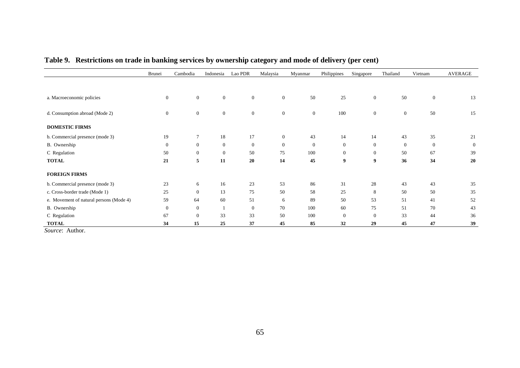|                                         | Brunei         | Cambodia         | Indonesia      | Lao PDR        | Malaysia       | Myanmar      | Philippines    | Singapore      | Thailand       | Vietnam      | <b>AVERAGE</b> |
|-----------------------------------------|----------------|------------------|----------------|----------------|----------------|--------------|----------------|----------------|----------------|--------------|----------------|
|                                         |                |                  |                |                |                |              |                |                |                |              |                |
|                                         |                |                  |                |                |                |              |                |                |                |              |                |
| a. Macroeconomic policies               | $\overline{0}$ | $\mathbf{0}$     | $\overline{0}$ | $\overline{0}$ | $\mathbf{0}$   | 50           | 25             | $\mathbf{0}$   | 50             | $\mathbf{0}$ | 13             |
|                                         |                |                  |                |                |                |              |                |                |                |              |                |
| d. Consumption abroad (Mode 2)          | $\mathbf{0}$   | $\boldsymbol{0}$ | $\overline{0}$ | $\overline{0}$ | $\mathbf{0}$   | $\mathbf{0}$ | 100            | $\mathbf{0}$   | $\overline{0}$ | 50           | 15             |
|                                         |                |                  |                |                |                |              |                |                |                |              |                |
| <b>DOMESTIC FIRMS</b>                   |                |                  |                |                |                |              |                |                |                |              |                |
| b. Commercial presence (mode 3)         | 19             | $\overline{7}$   | 18             | 17             | $\overline{0}$ | 43           | 14             | 14             | 43             | 35           | 21             |
| B. Ownership                            | $\mathbf{0}$   | $\mathbf{0}$     | $\mathbf{0}$   | $\mathbf{0}$   | $\mathbf{0}$   | $\mathbf{0}$ | $\theta$       | $\overline{0}$ | $\mathbf{0}$   | $\mathbf{0}$ | $\mathbf{0}$   |
| C Regulation                            | 50             | $\mathbf{0}$     | $\overline{0}$ | 50             | 75             | 100          | $\overline{0}$ | $\overline{0}$ | 50             | 67           | 39             |
| <b>TOTAL</b>                            | 21             | 5                | 11             | 20             | 14             | 45           | 9              | 9              | 36             | 34           | 20             |
| <b>FOREIGN FIRMS</b>                    |                |                  |                |                |                |              |                |                |                |              |                |
|                                         |                |                  |                |                |                |              |                |                |                |              |                |
| b. Commercial presence (mode 3)         | 23             | 6                | 16             | 23             | 53             | 86           | 31             | 28             | 43             | 43           | 35             |
| c. Cross-border trade (Mode 1)          | 25             | $\mathbf{0}$     | 13             | 75             | 50             | 58           | 25             | 8              | 50             | 50           | 35             |
| e. Movement of natural persons (Mode 4) | 59             | 64               | 60             | 51             | 6              | 89           | 50             | 53             | 51             | 41           | 52             |
| B. Ownership                            | $\mathbf{0}$   | $\mathbf{0}$     |                | $\overline{0}$ | 70             | 100          | 60             | 75             | 51             | 70           | 43             |
| C Regulation                            | 67             | $\mathbf{0}$     | 33             | 33             | 50             | 100          | $\Omega$       | $\Omega$       | 33             | 44           | 36             |
| <b>TOTAL</b>                            | 34             | 15               | 25             | 37             | 45             | 85           | 32             | 29             | 45             | 47           | 39             |

# **Table 9. Restrictions on trade in banking services by ownership category and mode of delivery (per cent)**

*Source*: Author.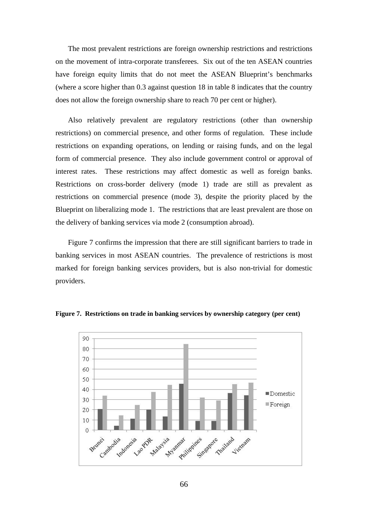The most prevalent restrictions are foreign ownership restrictions and restrictions on the movement of intra-corporate transferees. Six out of the ten ASEAN countries have foreign equity limits that do not meet the ASEAN Blueprint's benchmarks (where a score higher than 0.3 against question 18 in table 8 indicates that the country does not allow the foreign ownership share to reach 70 per cent or higher).

Also relatively prevalent are regulatory restrictions (other than ownership restrictions) on commercial presence, and other forms of regulation. These include restrictions on expanding operations, on lending or raising funds, and on the legal form of commercial presence. They also include government control or approval of interest rates. These restrictions may affect domestic as well as foreign banks. Restrictions on cross-border delivery (mode 1) trade are still as prevalent as restrictions on commercial presence (mode 3), despite the priority placed by the Blueprint on liberalizing mode 1. The restrictions that are least prevalent are those on the delivery of banking services via mode 2 (consumption abroad).

Figure 7 confirms the impression that there are still significant barriers to trade in banking services in most ASEAN countries. The prevalence of restrictions is most marked for foreign banking services providers, but is also non-trivial for domestic providers.



**Figure 7. Restrictions on trade in banking services by ownership category (per cent)** 

66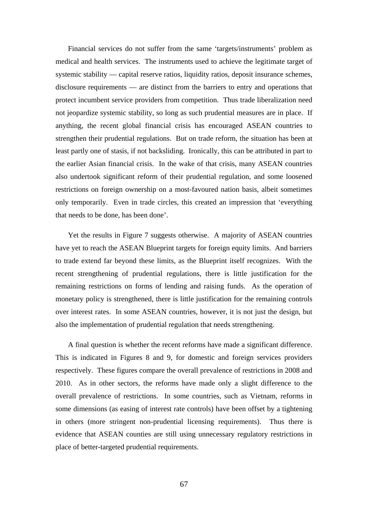Financial services do not suffer from the same 'targets/instruments' problem as medical and health services. The instruments used to achieve the legitimate target of systemic stability — capital reserve ratios, liquidity ratios, deposit insurance schemes, disclosure requirements — are distinct from the barriers to entry and operations that protect incumbent service providers from competition. Thus trade liberalization need not jeopardize systemic stability, so long as such prudential measures are in place. If anything, the recent global financial crisis has encouraged ASEAN countries to strengthen their prudential regulations. But on trade reform, the situation has been at least partly one of stasis, if not backsliding. Ironically, this can be attributed in part to the earlier Asian financial crisis. In the wake of that crisis, many ASEAN countries also undertook significant reform of their prudential regulation, and some loosened restrictions on foreign ownership on a most-favoured nation basis, albeit sometimes only temporarily. Even in trade circles, this created an impression that 'everything that needs to be done, has been done'.

Yet the results in Figure 7 suggests otherwise. A majority of ASEAN countries have yet to reach the ASEAN Blueprint targets for foreign equity limits. And barriers to trade extend far beyond these limits, as the Blueprint itself recognizes. With the recent strengthening of prudential regulations, there is little justification for the remaining restrictions on forms of lending and raising funds. As the operation of monetary policy is strengthened, there is little justification for the remaining controls over interest rates. In some ASEAN countries, however, it is not just the design, but also the implementation of prudential regulation that needs strengthening.

A final question is whether the recent reforms have made a significant difference. This is indicated in Figures 8 and 9, for domestic and foreign services providers respectively. These figures compare the overall prevalence of restrictions in 2008 and 2010. As in other sectors, the reforms have made only a slight difference to the overall prevalence of restrictions. In some countries, such as Vietnam, reforms in some dimensions (as easing of interest rate controls) have been offset by a tightening in others (more stringent non-prudential licensing requirements). Thus there is evidence that ASEAN counties are still using unnecessary regulatory restrictions in place of better-targeted prudential requirements.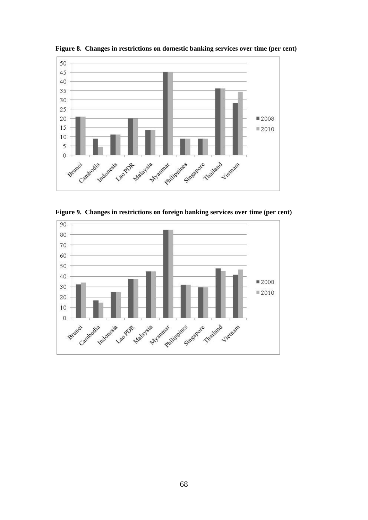

**Figure 8. Changes in restrictions on domestic banking services over time (per cent)** 

**Figure 9. Changes in restrictions on foreign banking services over time (per cent)** 

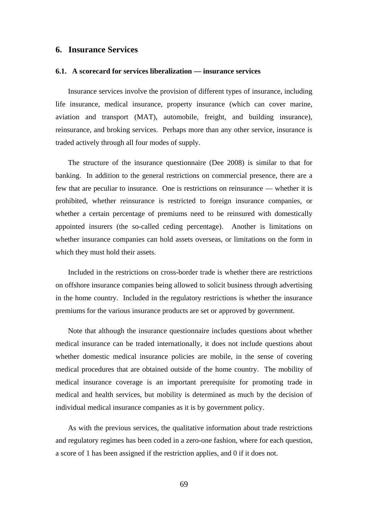### **6. Insurance Services**

#### **6.1. A scorecard for services liberalization — insurance services**

Insurance services involve the provision of different types of insurance, including life insurance, medical insurance, property insurance (which can cover marine, aviation and transport (MAT), automobile, freight, and building insurance), reinsurance, and broking services. Perhaps more than any other service, insurance is traded actively through all four modes of supply.

The structure of the insurance questionnaire (Dee 2008) is similar to that for banking. In addition to the general restrictions on commercial presence, there are a few that are peculiar to insurance. One is restrictions on reinsurance — whether it is prohibited, whether reinsurance is restricted to foreign insurance companies, or whether a certain percentage of premiums need to be reinsured with domestically appointed insurers (the so-called ceding percentage). Another is limitations on whether insurance companies can hold assets overseas, or limitations on the form in which they must hold their assets.

Included in the restrictions on cross-border trade is whether there are restrictions on offshore insurance companies being allowed to solicit business through advertising in the home country. Included in the regulatory restrictions is whether the insurance premiums for the various insurance products are set or approved by government.

Note that although the insurance questionnaire includes questions about whether medical insurance can be traded internationally, it does not include questions about whether domestic medical insurance policies are mobile, in the sense of covering medical procedures that are obtained outside of the home country. The mobility of medical insurance coverage is an important prerequisite for promoting trade in medical and health services, but mobility is determined as much by the decision of individual medical insurance companies as it is by government policy.

As with the previous services, the qualitative information about trade restrictions and regulatory regimes has been coded in a zero-one fashion, where for each question, a score of 1 has been assigned if the restriction applies, and 0 if it does not.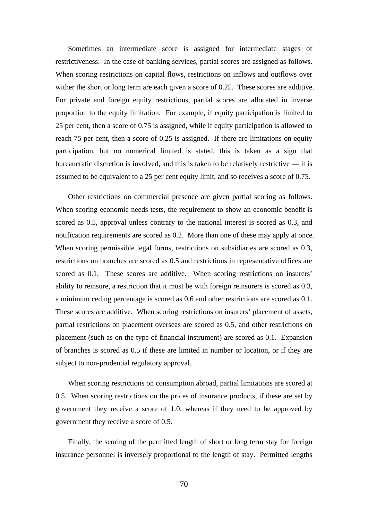Sometimes an intermediate score is assigned for intermediate stages of restrictiveness. In the case of banking services, partial scores are assigned as follows. When scoring restrictions on capital flows, restrictions on inflows and outflows over wither the short or long term are each given a score of 0.25. These scores are additive. For private and foreign equity restrictions, partial scores are allocated in inverse proportion to the equity limitation. For example, if equity participation is limited to 25 per cent, then a score of 0.75 is assigned, while if equity participation is allowed to reach 75 per cent, then a score of 0.25 is assigned. If there are limitations on equity participation, but no numerical limited is stated, this is taken as a sign that bureaucratic discretion is involved, and this is taken to be relatively restrictive — it is assumed to be equivalent to a 25 per cent equity limit, and so receives a score of 0.75.

Other restrictions on commercial presence are given partial scoring as follows. When scoring economic needs tests, the requirement to show an economic benefit is scored as 0.5, approval unless contrary to the national interest is scored as 0.3, and notification requirements are scored as 0.2. More than one of these may apply at once. When scoring permissible legal forms, restrictions on subsidiaries are scored as 0.3, restrictions on branches are scored as 0.5 and restrictions in representative offices are scored as 0.1. These scores are additive. When scoring restrictions on insurers' ability to reinsure, a restriction that it must be with foreign reinsurers is scored as 0.3, a minimum ceding percentage is scored as 0.6 and other restrictions are scored as 0.1. These scores are additive. When scoring restrictions on insurers' placement of assets, partial restrictions on placement overseas are scored as 0.5, and other restrictions on placement (such as on the type of financial instrument) are scored as 0.1. Expansion of branches is scored as 0.5 if these are limited in number or location, or if they are subject to non-prudential regulatory approval.

When scoring restrictions on consumption abroad, partial limitations are scored at 0.5. When scoring restrictions on the prices of insurance products, if these are set by government they receive a score of 1.0, whereas if they need to be approved by government they receive a score of 0.5.

Finally, the scoring of the permitted length of short or long term stay for foreign insurance personnel is inversely proportional to the length of stay. Permitted lengths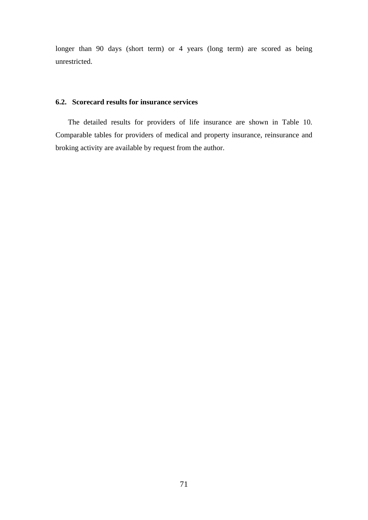longer than 90 days (short term) or 4 years (long term) are scored as being unrestricted.

## **6.2. Scorecard results for insurance services**

The detailed results for providers of life insurance are shown in Table 10. Comparable tables for providers of medical and property insurance, reinsurance and broking activity are available by request from the author.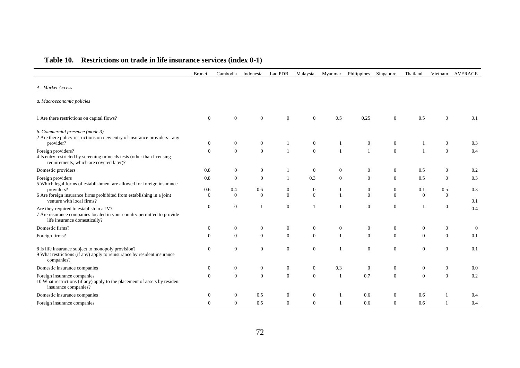|                                                                                                                                                   | Brunei               | Cambodia          | Indonesia                    | Lao PDR        | Malaysia                       | Myanmar            | Philippines                      | Singapore                      | Thailand          | Vietnam                          | <b>AVERAGE</b> |
|---------------------------------------------------------------------------------------------------------------------------------------------------|----------------------|-------------------|------------------------------|----------------|--------------------------------|--------------------|----------------------------------|--------------------------------|-------------------|----------------------------------|----------------|
| A. Market Access                                                                                                                                  |                      |                   |                              |                |                                |                    |                                  |                                |                   |                                  |                |
| a. Macroeconomic policies                                                                                                                         |                      |                   |                              |                |                                |                    |                                  |                                |                   |                                  |                |
| 1 Are there restrictions on capital flows?                                                                                                        | $\mathbf{0}$         | $\overline{0}$    | $\mathbf{0}$                 | $\theta$       | $\theta$                       | 0.5                | 0.25                             | $\boldsymbol{0}$               | 0.5               | $\mathbf{0}$                     | 0.1            |
| b. Commercial presence (mode 3)<br>2 Are there policy restrictions on new entry of insurance providers - any<br>provider?<br>Foreign providers?   | $\theta$<br>$\theta$ | 0<br>$\mathbf{0}$ | $\mathbf{0}$<br>$\mathbf{0}$ |                | $\overline{0}$<br>$\mathbf{0}$ | -1<br>$\mathbf{1}$ | $\boldsymbol{0}$<br>$\mathbf{1}$ | $\overline{0}$<br>$\mathbf{0}$ | 1<br>$\mathbf{1}$ | $\overline{0}$<br>$\overline{0}$ | 0.3<br>0.4     |
| 4 Is entry restricted by screening or needs tests (other than licensing<br>requirements, which are covered later)?                                |                      |                   |                              |                |                                |                    |                                  |                                |                   |                                  |                |
| Domestic providers                                                                                                                                | 0.8                  | $\overline{0}$    | $\mathbf{0}$                 |                | $\overline{0}$                 | $\overline{0}$     | $\mathbf{0}$                     | $\overline{0}$                 | 0.5               | $\theta$                         | 0.2            |
| Foreign providers<br>5 Which legal forms of establishment are allowed for foreign insurance                                                       | 0.8                  | $\mathbf{0}$      | $\mathbf{0}$                 | -1             | 0.3                            | $\overline{0}$     | $\mathbf{0}$                     | $\mathbf{0}$                   | 0.5               | $\theta$                         | 0.3            |
| providers?                                                                                                                                        | 0.6                  | 0.4               | 0.6                          | $\overline{0}$ | $\boldsymbol{0}$               |                    | $\mathbf{0}$                     | $\mathbf{0}$                   | 0.1               | 0.5                              | 0.3            |
| 6 Are foreign insurance firms prohibited from establishing in a joint<br>venture with local firms?                                                | $\Omega$             | $\Omega$          | $\Omega$                     | $\theta$       | $\Omega$                       | $\mathbf{1}$       | $\overline{0}$                   | $\mathbf{0}$                   | $\Omega$          | $\Omega$                         | 0.1            |
| Are they required to establish in a JV?<br>7 Are insurance companies located in your country permitted to provide<br>life insurance domestically? | $\boldsymbol{0}$     | $\boldsymbol{0}$  |                              | $\mathbf{0}$   |                                |                    | $\mathbf{0}$                     | $\mathbf{0}$                   | $\mathbf{1}$      | $\boldsymbol{0}$                 | 0.4            |
| Domestic firms?                                                                                                                                   | $\theta$             | $\mathbf{0}$      | $\mathbf{0}$                 | $\theta$       | $\mathbf{0}$                   | $\overline{0}$     | $\mathbf{0}$                     | $\overline{0}$                 | $\overline{0}$    | $\boldsymbol{0}$                 | $\overline{0}$ |
| Foreign firms?                                                                                                                                    | $\theta$             | $\overline{0}$    | $\mathbf{0}$                 | $\overline{0}$ | $\mathbf{0}$                   | $\mathbf{1}$       | $\overline{0}$                   | $\mathbf{0}$                   | $\mathbf{0}$      | $\overline{0}$                   | 0.1            |
| 8 Is life insurance subject to monopoly provision?<br>9 What restrictions (if any) apply to reinsurance by resident insurance<br>companies?       | $\theta$             | $\mathbf{0}$      | $\boldsymbol{0}$             | $\mathbf{0}$   | $\boldsymbol{0}$               |                    | $\mathbf{0}$                     | $\boldsymbol{0}$               | $\mathbf{0}$      | $\overline{0}$                   | 0.1            |
| Domestic insurance companies                                                                                                                      | $\boldsymbol{0}$     | 0                 | $\mathbf{0}$                 | $\overline{0}$ | $\boldsymbol{0}$               | 0.3                | $\boldsymbol{0}$                 | $\boldsymbol{0}$               | $\boldsymbol{0}$  | $\mathbf{0}$                     | 0.0            |
| Foreign insurance companies<br>10 What restrictions (if any) apply to the placement of assets by resident<br>insurance companies?                 | $\mathbf{0}$         | $\overline{0}$    | $\mathbf{0}$                 | $\overline{0}$ | $\mathbf{0}$                   | $\overline{1}$     | 0.7                              | $\mathbf{0}$                   | $\mathbf{0}$      | $\theta$                         | 0.2            |
| Domestic insurance companies                                                                                                                      | $\theta$             | $\theta$          | 0.5                          | $\theta$       | $\mathbf{0}$                   |                    | 0.6                              | $\mathbf{0}$                   | 0.6               |                                  | 0.4            |
| Foreign insurance companies                                                                                                                       | $\Omega$             | $\Omega$          | 0.5                          | $\Omega$       | $\mathbf{0}$                   |                    | 0.6                              | $\Omega$                       | 0.6               |                                  | 0.4            |

# **Table 10. Restrictions on trade in life insurance services (index 0-1)**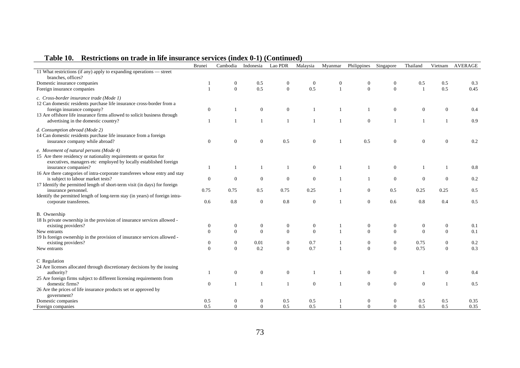|                                                                                                                                                                                 | Brunei                   | Cambodia                     | Indonesia        | Lao PDR          | Malaysia         | Myanmar          | Philippines                        | Singapore        | Thailand     | Vietnam          | <b>AVERAGE</b> |
|---------------------------------------------------------------------------------------------------------------------------------------------------------------------------------|--------------------------|------------------------------|------------------|------------------|------------------|------------------|------------------------------------|------------------|--------------|------------------|----------------|
| 11 What restrictions (if any) apply to expanding operations - street<br>branches, offices?                                                                                      |                          |                              |                  |                  |                  |                  |                                    |                  |              |                  |                |
| Domestic insurance companies                                                                                                                                                    |                          | $\mathbf{0}$                 | 0.5              | $\boldsymbol{0}$ | $\overline{0}$   | $\boldsymbol{0}$ | 0                                  | $\boldsymbol{0}$ | 0.5          | 0.5              | 0.3            |
| Foreign insurance companies                                                                                                                                                     |                          | $\Omega$                     | 0.5              | $\boldsymbol{0}$ | 0.5              | $\overline{1}$   | $\mathbf{0}$                       | $\mathbf{0}$     |              | 0.5              | 0.45           |
| c. Cross-border insurance trade (Mode 1)<br>12 Can domestic residents purchase life insurance cross-border from a                                                               |                          |                              |                  |                  |                  |                  |                                    |                  |              |                  |                |
| foreign insurance company?<br>13 Are offshore life insurance firms allowed to solicit business through                                                                          | $\mathbf{0}$             |                              | $\boldsymbol{0}$ | $\boldsymbol{0}$ |                  | $\mathbf{1}$     |                                    | $\mathbf{0}$     | $\mathbf{0}$ | $\boldsymbol{0}$ | 0.4            |
| advertising in the domestic country?                                                                                                                                            |                          |                              | 1                | $\overline{1}$   |                  | $\overline{1}$   | $\overline{0}$                     | $\overline{1}$   |              | $\mathbf{1}$     | 0.9            |
| d. Consumption abroad (Mode 2)<br>14 Can domestic residents purchase life insurance from a foreign<br>insurance company while abroad?                                           | $\mathbf{0}$             | $\theta$                     | $\boldsymbol{0}$ | 0.5              | $\mathbf{0}$     | $\mathbf{1}$     | 0.5                                | $\mathbf{0}$     | $\Omega$     | $\overline{0}$   | 0.2            |
| e. Movement of natural persons (Mode 4)<br>15 Are there residency or nationality requirements or quotas for<br>executives, managers etc employed by locally established foreign |                          |                              |                  |                  |                  |                  |                                    |                  |              |                  |                |
| insurance companies?<br>16 Are there categories of intra-corporate transferees whose entry and stay                                                                             |                          |                              | $\mathbf{1}$     | $\mathbf{1}$     | $\mathbf{0}$     | $\mathbf{1}$     |                                    | $\mathbf{0}$     |              |                  | 0.8            |
| is subject to labour market tests?                                                                                                                                              | $\boldsymbol{0}$         | $\overline{0}$               | $\boldsymbol{0}$ | $\mathbf{0}$     | $\mathbf{0}$     | $\mathbf{1}$     | 1                                  | $\boldsymbol{0}$ | $\theta$     | $\theta$         | 0.2            |
| 17 Identify the permitted length of short-term visit (in days) for foreign<br>insurance personnel.                                                                              | 0.75                     | 0.75                         | 0.5              | 0.75             | 0.25             | $\mathbf{1}$     | $\overline{0}$                     | 0.5              | 0.25         | 0.25             | 0.5            |
| Identify the permitted length of long-term stay (in years) of foreign intra-<br>corporate transferees.                                                                          | 0.6                      | 0.8                          | $\boldsymbol{0}$ | 0.8              | $\theta$         | $\mathbf{1}$     | $\overline{0}$                     | 0.6              | 0.8          | 0.4              | 0.5            |
| B. Ownership                                                                                                                                                                    |                          |                              |                  |                  |                  |                  |                                    |                  |              |                  |                |
| 18 Is private ownership in the provision of insurance services allowed -                                                                                                        |                          |                              |                  |                  |                  |                  |                                    |                  |              |                  |                |
| existing providers?                                                                                                                                                             | $\theta$                 | $\mathbf{0}$                 | $\boldsymbol{0}$ | $\boldsymbol{0}$ | $\boldsymbol{0}$ |                  | 0                                  | $\boldsymbol{0}$ | $\mathbf{0}$ | $\boldsymbol{0}$ | 0.1            |
| New entrants                                                                                                                                                                    | $\overline{0}$           | $\Omega$                     | $\mathbf{0}$     | $\mathbf{0}$     | $\theta$         | $\overline{1}$   | $\overline{0}$                     | $\boldsymbol{0}$ | $\theta$     | $\overline{0}$   | 0.1            |
| 19 Is foreign ownership in the provision of insurance services allowed -<br>existing providers?                                                                                 |                          |                              | 0.01             | $\boldsymbol{0}$ | 0.7              | $\mathbf{1}$     |                                    | $\boldsymbol{0}$ | 0.75         | $\boldsymbol{0}$ | 0.2            |
| New entrants                                                                                                                                                                    | $\mathbf{0}$<br>$\theta$ | $\boldsymbol{0}$<br>$\Omega$ | 0.2              | $\overline{0}$   | 0.7              | $\overline{1}$   | $\boldsymbol{0}$<br>$\overline{0}$ | $\mathbf{0}$     | 0.75         | $\Omega$         | 0.3            |
| C Regulation                                                                                                                                                                    |                          |                              |                  |                  |                  |                  |                                    |                  |              |                  |                |
| 24 Are licenses allocated through discretionary decisions by the issuing                                                                                                        |                          |                              |                  |                  |                  |                  |                                    |                  |              |                  |                |
| authority?                                                                                                                                                                      |                          | $\mathbf{0}$                 | $\boldsymbol{0}$ | $\boldsymbol{0}$ |                  |                  | $\overline{0}$                     | $\boldsymbol{0}$ |              | $\mathbf{0}$     | 0.4            |
| 25 Are foreign firms subject to different licensing requirements from                                                                                                           |                          |                              |                  |                  |                  |                  |                                    |                  |              |                  |                |
| domestic firms?                                                                                                                                                                 | $\theta$                 | 1                            | $\mathbf{1}$     | $\mathbf{1}$     | $\overline{0}$   | $\mathbf{1}$     | $\mathbf{0}$                       | $\boldsymbol{0}$ | $\Omega$     |                  | 0.5            |
| 26 Are the prices of life insurance products set or approved by<br>government?                                                                                                  |                          |                              |                  |                  |                  |                  |                                    |                  |              |                  |                |
| Domestic companies                                                                                                                                                              | 0.5                      | $\boldsymbol{0}$             | $\mathbf{0}$     | 0.5              | 0.5              |                  | $\mathbf{0}$                       | $\boldsymbol{0}$ | 0.5          | 0.5              | 0.35           |
| Foreign companies                                                                                                                                                               | 0.5                      | $\Omega$                     | $\theta$         | 0.5              | 0.5              | $\overline{1}$   | $\Omega$                           | $\Omega$         | 0.5          | 0.5              | 0.35           |

## **Table 10. Restrictions on trade in life insurance services (index 0-1) (Continued)**

j.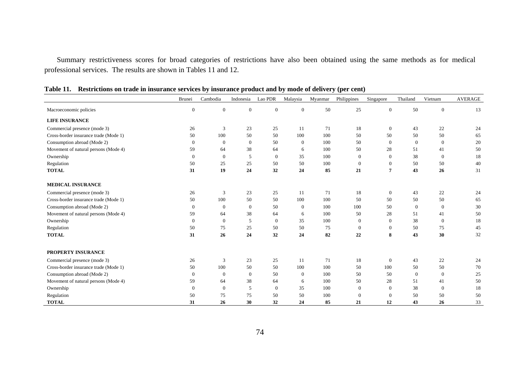Summary restrictiveness scores for broad categories of restrictions have also been obtained using the same methods as for medical professional services. The results are shown in Tables 11 and 12.

|                                       | Brunei           | Cambodia         | Indonesia      | Lao PDR        | Malaysia       | Myanmar | Philippines  | Singapore      | Thailand     | Vietnam        | <b>AVERAGE</b> |
|---------------------------------------|------------------|------------------|----------------|----------------|----------------|---------|--------------|----------------|--------------|----------------|----------------|
| Macroeconomic policies                | $\boldsymbol{0}$ | $\boldsymbol{0}$ | $\overline{0}$ | $\mathbf{0}$   | $\overline{0}$ | $50\,$  | 25           | $\mathbf{0}$   | 50           | $\mathbf{0}$   | 13             |
| <b>LIFE INSURANCE</b>                 |                  |                  |                |                |                |         |              |                |              |                |                |
| Commercial presence (mode 3)          | 26               | 3                | 23             | 25             | 11             | 71      | 18           | $\theta$       | 43           | 22             | 24             |
| Cross-border insurance trade (Mode 1) | 50               | 100              | 50             | 50             | 100            | 100     | 50           | 50             | 50           | 50             | 65             |
| Consumption abroad (Mode 2)           | $\theta$         | $\overline{0}$   | $\overline{0}$ | 50             | $\theta$       | 100     | 50           | $\theta$       | $\mathbf{0}$ | $\theta$       | 20             |
| Movement of natural persons (Mode 4)  | 59               | 64               | 38             | 64             | 6              | 100     | 50           | 28             | 51           | 41             | 50             |
| Ownership                             | $\Omega$         | $\overline{0}$   | 5              | $\overline{0}$ | 35             | 100     | $\mathbf{0}$ | $\theta$       | 38           | $\overline{0}$ | 18             |
| Regulation                            | 50               | 25               | 25             | 50             | 50             | 100     | $\mathbf{0}$ | $\theta$       | 50           | 50             | 40             |
| <b>TOTAL</b>                          | 31               | 19               | 24             | 32             | 24             | 85      | 21           | $\overline{7}$ | 43           | 26             | 31             |
| <b>MEDICAL INSURANCE</b>              |                  |                  |                |                |                |         |              |                |              |                |                |
| Commercial presence (mode 3)          | 26               | 3                | 23             | 25             | 11             | 71      | 18           | $\theta$       | 43           | 22             | 24             |
| Cross-border insurance trade (Mode 1) | 50               | 100              | 50             | 50             | 100            | 100     | 50           | 50             | 50           | 50             | 65             |
| Consumption abroad (Mode 2)           | $\theta$         | $\overline{0}$   | $\overline{0}$ | 50             | $\overline{0}$ | 100     | 100          | 50             | $\theta$     | $\mathbf{0}$   | 30             |
| Movement of natural persons (Mode 4)  | 59               | 64               | 38             | 64             | 6              | 100     | 50           | 28             | 51           | 41             | 50             |
| Ownership                             | $\Omega$         | $\overline{0}$   | 5              | $\Omega$       | 35             | 100     | $\Omega$     | $\Omega$       | 38           | $\Omega$       | 18             |
| Regulation                            | 50               | 75               | 25             | 50             | 50             | 75      | $\theta$     | $\Omega$       | 50           | 75             | 45             |
| <b>TOTAL</b>                          | 31               | 26               | 24             | 32             | 24             | 82      | 22           | 8              | 43           | 30             | 32             |
| PROPERTY INSURANCE                    |                  |                  |                |                |                |         |              |                |              |                |                |
| Commercial presence (mode 3)          | 26               | 3                | 23             | 25             | 11             | 71      | 18           | $\mathbf{0}$   | 43           | 22             | 24             |
| Cross-border insurance trade (Mode 1) | 50               | 100              | 50             | 50             | 100            | 100     | 50           | 100            | 50           | 50             | 70             |
| Consumption abroad (Mode 2)           | $\theta$         | $\overline{0}$   | $\overline{0}$ | 50             | $\theta$       | 100     | 50           | 50             | $\theta$     | $\mathbf{0}$   | 25             |
| Movement of natural persons (Mode 4)  | 59               | 64               | 38             | 64             | 6              | 100     | 50           | 28             | 51           | 41             | 50             |
| Ownership                             | $\mathbf{0}$     | $\mathbf{0}$     | 5              | $\theta$       | 35             | 100     | $\mathbf{0}$ | $\theta$       | 38           | $\theta$       | 18             |
| Regulation                            | 50               | 75               | 75             | 50             | 50             | 100     | $\Omega$     | $\Omega$       | 50           | 50             | 50             |
| <b>TOTAL</b>                          | 31               | 26               | 30             | 32             | 24             | 85      | 21           | 12             | 43           | 26             | 33             |

**Table 11. Restrictions on trade in insurance services by insurance product and by mode of delivery (per cent)**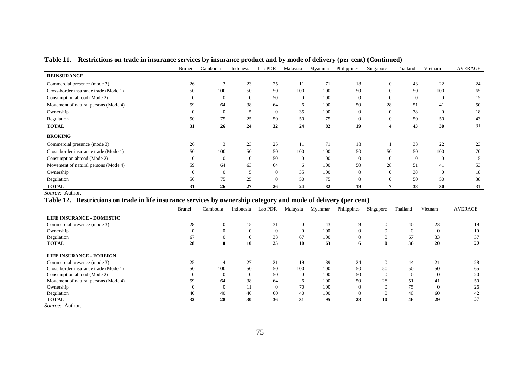|                                       | <b>Brunei</b> | Cambodia     | Indonesia      | Lao PDR        | Malaysia       | Myanmar | Philippines | Singapore | Thailand | Vietnam        | <b>AVERAGE</b> |
|---------------------------------------|---------------|--------------|----------------|----------------|----------------|---------|-------------|-----------|----------|----------------|----------------|
| <b>REINSURANCE</b>                    |               |              |                |                |                |         |             |           |          |                |                |
| Commercial presence (mode 3)          | 26            | 3            | 23             | 25             | 11             | 71      | 18          |           | 43       | 22             | 24             |
| Cross-border insurance trade (Mode 1) | 50            | 100          | 50             | 50             | 100            | 100     | 50          |           | 50       | 100            | 65             |
| Consumption abroad (Mode 2)           | $\Omega$      | $\theta$     | U              | 50             | $\overline{0}$ | 100     | $\theta$    |           | $\theta$ | $\overline{0}$ | 15             |
| Movement of natural persons (Mode 4)  | 59            | 64           | 38             | 64             | 6              | 100     | 50          | 28        | 51       | 41             | 50             |
| Ownership                             | $\Omega$      | $\theta$     |                | $\overline{0}$ | 35             | 100     | $\theta$    |           | 38       | $\overline{0}$ | 18             |
| Regulation                            | 50            | 75           | 25             | 50             | 50             | 75      | $\theta$    |           | 50       | 50             | 43             |
| <b>TOTAL</b>                          | 31            | 26           | 24             | 32             | 24             | 82      | 19          |           | 43       | 30             | 31             |
| <b>BROKING</b>                        |               |              |                |                |                |         |             |           |          |                |                |
| Commercial presence (mode 3)          | 26            | 3            | 23             | 25             | 11             | 71      | 18          |           | 33       | 22             | 23             |
| Cross-border insurance trade (Mode 1) | 50            | 100          | 50             | 50             | 100            | 100     | 50          | 50        | 50       | 100            | 70             |
| Consumption abroad (Mode 2)           | $\Omega$      | $\mathbf{0}$ | $\overline{0}$ | 50             | $\overline{0}$ | 100     | $\Omega$    | $\Omega$  | $\theta$ | $\overline{0}$ | 15             |
| Movement of natural persons (Mode 4)  | 59            | 64           | 63             | 64             | 6              | 100     | 50          | 28        | 51       | 41             | 53             |
| Ownership                             | $\Omega$      | $\Omega$     |                | $\Omega$       | 35             | 100     | $\Omega$    |           | 38       | $\theta$       | 18             |
| Regulation                            | 50            | 75           | 25             | $\Omega$       | 50             | 75      | $\Omega$    |           | 50       | 50             | 38             |
| <b>TOTAL</b>                          | 31            | 26           | 27             | 26             | 24             | 82      | 19          |           | 38       | 30             | 31             |

### **Table 11. Restrictions on trade in insurance services by insurance product and by mode of delivery (per cent) (Continued)**

*Source*: Author.

### **Table 12. Restrictions on trade in life insurance services by ownership category and mode of delivery (per cent)**

|                                       | Brunei | Cambodia     | Indonesia | Lao PDR | Malaysia     | Myanmar | Philippines | Singapore    | Thailand | Vietnam  | AVERAGE |
|---------------------------------------|--------|--------------|-----------|---------|--------------|---------|-------------|--------------|----------|----------|---------|
| LIFE INSURANCE - DOMESTIC             |        |              |           |         |              |         |             |              |          |          |         |
| Commercial presence (mode 3)          | 28     | $\theta$     | 15        | 31      | $\mathbf{0}$ | 43      | 9           | $\mathbf{0}$ | 40       | 23       | 19      |
| Ownership                             |        |              |           |         | $\Omega$     | 100     |             | $\theta$     | $\Omega$ | $\Omega$ | 10      |
| Regulation                            | 67     |              |           | 33      | 67           | 100     |             | $\mathbf{0}$ | 67       | 33       | 37      |
| <b>TOTAL</b>                          | 28     | $\mathbf{0}$ | 10        | 25      | 10           | 63      | 0           | $\mathbf{0}$ | 36       | 20       | 20      |
| <b>LIFE INSURANCE - FOREIGN</b>       |        |              |           |         |              |         |             |              |          |          |         |
| Commercial presence (mode 3)          | 25     |              | 27        | 21      | 19           | 89      | 24          | $\mathbf{0}$ | 44       | 21       | 28      |
| Cross-border insurance trade (Mode 1) | 50     | 100          | 50        | 50      | 100          | 100     | 50          | 50           | 50       | 50       | 65      |
| Consumption abroad (Mode 2)           |        |              |           | 50      | $\Omega$     | 100     | 50          | $\Omega$     | $\Omega$ | $\Omega$ | 20      |
| Movement of natural persons (Mode 4)  | 59     | 64           | 38        | 64      | <sub>6</sub> | 100     | 50          | 28           | 51       | 41       | 50      |
| Ownership                             |        | $\theta$     |           |         | 70           | 100     | $\Omega$    | $\Omega$     | 75       | $\Omega$ | 26      |
| Regulation                            | 40     | 40           | 40        | 60      | 40           | 100     |             | $\Omega$     | 40       | 60       | 42      |
| <b>TOTAL</b>                          | 32     | 28           | 30        | 36      | 31           | 95      | 28          | 10           | 46       | 29       | 37      |

*Source*: Author.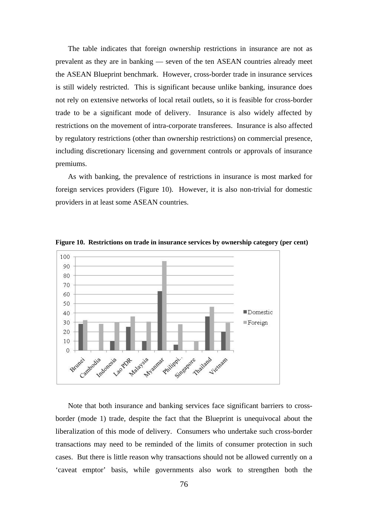The table indicates that foreign ownership restrictions in insurance are not as prevalent as they are in banking — seven of the ten ASEAN countries already meet the ASEAN Blueprint benchmark. However, cross-border trade in insurance services is still widely restricted. This is significant because unlike banking, insurance does not rely on extensive networks of local retail outlets, so it is feasible for cross-border trade to be a significant mode of delivery. Insurance is also widely affected by restrictions on the movement of intra-corporate transferees. Insurance is also affected by regulatory restrictions (other than ownership restrictions) on commercial presence, including discretionary licensing and government controls or approvals of insurance premiums.

As with banking, the prevalence of restrictions in insurance is most marked for foreign services providers (Figure 10). However, it is also non-trivial for domestic providers in at least some ASEAN countries.



**Figure 10. Restrictions on trade in insurance services by ownership category (per cent)** 

Note that both insurance and banking services face significant barriers to crossborder (mode 1) trade, despite the fact that the Blueprint is unequivocal about the liberalization of this mode of delivery. Consumers who undertake such cross-border transactions may need to be reminded of the limits of consumer protection in such cases. But there is little reason why transactions should not be allowed currently on a 'caveat emptor' basis, while governments also work to strengthen both the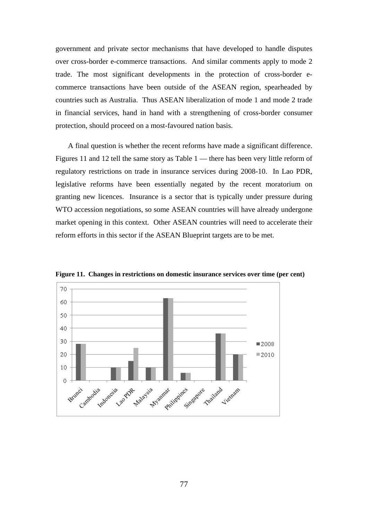government and private sector mechanisms that have developed to handle disputes over cross-border e-commerce transactions. And similar comments apply to mode 2 trade. The most significant developments in the protection of cross-border ecommerce transactions have been outside of the ASEAN region, spearheaded by countries such as Australia. Thus ASEAN liberalization of mode 1 and mode 2 trade in financial services, hand in hand with a strengthening of cross-border consumer protection, should proceed on a most-favoured nation basis.

A final question is whether the recent reforms have made a significant difference. Figures 11 and 12 tell the same story as Table 1 — there has been very little reform of regulatory restrictions on trade in insurance services during 2008-10. In Lao PDR, legislative reforms have been essentially negated by the recent moratorium on granting new licences. Insurance is a sector that is typically under pressure during WTO accession negotiations, so some ASEAN countries will have already undergone market opening in this context. Other ASEAN countries will need to accelerate their reform efforts in this sector if the ASEAN Blueprint targets are to be met.



**Figure 11. Changes in restrictions on domestic insurance services over time (per cent)**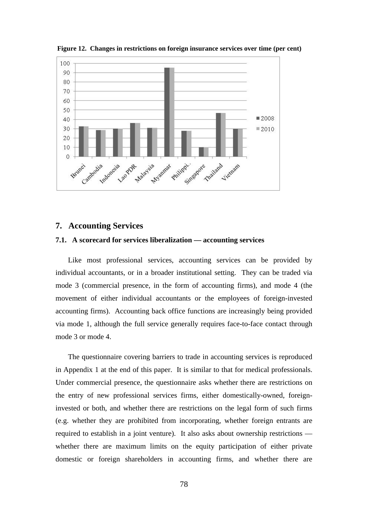

**Figure 12. Changes in restrictions on foreign insurance services over time (per cent)** 

### **7. Accounting Services**

### **7.1. A scorecard for services liberalization — accounting services**

Like most professional services, accounting services can be provided by individual accountants, or in a broader institutional setting. They can be traded via mode 3 (commercial presence, in the form of accounting firms), and mode 4 (the movement of either individual accountants or the employees of foreign-invested accounting firms). Accounting back office functions are increasingly being provided via mode 1, although the full service generally requires face-to-face contact through mode 3 or mode 4.

The questionnaire covering barriers to trade in accounting services is reproduced in Appendix 1 at the end of this paper. It is similar to that for medical professionals. Under commercial presence, the questionnaire asks whether there are restrictions on the entry of new professional services firms, either domestically-owned, foreigninvested or both, and whether there are restrictions on the legal form of such firms (e.g. whether they are prohibited from incorporating, whether foreign entrants are required to establish in a joint venture). It also asks about ownership restrictions whether there are maximum limits on the equity participation of either private domestic or foreign shareholders in accounting firms, and whether there are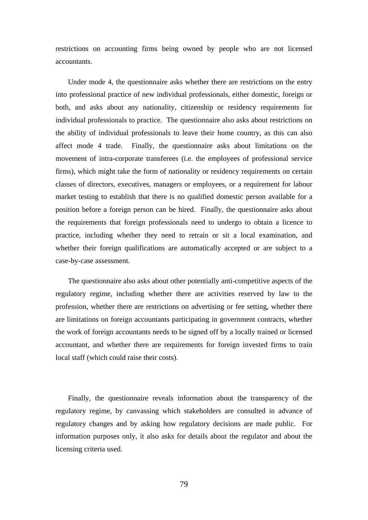restrictions on accounting firms being owned by people who are not licensed accountants.

Under mode 4, the questionnaire asks whether there are restrictions on the entry into professional practice of new individual professionals, either domestic, foreign or both, and asks about any nationality, citizenship or residency requirements for individual professionals to practice. The questionnaire also asks about restrictions on the ability of individual professionals to leave their home country, as this can also affect mode 4 trade. Finally, the questionnaire asks about limitations on the movement of intra-corporate transferees (i.e. the employees of professional service firms), which might take the form of nationality or residency requirements on certain classes of directors, executives, managers or employees, or a requirement for labour market testing to establish that there is no qualified domestic person available for a position before a foreign person can be hired. Finally, the questionnaire asks about the requirements that foreign professionals need to undergo to obtain a licence to practice, including whether they need to retrain or sit a local examination, and whether their foreign qualifications are automatically accepted or are subject to a case-by-case assessment.

The questionnaire also asks about other potentially anti-competitive aspects of the regulatory regime, including whether there are activities reserved by law to the profession, whether there are restrictions on advertising or fee setting, whether there are limitations on foreign accountants participating in government contracts, whether the work of foreign accountants needs to be signed off by a locally trained or licensed accountant, and whether there are requirements for foreign invested firms to train local staff (which could raise their costs).

Finally, the questionnaire reveals information about the transparency of the regulatory regime, by canvassing which stakeholders are consulted in advance of regulatory changes and by asking how regulatory decisions are made public. For information purposes only, it also asks for details about the regulator and about the licensing criteria used.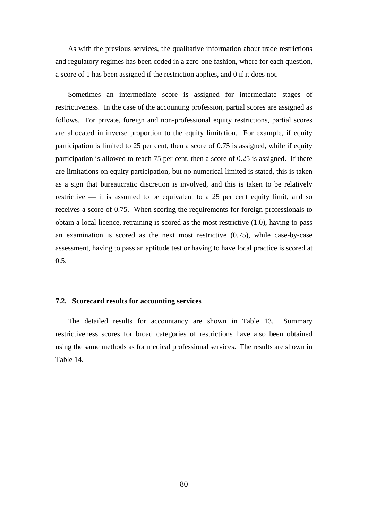As with the previous services, the qualitative information about trade restrictions and regulatory regimes has been coded in a zero-one fashion, where for each question, a score of 1 has been assigned if the restriction applies, and 0 if it does not.

Sometimes an intermediate score is assigned for intermediate stages of restrictiveness. In the case of the accounting profession, partial scores are assigned as follows. For private, foreign and non-professional equity restrictions, partial scores are allocated in inverse proportion to the equity limitation. For example, if equity participation is limited to 25 per cent, then a score of 0.75 is assigned, while if equity participation is allowed to reach 75 per cent, then a score of 0.25 is assigned. If there are limitations on equity participation, but no numerical limited is stated, this is taken as a sign that bureaucratic discretion is involved, and this is taken to be relatively restrictive — it is assumed to be equivalent to a 25 per cent equity limit, and so receives a score of 0.75. When scoring the requirements for foreign professionals to obtain a local licence, retraining is scored as the most restrictive (1.0), having to pass an examination is scored as the next most restrictive (0.75), while case-by-case assessment, having to pass an aptitude test or having to have local practice is scored at  $0.5.$ 

#### **7.2. Scorecard results for accounting services**

The detailed results for accountancy are shown in Table 13. Summary restrictiveness scores for broad categories of restrictions have also been obtained using the same methods as for medical professional services. The results are shown in Table 14.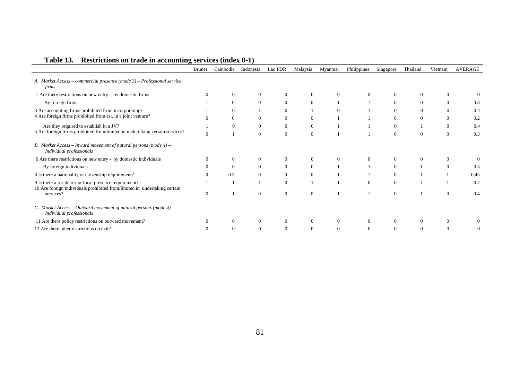|                                                                                                                                    | <b>Brunei</b> | Cambodia | Indonesia      | Lao PDR          | Malaysia       | Myanmar  | Philippines | Singapore      | Thailand | Vietnam  | <b>AVERAGE</b> |
|------------------------------------------------------------------------------------------------------------------------------------|---------------|----------|----------------|------------------|----------------|----------|-------------|----------------|----------|----------|----------------|
| A. Market Access - commercial presence (mode 3) - Professional service<br>firms                                                    |               |          |                |                  |                |          |             |                |          |          |                |
| 1 Are there restrictions on new entry - by domestic firms                                                                          |               | $\Omega$ | $\theta$       | $\overline{0}$   | $\theta$       | $\Omega$ |             | $\Omega$       | $\Omega$ |          |                |
| By foreign firms                                                                                                                   |               | $\Omega$ | $\theta$       | $\Omega$         | $\overline{0}$ |          |             | $\Omega$       | $\Omega$ |          | 0.3            |
| 3 Are accounting firms prohibited from incorporating?<br>4 Are foreign firms prohibited from est. in a joint venture?              |               | $\Omega$ |                | $\Omega$         |                | $\Omega$ |             | $\theta$       | $\theta$ | $\Omega$ | 0.4            |
|                                                                                                                                    |               | $\Omega$ | $\Omega$       | $\Omega$         | $\Omega$       |          |             | $\Omega$       | $\Omega$ |          | 0.2            |
| Are they required to establish in a JV?<br>5 Are foreign firms prohibited from/limited in undertaking certain services?            |               | $\Omega$ | $\theta$       | $\boldsymbol{0}$ | $\mathbf{0}$   |          |             | $\overline{0}$ |          | $\Omega$ | 0.4            |
|                                                                                                                                    |               |          | $\Omega$       | $\Omega$         | $\Omega$       |          |             | $\Omega$       | $\Omega$ | $\Omega$ | 0.3            |
| B. Market Access – Inward movement of natural persons (mode $4$ ) –<br>Individual professionals                                    |               |          |                |                  |                |          |             |                |          |          |                |
| 6 Are there restrictions on new entry - by domestic individuals                                                                    |               | $\Omega$ | $\Omega$       | $\Omega$         | $\Omega$       | $\Omega$ |             | $\Omega$       | $\Omega$ |          |                |
| By foreign individuals                                                                                                             |               | $\Omega$ | $\Omega$       | $\Omega$         | $\overline{0}$ |          |             | $\Omega$       |          |          | 0.3            |
| 8 Is there a nationality or citizenship requirement?                                                                               |               | 0.5      | $\Omega$       | $\Omega$         | $\mathbf{0}$   |          |             | $\Omega$       |          |          | 0.45           |
| 9 Is there a residency or local presence requirement?<br>10 Are foreign individuals prohibited from/limited in undertaking certain |               |          |                | $\Omega$         |                |          | $\Omega$    | $\theta$       |          |          | 0.7            |
| services?                                                                                                                          | $\Omega$      |          | $\overline{0}$ | $\theta$         | $\theta$       |          |             | $\theta$       |          |          | 0.4            |
| C. Market Access - Outward movement of natural persons (mode $4$ ) -<br>Individual professionals                                   |               |          |                |                  |                |          |             |                |          |          |                |
| 11 Are there policy restrictions on outward movement?                                                                              |               |          | $\theta$       | $\Omega$         |                |          |             | 0              | $\theta$ |          |                |
| 12 Are there other restrictions on exit?                                                                                           |               |          | $\Omega$       | $\Omega$         | $\Omega$       | $\Omega$ |             | $\Omega$       | $\Omega$ |          |                |

# **Table 13. Restrictions on trade in accounting services (index 0-1)**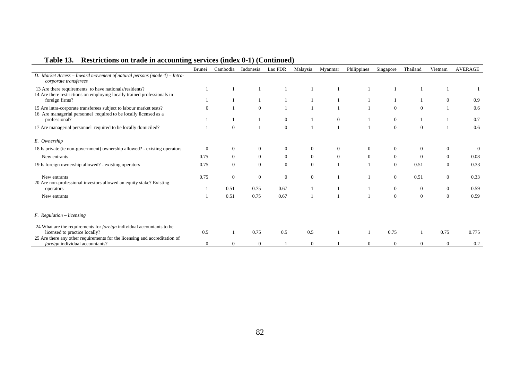|                                                                                                                                        | Brunei         | Cambodia       | Indonesia      | Lao PDR      | Malaysia       | Myanmar  | Philippines    | Singapore        | Thailand       | Vietnam        | <b>AVERAGE</b> |
|----------------------------------------------------------------------------------------------------------------------------------------|----------------|----------------|----------------|--------------|----------------|----------|----------------|------------------|----------------|----------------|----------------|
| D. Market Access - Inward movement of natural persons (mode 4) - Intra-<br>corporate transferees                                       |                |                |                |              |                |          |                |                  |                |                |                |
| 13 Are there requirements to have nationals/residents?<br>14 Are there restrictions on employing locally trained professionals in      |                |                |                |              |                |          |                |                  |                |                |                |
| foreign firms?                                                                                                                         |                |                |                |              |                |          |                |                  |                | $\overline{0}$ | 0.9            |
| 15 Are intra-corporate transferees subject to labour market tests?<br>16 Are managerial personnel required to be locally licensed as a | 0              |                | $\Omega$       |              |                |          |                | $\theta$         | $\mathbf{0}$   |                | 0.6            |
| professional?                                                                                                                          |                |                |                | $\mathbf{0}$ |                | $\theta$ |                | $\mathbf{0}$     |                |                | 0.7            |
| 17 Are managerial personnel required to be locally domiciled?                                                                          |                | $\mathbf{0}$   |                | $\mathbf{0}$ |                |          |                | $\boldsymbol{0}$ | $\overline{0}$ |                | 0.6            |
| E. Ownership                                                                                                                           |                |                |                |              |                |          |                |                  |                |                |                |
| 18 Is private (ie non-government) ownership allowed? - existing operators                                                              | $\Omega$       | $\theta$       |                | $\theta$     | $\overline{0}$ |          | 0              | $\mathbf{0}$     | $\overline{0}$ | $\overline{0}$ | $\Omega$       |
| New entrants                                                                                                                           | 0.75           | $\overline{0}$ | $\overline{0}$ | $\mathbf{0}$ | $\overline{0}$ | $\Omega$ | $\overline{0}$ | $\mathbf{0}$     | $\overline{0}$ | $\theta$       | 0.08           |
| 19 Is foreign ownership allowed? - existing operators                                                                                  | 0.75           | $\mathbf{0}$   | $\overline{0}$ | $\mathbf{0}$ | $\theta$       |          |                | $\theta$         | 0.51           | $\overline{0}$ | 0.33           |
| New entrants                                                                                                                           | 0.75           | $\overline{0}$ | $\overline{0}$ | $\mathbf{0}$ | $\overline{0}$ |          |                | $\mathbf{0}$     | 0.51           | $\mathbf{0}$   | 0.33           |
| 20 Are non-professional investors allowed an equity stake? Existing<br>operators                                                       |                | 0.51           | 0.75           | 0.67         |                |          |                | $\mathbf{0}$     | $\overline{0}$ | $\theta$       | 0.59           |
| New entrants                                                                                                                           |                | 0.51           | 0.75           | 0.67         |                |          |                | $\mathbf{0}$     | $\mathbf{0}$   | $\Omega$       | 0.59           |
| F. Regulation - licensing                                                                                                              |                |                |                |              |                |          |                |                  |                |                |                |
| 24 What are the requirements for <i>foreign</i> individual accountants to be<br>licensed to practice locally?                          | 0.5            |                | 0.75           | 0.5          | 0.5            |          |                | 0.75             |                | 0.75           | 0.775          |
| 25 Are there any other requirements for the licensing and accreditation of<br><i>foreign</i> individual accountants?                   | $\overline{0}$ | $\theta$       | $\overline{0}$ |              | $\overline{0}$ |          | $\Omega$       | $\overline{0}$   | $\Omega$       | $\overline{0}$ | 0.2            |

# **Table 13. Restrictions on trade in accounting services (index 0-1) (Continued)**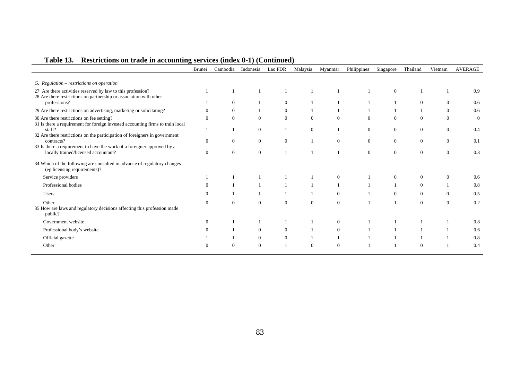|                                                                                                                                   | <b>Brunei</b>  | Cambodia     | Indonesia      | Lao PDR        | Malaysia     | Myanmar        | Philippines    | Singapore        | Thailand         | Vietnam        | AVERAGE  |
|-----------------------------------------------------------------------------------------------------------------------------------|----------------|--------------|----------------|----------------|--------------|----------------|----------------|------------------|------------------|----------------|----------|
| G. Regulation - restrictions on operation                                                                                         |                |              |                |                |              |                |                |                  |                  |                |          |
| 27 Are there activities reserved by law to this profession?<br>28 Are there restrictions on partnership or association with other |                |              |                |                |              |                |                | $\overline{0}$   |                  |                | 0.9      |
| professions?                                                                                                                      |                | $\Omega$     |                | $\Omega$       |              |                |                |                  | $\Omega$         | $\Omega$       | 0.6      |
| 29 Are there restrictions on advertising, marketing or solicitating?                                                              | $\Omega$       | $\mathbf{0}$ |                | $\overline{0}$ |              |                |                |                  |                  | $\Omega$       | 0.6      |
| 30 Are there restrictions on fee setting?<br>31 Is there a requirement for foreign invested accounting firms to train local       | $\Omega$       | $\Omega$     | $\Omega$       | $\overline{0}$ | $\theta$     | $\theta$       | $\Omega$       | $\overline{0}$   | $\theta$         | $\Omega$       | $\Omega$ |
| staff?<br>32 Are there restrictions on the participation of foreigners in government                                              |                |              | $\overline{0}$ |                | $\mathbf{0}$ |                | $\overline{0}$ | $\boldsymbol{0}$ | $\mathbf{0}$     | $\overline{0}$ | 0.4      |
| contracts?                                                                                                                        | $\Omega$       | $\Omega$     | $\overline{0}$ | $\overline{0}$ |              | $\theta$       | $\overline{0}$ | $\overline{0}$   | $\theta$         | $\theta$       | 0.1      |
| 33 Is there a requirement to have the work of a foreigner approved by a<br>locally trained/licensed accountant?                   | $\overline{0}$ | $\theta$     | $\mathbf{0}$   |                |              |                | $\overline{0}$ | $\overline{0}$   | $\theta$         | $\theta$       | 0.3      |
| 34 Which of the following are consulted in advance of regulatory changes<br>(eg licensing requirements)?                          |                |              |                |                |              |                |                |                  |                  |                |          |
| Service providers                                                                                                                 |                |              |                |                |              | $\theta$       |                | $\overline{0}$   | $\theta$         | $\Omega$       | 0.6      |
| Professional bodies                                                                                                               | $\Omega$       |              |                |                |              |                |                |                  | $\overline{0}$   |                | 0.8      |
| Users                                                                                                                             |                |              |                |                |              | $\mathbf{0}$   |                | 0                | $\boldsymbol{0}$ | $\theta$       | 0.5      |
| Other<br>35 How are laws and regulatory decisions affecting this profession made<br>public?                                       | $\Omega$       | $\Omega$     | $\Omega$       | $\Omega$       | $\mathbf{0}$ | $\theta$       |                |                  | $\theta$         | $\Omega$       | 0.2      |
| Government website                                                                                                                | $\overline{0}$ |              |                |                |              | $\mathbf{0}$   |                |                  |                  |                | 0.8      |
| Professional body's website                                                                                                       |                |              | $\overline{0}$ | $\overline{0}$ |              | $\overline{0}$ |                |                  |                  |                | 0.6      |
| Official gazette                                                                                                                  |                |              | $\overline{0}$ | $\overline{0}$ |              |                |                |                  |                  |                | 0.8      |
| Other                                                                                                                             |                |              | $\Omega$       |                |              | $\Omega$       |                |                  |                  |                | 0.4      |

# **Table 13. Restrictions on trade in accounting services (index 0-1) (Continued)**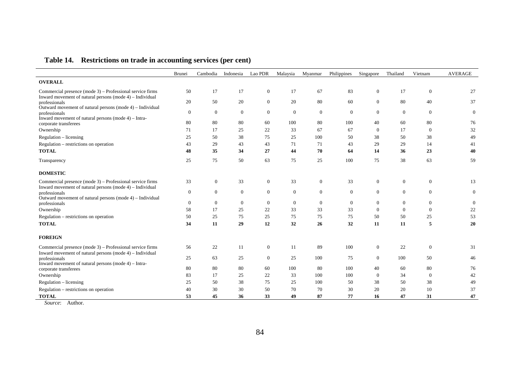# **Table 14. Restrictions on trade in accounting services (per cent)**

|                                                                                                                          | Brunei         | Cambodia     | Indonesia      | Lao PDR        | Malaysia     | Myanmar          | Philippines  | Singapore      | Thailand         | Vietnam          | <b>AVERAGE</b> |
|--------------------------------------------------------------------------------------------------------------------------|----------------|--------------|----------------|----------------|--------------|------------------|--------------|----------------|------------------|------------------|----------------|
| <b>OVERALL</b>                                                                                                           |                |              |                |                |              |                  |              |                |                  |                  |                |
| Commercial presence (mode 3) – Professional service firms                                                                | 50             | 17           | 17             | $\overline{0}$ | 17           | 67               | 83           | $\overline{0}$ | 17               | $\mathbf{0}$     | 27             |
| Inward movement of natural persons (mode 4) – Individual<br>professionals                                                | 20             | 50           | 20             | $\overline{0}$ | 20           | 80               | 60           | $\overline{0}$ | 80               | 40               | 37             |
| Outward movement of natural persons (mode 4) – Individual<br>professionals                                               | $\overline{0}$ | $\mathbf{0}$ | $\overline{0}$ | $\overline{0}$ | $\theta$     | $\mathbf{0}$     | $\mathbf{0}$ | $\overline{0}$ | $\mathbf{0}$     | $\boldsymbol{0}$ | $\overline{0}$ |
| Inward movement of natural persons (mode 4) - Intra-                                                                     |                |              |                |                |              |                  |              |                |                  |                  |                |
| corporate transferees                                                                                                    | 80             | 80           | 80             | 60             | 100          | 80               | 100          | 40             | 60               | 80               | 76             |
| Ownership                                                                                                                | 71             | 17           | 25             | 22             | 33           | 67               | 67           | $\overline{0}$ | 17               | $\boldsymbol{0}$ | 32             |
| Regulation – licensing                                                                                                   | 25             | 50           | 38             | 75             | 25           | 100              | 50           | 38             | 50               | 38               | 49             |
| Regulation – restrictions on operation                                                                                   | 43             | 29           | 43             | 43             | 71           | 71               | 43           | 29             | 29               | 14               | 41             |
| <b>TOTAL</b>                                                                                                             | 48             | 35           | 34             | 27             | 44           | 70               | 64           | 14             | 36               | 23               | 40             |
| Transparency                                                                                                             | 25             | 75           | 50             | 63             | 75           | 25               | 100          | 75             | 38               | 63               | 59             |
| <b>DOMESTIC</b>                                                                                                          |                |              |                |                |              |                  |              |                |                  |                  |                |
| Commercial presence (mode 3) – Professional service firms<br>Inward movement of natural persons (mode $4$ ) – Individual | 33             | $\mathbf{0}$ | 33             | $\mathbf{0}$   | 33           | $\mathbf{0}$     | 33           | $\overline{0}$ | $\boldsymbol{0}$ | $\mathbf{0}$     | 13             |
| professionals<br>Outward movement of natural persons (mode 4) – Individual                                               | $\overline{0}$ | $\mathbf{0}$ | $\overline{0}$ | $\overline{0}$ | $\theta$     | $\overline{0}$   | $\mathbf{0}$ | $\overline{0}$ | $\overline{0}$   | $\mathbf{0}$     | $\overline{0}$ |
| professionals                                                                                                            | $\overline{0}$ | $\mathbf{0}$ | $\overline{0}$ | $\overline{0}$ | $\mathbf{0}$ | $\boldsymbol{0}$ | $\mathbf{0}$ | $\mathbf{0}$   | $\mathbf{0}$     | $\boldsymbol{0}$ | $\overline{0}$ |
| Ownership                                                                                                                | 58             | 17           | 25             | 22             | 33           | 33               | 33           | $\theta$       | $\mathbf{0}$     | $\overline{0}$   | 22             |
| Regulation – restrictions on operation                                                                                   | 50             | 25           | 75             | 25             | 75           | 75               | 75           | 50             | 50               | 25               | 53             |
| <b>TOTAL</b>                                                                                                             | 34             | 11           | 29             | 12             | 32           | 26               | 32           | 11             | 11               | 5                | 20             |
| <b>FOREIGN</b>                                                                                                           |                |              |                |                |              |                  |              |                |                  |                  |                |
| Commercial presence (mode 3) – Professional service firms                                                                | 56             | 22           | 11             | $\mathbf{0}$   | 11           | 89               | 100          | $\overline{0}$ | $22\,$           | $\boldsymbol{0}$ | 31             |
| Inward movement of natural persons (mode 4) – Individual<br>professionals                                                | 25             | 63           | 25             | $\overline{0}$ | 25           | 100              | 75           | $\theta$       | 100              | 50               | 46             |
| Inward movement of natural persons (mode $4$ ) – Intra-                                                                  |                |              |                |                |              |                  |              |                |                  |                  |                |
| corporate transferees                                                                                                    | 80             | 80           | 80             | 60             | 100          | 80               | 100          | 40             | 60               | 80               | 76             |
| Ownership                                                                                                                | 83             | 17           | 25             | 22             | 33           | 100              | 100          | $\theta$       | 34               | $\mathbf{0}$     | 42             |
| $Regularion - licensing$                                                                                                 | 25             | 50           | 38             | 75             | 25           | 100              | 50           | 38             | 50               | 38               | 49             |
| Regulation – restrictions on operation                                                                                   | 40             | 30           | 30             | 50             | 70           | 70               | 30           | 20             | 20               | 10               | 37             |
| <b>TOTAL</b>                                                                                                             | 53             | 45           | 36             | 33             | 49           | 87               | 77           | 16             | 47               | 31               | 47             |

*Source*: Author.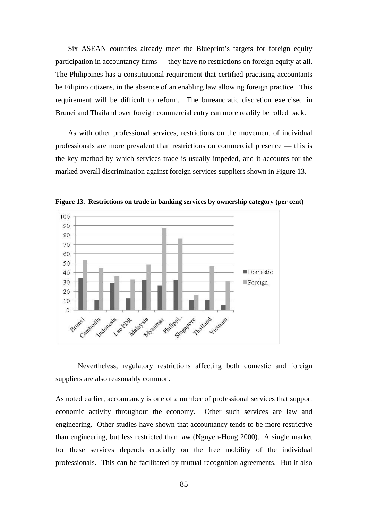Six ASEAN countries already meet the Blueprint's targets for foreign equity participation in accountancy firms — they have no restrictions on foreign equity at all. The Philippines has a constitutional requirement that certified practising accountants be Filipino citizens, in the absence of an enabling law allowing foreign practice. This requirement will be difficult to reform. The bureaucratic discretion exercised in Brunei and Thailand over foreign commercial entry can more readily be rolled back.

As with other professional services, restrictions on the movement of individual professionals are more prevalent than restrictions on commercial presence — this is the key method by which services trade is usually impeded, and it accounts for the marked overall discrimination against foreign services suppliers shown in Figure 13.



**Figure 13. Restrictions on trade in banking services by ownership category (per cent)** 

Nevertheless, regulatory restrictions affecting both domestic and foreign suppliers are also reasonably common.

As noted earlier, accountancy is one of a number of professional services that support economic activity throughout the economy. Other such services are law and engineering. Other studies have shown that accountancy tends to be more restrictive than engineering, but less restricted than law (Nguyen-Hong 2000). A single market for these services depends crucially on the free mobility of the individual professionals. This can be facilitated by mutual recognition agreements. But it also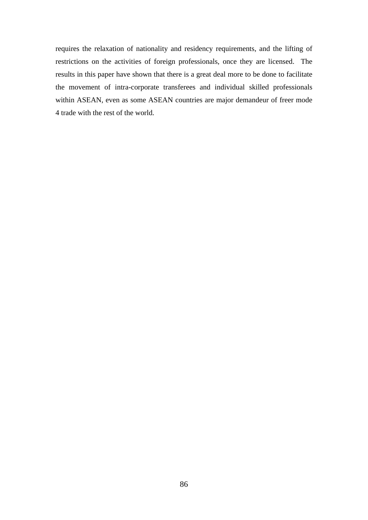requires the relaxation of nationality and residency requirements, and the lifting of restrictions on the activities of foreign professionals, once they are licensed. The results in this paper have shown that there is a great deal more to be done to facilitate the movement of intra-corporate transferees and individual skilled professionals within ASEAN, even as some ASEAN countries are major demandeur of freer mode 4 trade with the rest of the world.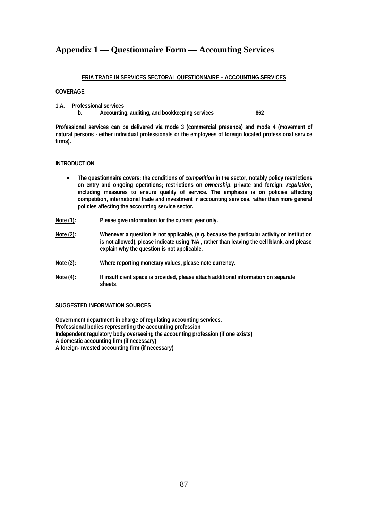## **Appendix 1 — Questionnaire Form — Accounting Services**

#### **ERIA TRADE IN SERVICES SECTORAL QUESTIONNAIRE – ACCOUNTING SERVICES**

#### **COVERAGE**

- **1.A. Professional services** 
	- **b. Accounting, auditing, and bookkeeping services 862**

**Professional services can be delivered via mode 3 (commercial presence) and mode 4 (movement of natural persons - either individual professionals or the employees of foreign located professional service firms).** 

#### **INTRODUCTION**

- The questionnaire covers: the conditions of *competition* in the sector, notably policy restrictions **on entry and ongoing operations; restrictions on** *ownership***, private and foreign;** *regulation***, including measures to ensure quality of service. The emphasis is on policies affecting competition, international trade and investment in accounting services, rather than more general policies affecting the accounting service sector.**
- **Note (1): Please give information for the current year only.**
- **Note (2): Whenever a question is not applicable, (e.g. because the particular activity or institution is not allowed), please indicate using 'NA', rather than leaving the cell blank, and please explain why the question is not applicable.**
- **Note (3): Where reporting monetary values, please note currency.**
- **Note (4): If insufficient space is provided, please attach additional information on separate sheets.**

#### **SUGGESTED INFORMATION SOURCES**

**Government department in charge of regulating accounting services. Professional bodies representing the accounting profession Independent regulatory body overseeing the accounting profession (if one exists) A domestic accounting firm (if necessary) A foreign-invested accounting firm (if necessary)**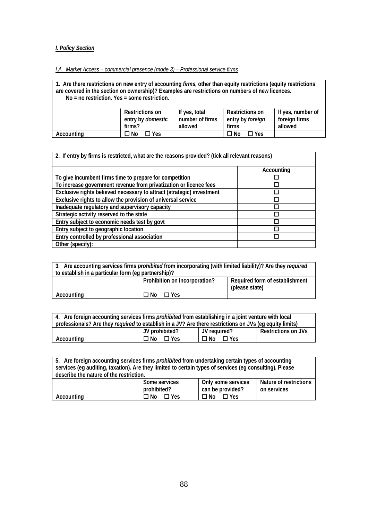### *I. Policy Section*

## *I.A. Market Access – commercial presence (mode 3) – Professional service firms*

**1. Are there restrictions on new entry of accounting** *firms,* **other than equity restrictions (equity restrictions are covered in the section on ownership)? Examples are restrictions on numbers of new licences. No = no restriction. Yes = some restriction. Restrictions on If yes, total Restrictions on If yes, number of** 

|            | entry by <i>domestic</i> | number of firms | entry by <i>foreian</i> | foreign firms |
|------------|--------------------------|-----------------|-------------------------|---------------|
|            | firms?                   | allowed         | firms                   | allowed       |
| Accounting | No<br>$\Box$ Yes         |                 | コNo<br>$\Box$ Yes       |               |
|            |                          |                 |                         |               |

| 2. If entry by firms is restricted, what are the reasons provided? (tick all relevant reasons) |            |  |
|------------------------------------------------------------------------------------------------|------------|--|
|                                                                                                | Accounting |  |
| To give incumbent firms time to prepare for competition                                        |            |  |
| To increase government revenue from privatization or licence fees                              |            |  |
| Exclusive rights believed necessary to attract (strategic) investment                          |            |  |
| Exclusive rights to allow the provision of universal service                                   |            |  |
| Inadequate regulatory and supervisory capacity                                                 |            |  |
| Strategic activity reserved to the state                                                       |            |  |
| Entry subject to economic needs test by govt                                                   |            |  |
| Entry subject to geographic location                                                           |            |  |
| Entry controlled by professional association                                                   |            |  |
| Other (specify):                                                                               |            |  |

| 3. Are accounting services firms <i>prohibited</i> from incorporating (with limited liability)? Are they <i>required</i> |                               |                                                  |
|--------------------------------------------------------------------------------------------------------------------------|-------------------------------|--------------------------------------------------|
| to establish in a particular form (eq partnership)?                                                                      |                               |                                                  |
|                                                                                                                          | Prohibition on incorporation? | Required form of establishment<br>(please state) |
| Accounting                                                                                                               | ⊟ No<br>$\Box$ Yes            |                                                  |

| 4. Are foreign accounting services firms <i>prohibited</i> from establishing in a joint venture with local<br>professionals? Are they <i>required</i> to establish in a JV? Are there restrictions on JVs (eq equity limits) |                |                    |                     |
|------------------------------------------------------------------------------------------------------------------------------------------------------------------------------------------------------------------------------|----------------|--------------------|---------------------|
|                                                                                                                                                                                                                              | JV prohibited? | JV reauired?       | Restrictions on JVs |
| Accounting                                                                                                                                                                                                                   | ⊟ No<br>⊟ Yes  | ⊟ No<br>$\Box$ Yes |                     |

| 5. Are foreign accounting services firms <i>prohibited</i> from undertaking certain types of accounting<br>services (eq auditing, taxation). Are they limited to certain types of services (eq consulting). Please |                              |                                        |                                       |
|--------------------------------------------------------------------------------------------------------------------------------------------------------------------------------------------------------------------|------------------------------|----------------------------------------|---------------------------------------|
| describe the nature of the restriction.                                                                                                                                                                            |                              |                                        |                                       |
|                                                                                                                                                                                                                    | Some services<br>prohibited? | Only some services<br>can be provided? | Nature of restrictions<br>on services |
| Accounting                                                                                                                                                                                                         | ∩ No<br>$\Box$ Yes           | ΠN∩<br>$\Box$ Yes                      |                                       |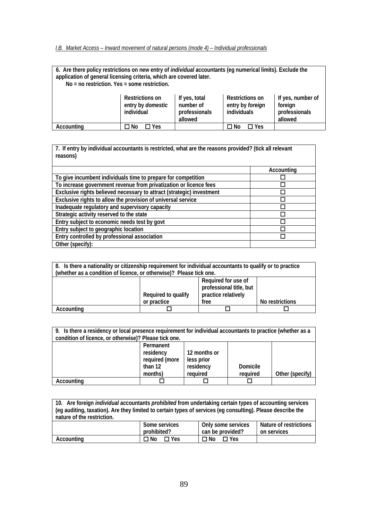#### *I.B. Market Access – Inward movement of natural persons (mode 4) – Individual professionals*

# **6. Are there policy restrictions on new entry of** *individual* **accountants (eg numerical limits). Exclude the application of general licensing criteria, which are covered later.**

 **No = no restriction. Yes = some restriction.** 

|            | Restrictions on<br>entry by <i>domestic</i><br>individual | If yes, total<br>number of<br>professionals<br>allowed | <b>Restrictions on</b><br>entry by <i>foreign</i><br>individuals | If yes, number of<br>foreign<br>professionals<br>allowed |
|------------|-----------------------------------------------------------|--------------------------------------------------------|------------------------------------------------------------------|----------------------------------------------------------|
| Accounting | هN T<br>$\Box$ Yes                                        |                                                        | ⊐ No<br>$\Box$ Yes                                               |                                                          |

**7. If entry by individual accountants is restricted, what are the reasons provided? (tick all relevant reasons) Accounting To give incumbent individuals time to prepare for competition To increase government revenue from privatization or licence fees Exclusive rights believed necessary to attract (strategic) investment** 

| LAGUSTVG HYHIS DEIIGVEN HEGESSALY TO ATTIACT (STIATEGIC) IHVESTHEHT |  |
|---------------------------------------------------------------------|--|
| Exclusive rights to allow the provision of universal service        |  |
| Inadequate regulatory and supervisory capacity                      |  |
| Strategic activity reserved to the state                            |  |
| Entry subject to economic needs test by govt                        |  |
| Entry subject to geographic location                                |  |
| Entry controlled by professional association                        |  |
| Other (specify):                                                    |  |

| 8. Is there a nationality or citizenship requirement for individual accountants to qualify or to practice<br>(whether as a condition of licence, or otherwise)? Please tick one. |                     |                                                                       |                 |
|----------------------------------------------------------------------------------------------------------------------------------------------------------------------------------|---------------------|-----------------------------------------------------------------------|-----------------|
|                                                                                                                                                                                  | Required to qualify | Required for use of<br>professional title, but<br>practice relatively |                 |
|                                                                                                                                                                                  | or practice         | free                                                                  | No restrictions |
| Accounting                                                                                                                                                                       |                     |                                                                       |                 |

| 9. Is there a residency or local presence requirement for individual accountants to practice (whether as a<br>condition of licence, or otherwise)? Please tick one. |                |              |          |                 |
|---------------------------------------------------------------------------------------------------------------------------------------------------------------------|----------------|--------------|----------|-----------------|
|                                                                                                                                                                     | Permanent      |              |          |                 |
|                                                                                                                                                                     | residency      | 12 months or |          |                 |
|                                                                                                                                                                     | required (more | less prior   |          |                 |
|                                                                                                                                                                     | than 12        | residency    | Domicile |                 |
|                                                                                                                                                                     | months)        | required     | required | Other (specify) |
| Accounting                                                                                                                                                          |                |              |          |                 |

| 10. Are foreign <i>individual</i> accountants <i>prohibited</i> from undertaking certain types of accounting services<br>(eq auditing, taxation). Are they limited to certain types of services (eq consulting). Please describe the<br>nature of the restriction. |                       |                         |                        |
|--------------------------------------------------------------------------------------------------------------------------------------------------------------------------------------------------------------------------------------------------------------------|-----------------------|-------------------------|------------------------|
|                                                                                                                                                                                                                                                                    | Some services         | Only some services      | Nature of restrictions |
|                                                                                                                                                                                                                                                                    | prohibited?           | can be provided?        | on services            |
| Accounting                                                                                                                                                                                                                                                         | $\square$ Yes<br>⊟ No | $\Box$ No<br>$\Box$ Yes |                        |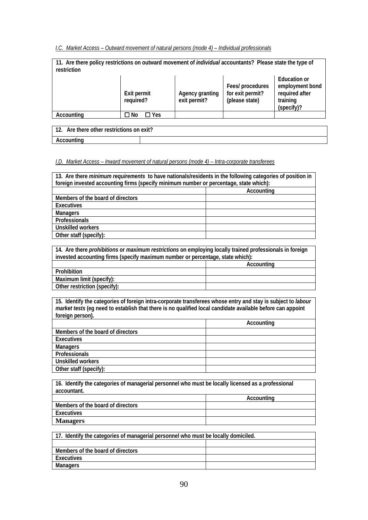*I.C. Market Access – Outward movement of natural persons (mode 4) – Individual professionals* 

| 11. Are there policy restrictions on outward movement of <i>individual</i> accountants? Please state the type of<br>restriction |                          |                                 |                                                        |                                                                                    |
|---------------------------------------------------------------------------------------------------------------------------------|--------------------------|---------------------------------|--------------------------------------------------------|------------------------------------------------------------------------------------|
|                                                                                                                                 | Exit permit<br>required? | Agency granting<br>exit permit? | Fees/ procedures<br>for exit permit?<br>(please state) | <b>Education or</b><br>employment bond<br>required after<br>training<br>(specify)? |
| Accounting                                                                                                                      | Π Yes<br>$\Box$ No       |                                 |                                                        |                                                                                    |
|                                                                                                                                 |                          |                                 |                                                        |                                                                                    |

| 12.<br>Are there other restrictions on exit? |  |
|----------------------------------------------|--|
| Accounting                                   |  |

### *I.D. Market Access – Inward movement of natural persons (mode 4) – Intra-corporate transferees*

| 13. Are there <i>minimum requirements</i> to have nationals/residents in the following categories of position in<br>foreign invested accounting firms (specify minimum number or percentage, state which): |            |  |
|------------------------------------------------------------------------------------------------------------------------------------------------------------------------------------------------------------|------------|--|
|                                                                                                                                                                                                            | Accounting |  |
| Members of the board of directors                                                                                                                                                                          |            |  |
| Executives                                                                                                                                                                                                 |            |  |
| <b>Managers</b>                                                                                                                                                                                            |            |  |
| Professionals                                                                                                                                                                                              |            |  |
| <b>Unskilled workers</b>                                                                                                                                                                                   |            |  |
| Other staff (specify):                                                                                                                                                                                     |            |  |

**14. Are there** *prohibitions* **or** *maximum restrictions* **on employing locally trained professionals in foreign invested accounting firms (specify maximum number or percentage, state which):** 

|                              | Accounting |
|------------------------------|------------|
| Prohibition                  |            |
| Maximum limit (specify):     |            |
| Other restriction (specify): |            |

**15. Identify the categories of foreign intra-corporate transferees whose entry and stay is subject to** *labour market tests* **(eg need to establish that there is no qualified local candidate available before can appoint foreign person).** 

|                                   | Accounting |
|-----------------------------------|------------|
| Members of the board of directors |            |
| Executives                        |            |
| <b>Managers</b>                   |            |
| Professionals                     |            |
| <b>Unskilled workers</b>          |            |
| Other staff (specify):            |            |

**16. Identify the categories of managerial personnel who must be locally licensed as a professional accountant.** 

|                                   | Accounting |
|-----------------------------------|------------|
| Members of the board of directors |            |
| Executives                        |            |
| <b>Managers</b>                   |            |

| 17. Identify the categories of managerial personnel who must be locally domiciled. |  |  |
|------------------------------------------------------------------------------------|--|--|
|                                                                                    |  |  |
| Members of the board of directors                                                  |  |  |
| Executives                                                                         |  |  |
| Managers                                                                           |  |  |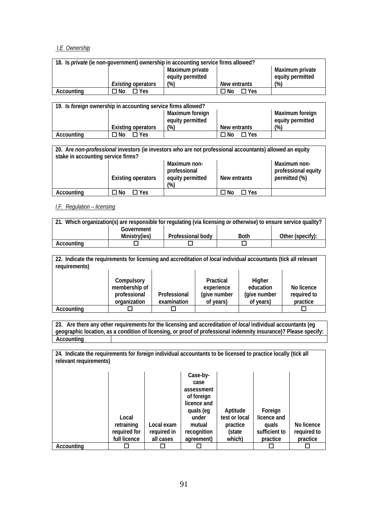## *I.E Ownership*

|            | 18. Is <i>private</i> (ie non-government) ownership in accounting service firms allowed? |                                     |                    |                                     |
|------------|------------------------------------------------------------------------------------------|-------------------------------------|--------------------|-------------------------------------|
|            |                                                                                          | Maximum private<br>equity permitted |                    | Maximum private<br>equity permitted |
|            | <i>Existing</i> operators                                                                | $(\%)$                              | New entrants       | $(\%)$                              |
| Accounting | $\Box$ Yes<br>No T                                                                       |                                     | $\Box$ Yes<br>∩ No |                                     |

|            | 19. Is <i>foreign</i> ownership in accounting service firms allowed? |                                     |                    |                                     |
|------------|----------------------------------------------------------------------|-------------------------------------|--------------------|-------------------------------------|
|            |                                                                      | Maximum foreign<br>equity permitted |                    | Maximum foreign<br>equity permitted |
|            | Existing operators                                                   | (%)                                 | New entrants       | $(\%)$                              |
| Accounting | ON ⊡<br>$\Box$ Yes                                                   |                                     | $\Box$ Yes<br>ON Γ |                                     |

| stake in accounting service firms? | 20. Are non-professional investors (ie investors who are not professional accountants) allowed an equity |                                                                   |                    |                                                      |
|------------------------------------|----------------------------------------------------------------------------------------------------------|-------------------------------------------------------------------|--------------------|------------------------------------------------------|
|                                    | <b>Existing operators</b>                                                                                | Maximum non-<br>professional<br>equity permitted<br>$\frac{1}{2}$ | New entrants       | Maximum non-<br>professional equity<br>permitted (%) |
| Accounting                         | $\Box$ Yes<br>⊐ No                                                                                       |                                                                   | $\Box$ Yes<br>⊐ No |                                                      |

## *I.F. Regulation – licensing*

|            | 21. Which organization(s) are responsible for regulating (via licensing or otherwise) to ensure service quality? |                          |             |                  |
|------------|------------------------------------------------------------------------------------------------------------------|--------------------------|-------------|------------------|
|            | Government                                                                                                       |                          |             |                  |
|            | Ministry(ies)                                                                                                    | <b>Professional body</b> | <b>Both</b> | Other (specify): |
| Accounting |                                                                                                                  |                          |             |                  |

**22. Indicate the requirements for licensing and accreditation of** *local* **individual accountants (tick all relevant requirements) Compulsory membership of professional organization Professional examination Practical experience (give number of years) Higher education (give number of years) No licence required to**  practice<br>
<del>D</del> Accounting **□** 

**23. Are there any other requirements for the licensing and accreditation of** *local* **individual accountants (eg geographic location, as a condition of licensing, or proof of professional indemnity insurance)? Please specify: Accounting** 

**24. Indicate the requirements for** *foreign* **individual accountants to be licensed to practice locally (tick all relevant requirements)** 

|            |              |             | Case-by-    |               |               |             |
|------------|--------------|-------------|-------------|---------------|---------------|-------------|
|            |              |             |             |               |               |             |
|            |              |             | case        |               |               |             |
|            |              |             | assessment  |               |               |             |
|            |              |             | of foreign  |               |               |             |
|            |              |             | licence and |               |               |             |
|            |              |             | quals (eg   | Aptitude      | Foreign       |             |
|            | Local        |             | under       | test or local | licence and   |             |
|            | retraining   | Local exam  | mutual      | practice      | quals         | No licence  |
|            | required for | required in | recognition | (state        | sufficient to | required to |
|            | full licence | all cases   | agreement)  | which)        | practice      | practice    |
| Accounting |              |             |             |               |               |             |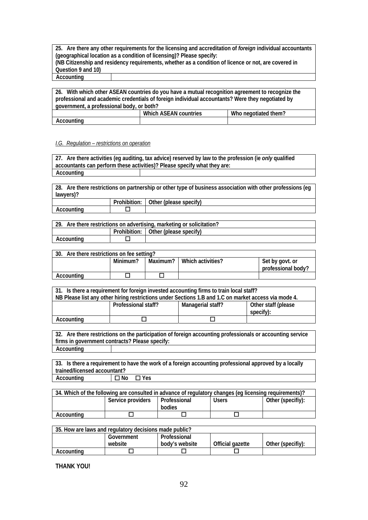**25. Are there any other requirements for the licensing and accreditation of** *foreign* **individual accountants (geographical location as a condition of licensing)? Please specify: (NB Citizenship and residency requirements, whether as a condition of licence or not, are covered in Question 9 and 10) Accounting** 

**26. With which other ASEAN countries do you have a mutual recognition agreement to recognize the professional and academic credentials of foreign individual accountants? Were they negotiated by government, a professional body, or both?**  Which ASEAN countries Who negotiated them? **Accounting** 

#### *I.G. Regulation – restrictions on operation*

**27. Are there activities (eg auditing, tax advice) reserved by law to the profession (ie** *only* **qualified accountants can perform these activities)? Please specify what they are: Accounting** 

**28. Are there restrictions on partnership or other type of business association with other professions (eg lawyers)?** 

|         | .<br>Prohibition. | $\cdot$<br>Other<br>(please specity) |
|---------|-------------------|--------------------------------------|
| ountina |                   |                                      |
|         |                   |                                      |

| 29. Are there restrictions on advertising, marketing or solicitation? |  |  |  |
|-----------------------------------------------------------------------|--|--|--|
| Prohibition: Other (please specify)                                   |  |  |  |
| Accounting                                                            |  |  |  |

| Are there restrictions on fee setting?<br>30. |          |          |                   |                                       |  |  |
|-----------------------------------------------|----------|----------|-------------------|---------------------------------------|--|--|
|                                               | Minimum? | Maximum? | Which activities? | Set by govt. or<br>professional body? |  |  |
| Accountina                                    |          |          |                   |                                       |  |  |

| 31. Is there a requirement for foreign invested accounting firms to train local staff?               |                     |                   |                     |  |  |
|------------------------------------------------------------------------------------------------------|---------------------|-------------------|---------------------|--|--|
| NB Please list any other hiring restrictions under Sections 1.B and 1.C on market access via mode 4. |                     |                   |                     |  |  |
|                                                                                                      | Professional staff? | Managerial staff? | Other staff (please |  |  |
|                                                                                                      |                     |                   | specify):           |  |  |
| Accounting                                                                                           |                     |                   |                     |  |  |

**32. Are there restrictions on the participation of foreign accounting professionals or accounting service firms in government contracts? Please specify: Accounting** 

**33. Is there a requirement to have the work of a foreign accounting professional approved by a locally trained/licensed accountant? Accounting □ No** □ Yes

| 34. Which of the following are consulted in advance of regulatory changes (eq licensing requirements)? |                   |              |              |                   |  |  |
|--------------------------------------------------------------------------------------------------------|-------------------|--------------|--------------|-------------------|--|--|
|                                                                                                        | Service providers | Professional | <b>Users</b> | Other (specifiy): |  |  |
|                                                                                                        |                   | bodies       |              |                   |  |  |
| Accountina                                                                                             |                   |              |              |                   |  |  |

| 35. How are laws and regulatory decisions made public? |            |                |                  |                   |  |  |
|--------------------------------------------------------|------------|----------------|------------------|-------------------|--|--|
|                                                        | Government | Professional   |                  |                   |  |  |
|                                                        | website    | body's website | Official gazette | Other (specifiy): |  |  |
| Accounting                                             |            |                |                  |                   |  |  |

**THANK YOU!**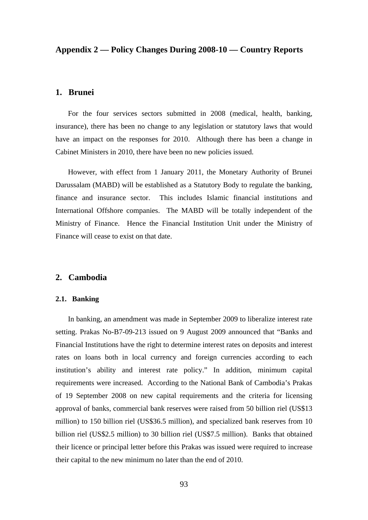## **Appendix 2 — Policy Changes During 2008-10 — Country Reports**

## **1. Brunei**

For the four services sectors submitted in 2008 (medical, health, banking, insurance), there has been no change to any legislation or statutory laws that would have an impact on the responses for 2010. Although there has been a change in Cabinet Ministers in 2010, there have been no new policies issued.

However, with effect from 1 January 2011, the Monetary Authority of Brunei Darussalam (MABD) will be established as a Statutory Body to regulate the banking, finance and insurance sector. This includes Islamic financial institutions and International Offshore companies. The MABD will be totally independent of the Ministry of Finance. Hence the Financial Institution Unit under the Ministry of Finance will cease to exist on that date.

## **2. Cambodia**

### **2.1. Banking**

In banking, an amendment was made in September 2009 to liberalize interest rate setting. Prakas No-B7-09-213 issued on 9 August 2009 announced that "Banks and Financial Institutions have the right to determine interest rates on deposits and interest rates on loans both in local currency and foreign currencies according to each institution's ability and interest rate policy." In addition, minimum capital requirements were increased. According to the National Bank of Cambodia's Prakas of 19 September 2008 on new capital requirements and the criteria for licensing approval of banks, commercial bank reserves were raised from 50 billion riel (US\$13 million) to 150 billion riel (US\$36.5 million), and specialized bank reserves from 10 billion riel (US\$2.5 million) to 30 billion riel (US\$7.5 million). Banks that obtained their licence or principal letter before this Prakas was issued were required to increase their capital to the new minimum no later than the end of 2010.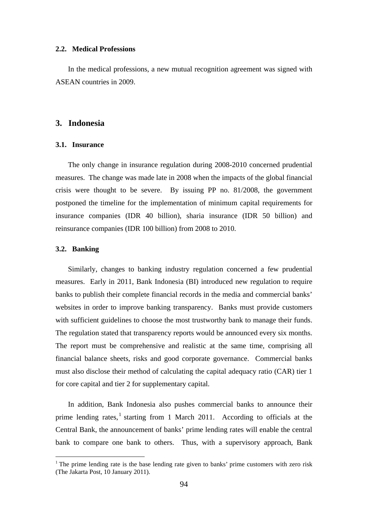### **2.2. Medical Professions**

In the medical professions, a new mutual recognition agreement was signed with ASEAN countries in 2009.

## **3. Indonesia**

### **3.1. Insurance**

The only change in insurance regulation during 2008-2010 concerned prudential measures. The change was made late in 2008 when the impacts of the global financial crisis were thought to be severe. By issuing PP no. 81/2008, the government postponed the timeline for the implementation of minimum capital requirements for insurance companies (IDR 40 billion), sharia insurance (IDR 50 billion) and reinsurance companies (IDR 100 billion) from 2008 to 2010.

### **3.2. Banking**

 $\overline{a}$ 

Similarly, changes to banking industry regulation concerned a few prudential measures. Early in 2011, Bank Indonesia (BI) introduced new regulation to require banks to publish their complete financial records in the media and commercial banks' websites in order to improve banking transparency. Banks must provide customers with sufficient guidelines to choose the most trustworthy bank to manage their funds. The regulation stated that transparency reports would be announced every six months. The report must be comprehensive and realistic at the same time, comprising all financial balance sheets, risks and good corporate governance. Commercial banks must also disclose their method of calculating the capital adequacy ratio (CAR) tier 1 for core capital and tier 2 for supplementary capital.

In addition, Bank Indonesia also pushes commercial banks to announce their prime lending rates,<sup>1</sup> starting from 1 March 2011. According to officials at the Central Bank, the announcement of banks' prime lending rates will enable the central bank to compare one bank to others. Thus, with a supervisory approach, Bank

<sup>&</sup>lt;sup>1</sup> The prime lending rate is the base lending rate given to banks' prime customers with zero risk (The Jakarta Post, 10 January 2011).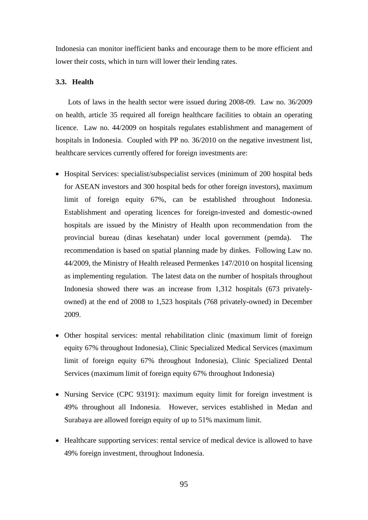Indonesia can monitor inefficient banks and encourage them to be more efficient and lower their costs, which in turn will lower their lending rates.

## **3.3. Health**

Lots of laws in the health sector were issued during 2008-09. Law no. 36/2009 on health, article 35 required all foreign healthcare facilities to obtain an operating licence. Law no. 44/2009 on hospitals regulates establishment and management of hospitals in Indonesia. Coupled with PP no. 36/2010 on the negative investment list, healthcare services currently offered for foreign investments are:

- Hospital Services: specialist/subspecialist services (minimum of 200 hospital beds for ASEAN investors and 300 hospital beds for other foreign investors), maximum limit of foreign equity 67%, can be established throughout Indonesia. Establishment and operating licences for foreign-invested and domestic-owned hospitals are issued by the Ministry of Health upon recommendation from the provincial bureau (dinas kesehatan) under local government (pemda). The recommendation is based on spatial planning made by dinkes. Following Law no. 44/2009, the Ministry of Health released Permenkes 147/2010 on hospital licensing as implementing regulation. The latest data on the number of hospitals throughout Indonesia showed there was an increase from 1,312 hospitals (673 privatelyowned) at the end of 2008 to 1,523 hospitals (768 privately-owned) in December 2009.
- Other hospital services: mental rehabilitation clinic (maximum limit of foreign equity 67% throughout Indonesia), Clinic Specialized Medical Services (maximum limit of foreign equity 67% throughout Indonesia), Clinic Specialized Dental Services (maximum limit of foreign equity 67% throughout Indonesia)
- Nursing Service (CPC 93191): maximum equity limit for foreign investment is 49% throughout all Indonesia. However, services established in Medan and Surabaya are allowed foreign equity of up to 51% maximum limit.
- Healthcare supporting services: rental service of medical device is allowed to have 49% foreign investment, throughout Indonesia.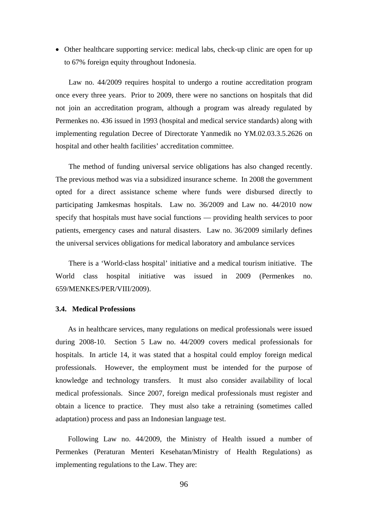Other healthcare supporting service: medical labs, check-up clinic are open for up to 67% foreign equity throughout Indonesia.

Law no. 44/2009 requires hospital to undergo a routine accreditation program once every three years. Prior to 2009, there were no sanctions on hospitals that did not join an accreditation program, although a program was already regulated by Permenkes no. 436 issued in 1993 (hospital and medical service standards) along with implementing regulation Decree of Directorate Yanmedik no YM.02.03.3.5.2626 on hospital and other health facilities' accreditation committee.

The method of funding universal service obligations has also changed recently. The previous method was via a subsidized insurance scheme. In 2008 the government opted for a direct assistance scheme where funds were disbursed directly to participating Jamkesmas hospitals. Law no. 36/2009 and Law no. 44/2010 now specify that hospitals must have social functions — providing health services to poor patients, emergency cases and natural disasters. Law no. 36/2009 similarly defines the universal services obligations for medical laboratory and ambulance services

There is a 'World-class hospital' initiative and a medical tourism initiative. The World class hospital initiative was issued in 2009 (Permenkes no. 659/MENKES/PER/VIII/2009).

## **3.4. Medical Professions**

As in healthcare services, many regulations on medical professionals were issued during 2008-10. Section 5 Law no. 44/2009 covers medical professionals for hospitals. In article 14, it was stated that a hospital could employ foreign medical professionals. However, the employment must be intended for the purpose of knowledge and technology transfers. It must also consider availability of local medical professionals. Since 2007, foreign medical professionals must register and obtain a licence to practice. They must also take a retraining (sometimes called adaptation) process and pass an Indonesian language test.

Following Law no. 44/2009, the Ministry of Health issued a number of Permenkes (Peraturan Menteri Kesehatan/Ministry of Health Regulations) as implementing regulations to the Law. They are: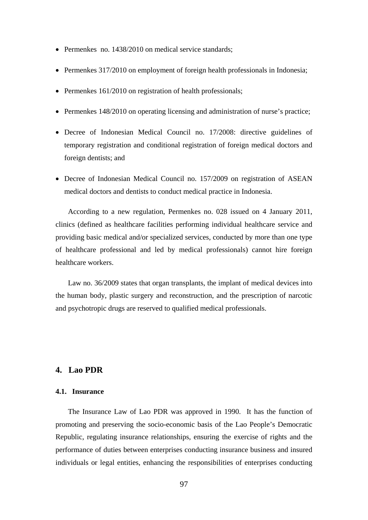- Permenkes no. 1438/2010 on medical service standards;
- Permenkes 317/2010 on employment of foreign health professionals in Indonesia;
- Permenkes  $161/2010$  on registration of health professionals;
- Permenkes 148/2010 on operating licensing and administration of nurse's practice;
- Decree of Indonesian Medical Council no. 17/2008: directive guidelines of temporary registration and conditional registration of foreign medical doctors and foreign dentists; and
- Decree of Indonesian Medical Council no. 157/2009 on registration of ASEAN medical doctors and dentists to conduct medical practice in Indonesia.

According to a new regulation, Permenkes no. 028 issued on 4 January 2011, clinics (defined as healthcare facilities performing individual healthcare service and providing basic medical and/or specialized services, conducted by more than one type of healthcare professional and led by medical professionals) cannot hire foreign healthcare workers.

Law no. 36/2009 states that organ transplants, the implant of medical devices into the human body, plastic surgery and reconstruction, and the prescription of narcotic and psychotropic drugs are reserved to qualified medical professionals.

# **4. Lao PDR**

## **4.1. Insurance**

The Insurance Law of Lao PDR was approved in 1990. It has the function of promoting and preserving the socio-economic basis of the Lao People's Democratic Republic, regulating insurance relationships, ensuring the exercise of rights and the performance of duties between enterprises conducting insurance business and insured individuals or legal entities, enhancing the responsibilities of enterprises conducting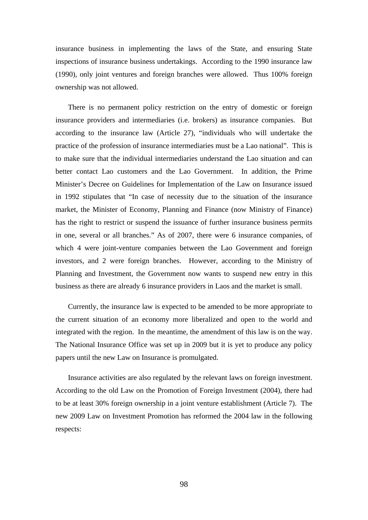insurance business in implementing the laws of the State, and ensuring State inspections of insurance business undertakings. According to the 1990 insurance law (1990), only joint ventures and foreign branches were allowed. Thus 100% foreign ownership was not allowed.

There is no permanent policy restriction on the entry of domestic or foreign insurance providers and intermediaries (i.e. brokers) as insurance companies. But according to the insurance law (Article 27), "individuals who will undertake the practice of the profession of insurance intermediaries must be a Lao national". This is to make sure that the individual intermediaries understand the Lao situation and can better contact Lao customers and the Lao Government. In addition, the Prime Minister's Decree on Guidelines for Implementation of the Law on Insurance issued in 1992 stipulates that "In case of necessity due to the situation of the insurance market, the Minister of Economy, Planning and Finance (now Ministry of Finance) has the right to restrict or suspend the issuance of further insurance business permits in one, several or all branches." As of 2007, there were 6 insurance companies, of which 4 were joint-venture companies between the Lao Government and foreign investors, and 2 were foreign branches. However, according to the Ministry of Planning and Investment, the Government now wants to suspend new entry in this business as there are already 6 insurance providers in Laos and the market is small.

Currently, the insurance law is expected to be amended to be more appropriate to the current situation of an economy more liberalized and open to the world and integrated with the region. In the meantime, the amendment of this law is on the way. The National Insurance Office was set up in 2009 but it is yet to produce any policy papers until the new Law on Insurance is promulgated.

Insurance activities are also regulated by the relevant laws on foreign investment. According to the old Law on the Promotion of Foreign Investment (2004), there had to be at least 30% foreign ownership in a joint venture establishment (Article 7). The new 2009 Law on Investment Promotion has reformed the 2004 law in the following respects: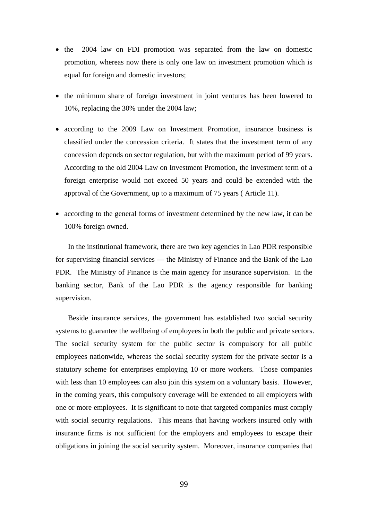- the 2004 law on FDI promotion was separated from the law on domestic promotion, whereas now there is only one law on investment promotion which is equal for foreign and domestic investors;
- the minimum share of foreign investment in joint ventures has been lowered to 10%, replacing the 30% under the 2004 law;
- according to the 2009 Law on Investment Promotion, insurance business is classified under the concession criteria. It states that the investment term of any concession depends on sector regulation, but with the maximum period of 99 years. According to the old 2004 Law on Investment Promotion, the investment term of a foreign enterprise would not exceed 50 years and could be extended with the approval of the Government, up to a maximum of 75 years ( Article 11).
- according to the general forms of investment determined by the new law, it can be 100% foreign owned.

In the institutional framework, there are two key agencies in Lao PDR responsible for supervising financial services — the Ministry of Finance and the Bank of the Lao PDR. The Ministry of Finance is the main agency for insurance supervision. In the banking sector, Bank of the Lao PDR is the agency responsible for banking supervision.

Beside insurance services, the government has established two social security systems to guarantee the wellbeing of employees in both the public and private sectors. The social security system for the public sector is compulsory for all public employees nationwide, whereas the social security system for the private sector is a statutory scheme for enterprises employing 10 or more workers. Those companies with less than 10 employees can also join this system on a voluntary basis. However, in the coming years, this compulsory coverage will be extended to all employers with one or more employees. It is significant to note that targeted companies must comply with social security regulations. This means that having workers insured only with insurance firms is not sufficient for the employers and employees to escape their obligations in joining the social security system. Moreover, insurance companies that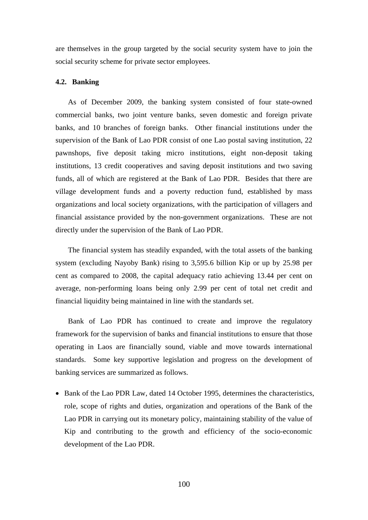are themselves in the group targeted by the social security system have to join the social security scheme for private sector employees.

### **4.2. Banking**

As of December 2009, the banking system consisted of four state-owned commercial banks, two joint venture banks, seven domestic and foreign private banks, and 10 branches of foreign banks. Other financial institutions under the supervision of the Bank of Lao PDR consist of one Lao postal saving institution, 22 pawnshops, five deposit taking micro institutions, eight non-deposit taking institutions, 13 credit cooperatives and saving deposit institutions and two saving funds, all of which are registered at the Bank of Lao PDR. Besides that there are village development funds and a poverty reduction fund, established by mass organizations and local society organizations, with the participation of villagers and financial assistance provided by the non-government organizations. These are not directly under the supervision of the Bank of Lao PDR.

The financial system has steadily expanded, with the total assets of the banking system (excluding Nayoby Bank) rising to 3,595.6 billion Kip or up by 25.98 per cent as compared to 2008, the capital adequacy ratio achieving 13.44 per cent on average, non-performing loans being only 2.99 per cent of total net credit and financial liquidity being maintained in line with the standards set.

Bank of Lao PDR has continued to create and improve the regulatory framework for the supervision of banks and financial institutions to ensure that those operating in Laos are financially sound, viable and move towards international standards. Some key supportive legislation and progress on the development of banking services are summarized as follows.

• Bank of the Lao PDR Law, dated 14 October 1995, determines the characteristics, role, scope of rights and duties, organization and operations of the Bank of the Lao PDR in carrying out its monetary policy, maintaining stability of the value of Kip and contributing to the growth and efficiency of the socio-economic development of the Lao PDR.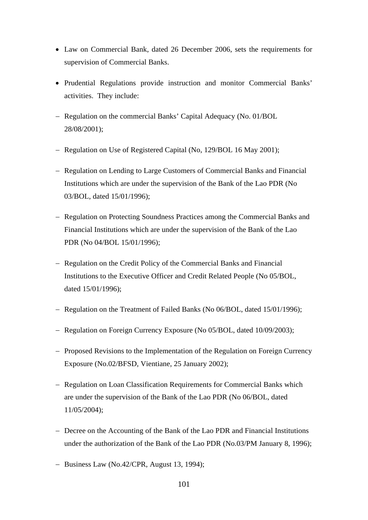- Law on Commercial Bank, dated 26 December 2006, sets the requirements for supervision of Commercial Banks.
- Prudential Regulations provide instruction and monitor Commercial Banks' activities. They include:
- Regulation on the commercial Banks' Capital Adequacy (No. 01/BOL 28/08/2001);
- Regulation on Use of Registered Capital (No, 129/BOL 16 May 2001);
- Regulation on Lending to Large Customers of Commercial Banks and Financial Institutions which are under the supervision of the Bank of the Lao PDR (No 03/BOL, dated 15/01/1996);
- Regulation on Protecting Soundness Practices among the Commercial Banks and Financial Institutions which are under the supervision of the Bank of the Lao PDR (No 04/BOL 15/01/1996);
- Regulation on the Credit Policy of the Commercial Banks and Financial Institutions to the Executive Officer and Credit Related People (No 05/BOL, dated 15/01/1996);
- Regulation on the Treatment of Failed Banks (No 06/BOL, dated 15/01/1996);
- Regulation on Foreign Currency Exposure (No 05/BOL, dated 10/09/2003);
- Proposed Revisions to the Implementation of the Regulation on Foreign Currency Exposure (No.02/BFSD, Vientiane, 25 January 2002);
- Regulation on Loan Classification Requirements for Commercial Banks which are under the supervision of the Bank of the Lao PDR (No 06/BOL, dated 11/05/2004);
- Decree on the Accounting of the Bank of the Lao PDR and Financial Institutions under the authorization of the Bank of the Lao PDR (No.03/PM January 8, 1996);
- $-$  Business Law (No.42/CPR, August 13, 1994);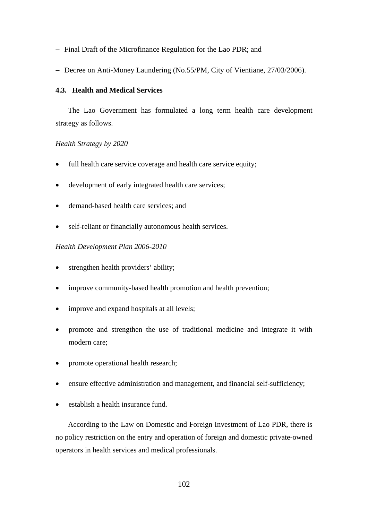- Final Draft of the Microfinance Regulation for the Lao PDR; and
- Decree on Anti-Money Laundering (No.55/PM, City of Vientiane, 27/03/2006).

## **4.3. Health and Medical Services**

The Lao Government has formulated a long term health care development strategy as follows.

## *Health Strategy by 2020*

- full health care service coverage and health care service equity;
- development of early integrated health care services;
- demand-based health care services; and
- self-reliant or financially autonomous health services.

## *Health Development Plan 2006-2010*

- strengthen health providers' ability;
- improve community-based health promotion and health prevention;
- improve and expand hospitals at all levels;
- promote and strengthen the use of traditional medicine and integrate it with modern care;
- promote operational health research;
- ensure effective administration and management, and financial self-sufficiency;
- establish a health insurance fund.

According to the Law on Domestic and Foreign Investment of Lao PDR, there is no policy restriction on the entry and operation of foreign and domestic private-owned operators in health services and medical professionals.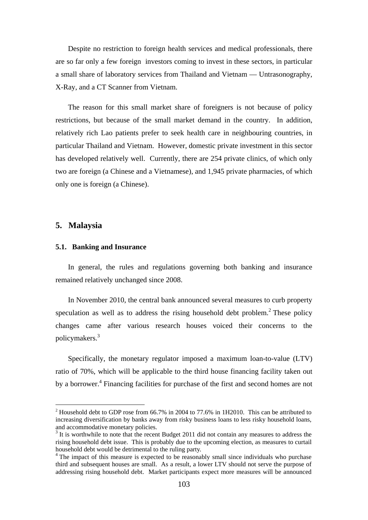Despite no restriction to foreign health services and medical professionals, there are so far only a few foreign investors coming to invest in these sectors, in particular a small share of laboratory services from Thailand and Vietnam — Untrasonography, X-Ray, and a CT Scanner from Vietnam.

The reason for this small market share of foreigners is not because of policy restrictions, but because of the small market demand in the country. In addition, relatively rich Lao patients prefer to seek health care in neighbouring countries, in particular Thailand and Vietnam. However, domestic private investment in this sector has developed relatively well. Currently, there are 254 private clinics, of which only two are foreign (a Chinese and a Vietnamese), and 1,945 private pharmacies, of which only one is foreign (a Chinese).

## **5. Malaysia**

## **5.1. Banking and Insurance**

In general, the rules and regulations governing both banking and insurance remained relatively unchanged since 2008.

In November 2010, the central bank announced several measures to curb property speculation as well as to address the rising household debt problem.<sup>2</sup> These policy changes came after various research houses voiced their concerns to the policymakers.<sup>3</sup>

Specifically, the monetary regulator imposed a maximum loan-to-value (LTV) ratio of 70%, which will be applicable to the third house financing facility taken out by a borrower.<sup>4</sup> Financing facilities for purchase of the first and second homes are not

 $2$  Household debt to GDP rose from 66.7% in 2004 to 77.6% in 1H2010. This can be attributed to increasing diversification by banks away from risky business loans to less risky household loans, and accommodative monetary policies.

<sup>&</sup>lt;sup>3</sup> It is worthwhile to note that the recent Budget 2011 did not contain any measures to address the rising household debt issue. This is probably due to the upcoming election, as measures to curtail household debt would be detrimental to the ruling party.

<sup>&</sup>lt;sup>4</sup> The impact of this measure is expected to be reasonably small since individuals who purchase third and subsequent houses are small. As a result, a lower LTV should not serve the purpose of addressing rising household debt. Market participants expect more measures will be announced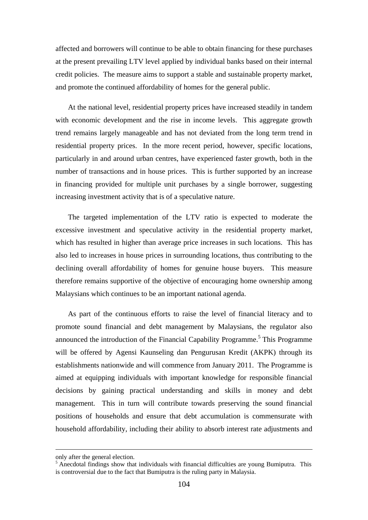affected and borrowers will continue to be able to obtain financing for these purchases at the present prevailing LTV level applied by individual banks based on their internal credit policies. The measure aims to support a stable and sustainable property market, and promote the continued affordability of homes for the general public.

At the national level, residential property prices have increased steadily in tandem with economic development and the rise in income levels. This aggregate growth trend remains largely manageable and has not deviated from the long term trend in residential property prices. In the more recent period, however, specific locations, particularly in and around urban centres, have experienced faster growth, both in the number of transactions and in house prices. This is further supported by an increase in financing provided for multiple unit purchases by a single borrower, suggesting increasing investment activity that is of a speculative nature.

The targeted implementation of the LTV ratio is expected to moderate the excessive investment and speculative activity in the residential property market, which has resulted in higher than average price increases in such locations. This has also led to increases in house prices in surrounding locations, thus contributing to the declining overall affordability of homes for genuine house buyers. This measure therefore remains supportive of the objective of encouraging home ownership among Malaysians which continues to be an important national agenda.

As part of the continuous efforts to raise the level of financial literacy and to promote sound financial and debt management by Malaysians, the regulator also announced the introduction of the Financial Capability Programme.<sup>5</sup> This Programme will be offered by Agensi Kaunseling dan Pengurusan Kredit (AKPK) through its establishments nationwide and will commence from January 2011. The Programme is aimed at equipping individuals with important knowledge for responsible financial decisions by gaining practical understanding and skills in money and debt management. This in turn will contribute towards preserving the sound financial positions of households and ensure that debt accumulation is commensurate with household affordability, including their ability to absorb interest rate adjustments and

only after the general election.

<sup>&</sup>lt;sup>5</sup> Anecdotal findings show that individuals with financial difficulties are young Bumiputra. This is controversial due to the fact that Bumiputra is the ruling party in Malaysia.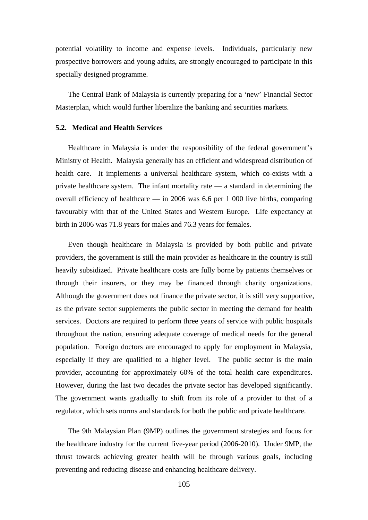potential volatility to income and expense levels. Individuals, particularly new prospective borrowers and young adults, are strongly encouraged to participate in this specially designed programme.

The Central Bank of Malaysia is currently preparing for a 'new' Financial Sector Masterplan, which would further liberalize the banking and securities markets.

### **5.2. Medical and Health Services**

Healthcare in Malaysia is under the responsibility of the federal government's Ministry of Health. Malaysia generally has an efficient and widespread distribution of health care. It implements a universal healthcare system, which co-exists with a private healthcare system. The infant mortality rate — a standard in determining the overall efficiency of healthcare — in 2006 was  $6.6$  per 1 000 live births, comparing favourably with that of the United States and Western Europe. Life expectancy at birth in 2006 was 71.8 years for males and 76.3 years for females.

Even though healthcare in Malaysia is provided by both public and private providers, the government is still the main provider as healthcare in the country is still heavily subsidized. Private healthcare costs are fully borne by patients themselves or through their insurers, or they may be financed through charity organizations. Although the government does not finance the private sector, it is still very supportive, as the private sector supplements the public sector in meeting the demand for health services. Doctors are required to perform three years of service with public hospitals throughout the nation, ensuring adequate coverage of medical needs for the general population. Foreign doctors are encouraged to apply for employment in Malaysia, especially if they are qualified to a higher level. The public sector is the main provider, accounting for approximately 60% of the total health care expenditures. However, during the last two decades the private sector has developed significantly. The government wants gradually to shift from its role of a provider to that of a regulator, which sets norms and standards for both the public and private healthcare.

The 9th Malaysian Plan (9MP) outlines the government strategies and focus for the healthcare industry for the current five-year period (2006-2010). Under 9MP, the thrust towards achieving greater health will be through various goals, including preventing and reducing disease and enhancing healthcare delivery.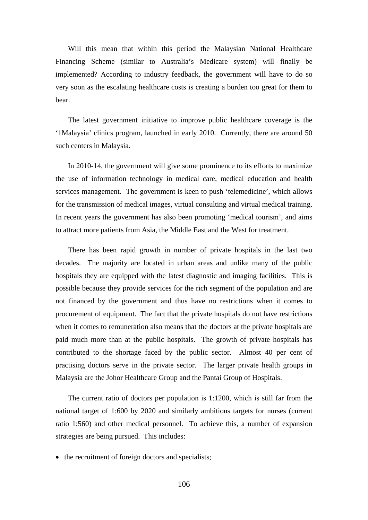Will this mean that within this period the Malaysian National Healthcare Financing Scheme (similar to Australia's Medicare system) will finally be implemented? According to industry feedback, the government will have to do so very soon as the escalating healthcare costs is creating a burden too great for them to bear.

The latest government initiative to improve public healthcare coverage is the '1Malaysia' clinics program, launched in early 2010. Currently, there are around 50 such centers in Malaysia.

In 2010-14, the government will give some prominence to its efforts to maximize the use of information technology in medical care, medical education and health services management. The government is keen to push 'telemedicine', which allows for the transmission of medical images, virtual consulting and virtual medical training. In recent years the government has also been promoting 'medical tourism', and aims to attract more patients from Asia, the Middle East and the West for treatment.

There has been rapid growth in number of private hospitals in the last two decades. The majority are located in urban areas and unlike many of the public hospitals they are equipped with the latest diagnostic and imaging facilities. This is possible because they provide services for the rich segment of the population and are not financed by the government and thus have no restrictions when it comes to procurement of equipment. The fact that the private hospitals do not have restrictions when it comes to remuneration also means that the doctors at the private hospitals are paid much more than at the public hospitals. The growth of private hospitals has contributed to the shortage faced by the public sector. Almost 40 per cent of practising doctors serve in the private sector. The larger private health groups in Malaysia are the Johor Healthcare Group and the Pantai Group of Hospitals.

The current ratio of doctors per population is 1:1200, which is still far from the national target of 1:600 by 2020 and similarly ambitious targets for nurses (current ratio 1:560) and other medical personnel. To achieve this, a number of expansion strategies are being pursued. This includes:

• the recruitment of foreign doctors and specialists;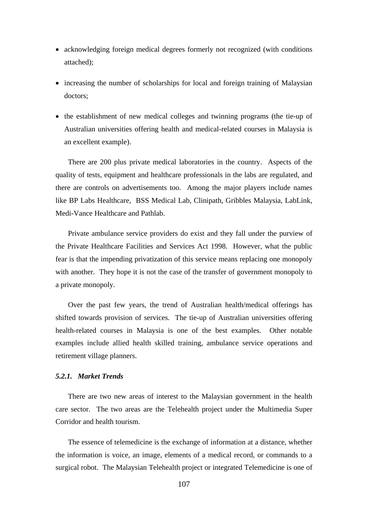- acknowledging foreign medical degrees formerly not recognized (with conditions attached);
- increasing the number of scholarships for local and foreign training of Malaysian doctors;
- the establishment of new medical colleges and twinning programs (the tie-up of Australian universities offering health and medical-related courses in Malaysia is an excellent example).

There are 200 plus private medical laboratories in the country. Aspects of the quality of tests, equipment and healthcare professionals in the labs are regulated, and there are controls on advertisements too. Among the major players include names like BP Labs Healthcare, BSS Medical Lab, Clinipath, Gribbles Malaysia, LabLink, Medi-Vance Healthcare and Pathlab.

Private ambulance service providers do exist and they fall under the purview of the Private Healthcare Facilities and Services Act 1998. However, what the public fear is that the impending privatization of this service means replacing one monopoly with another. They hope it is not the case of the transfer of government monopoly to a private monopoly.

Over the past few years, the trend of Australian health/medical offerings has shifted towards provision of services. The tie-up of Australian universities offering health-related courses in Malaysia is one of the best examples. Other notable examples include allied health skilled training, ambulance service operations and retirement village planners.

## *5.2.1. Market Trends*

There are two new areas of interest to the Malaysian government in the health care sector. The two areas are the Telehealth project under the Multimedia Super Corridor and health tourism.

The essence of telemedicine is the exchange of information at a distance, whether the information is voice, an image, elements of a medical record, or commands to a surgical robot. The Malaysian Telehealth project or integrated Telemedicine is one of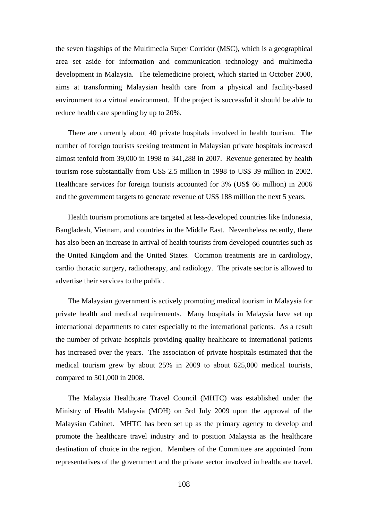the seven flagships of the Multimedia Super Corridor (MSC), which is a geographical area set aside for information and communication technology and multimedia development in Malaysia. The telemedicine project, which started in October 2000, aims at transforming Malaysian health care from a physical and facility-based environment to a virtual environment. If the project is successful it should be able to reduce health care spending by up to 20%.

There are currently about 40 private hospitals involved in health tourism. The number of foreign tourists seeking treatment in Malaysian private hospitals increased almost tenfold from 39,000 in 1998 to 341,288 in 2007. Revenue generated by health tourism rose substantially from US\$ 2.5 million in 1998 to US\$ 39 million in 2002. Healthcare services for foreign tourists accounted for 3% (US\$ 66 million) in 2006 and the government targets to generate revenue of US\$ 188 million the next 5 years.

Health tourism promotions are targeted at less-developed countries like Indonesia, Bangladesh, Vietnam, and countries in the Middle East. Nevertheless recently, there has also been an increase in arrival of health tourists from developed countries such as the United Kingdom and the United States. Common treatments are in cardiology, cardio thoracic surgery, radiotherapy, and radiology. The private sector is allowed to advertise their services to the public.

The Malaysian government is actively promoting medical tourism in Malaysia for private health and medical requirements. Many hospitals in Malaysia have set up international departments to cater especially to the international patients. As a result the number of private hospitals providing quality healthcare to international patients has increased over the years. The association of private hospitals estimated that the medical tourism grew by about 25% in 2009 to about 625,000 medical tourists, compared to 501,000 in 2008.

The Malaysia Healthcare Travel Council (MHTC) was established under the Ministry of Health Malaysia (MOH) on 3rd July 2009 upon the approval of the Malaysian Cabinet. MHTC has been set up as the primary agency to develop and promote the healthcare travel industry and to position Malaysia as the healthcare destination of choice in the region. Members of the Committee are appointed from representatives of the government and the private sector involved in healthcare travel.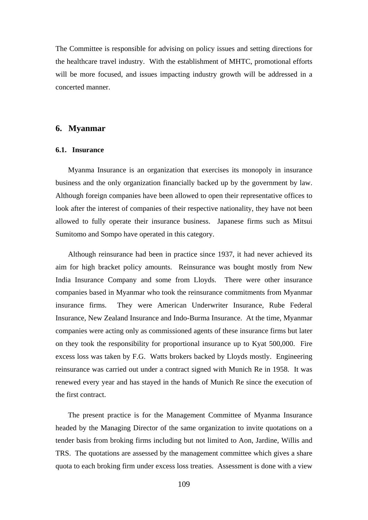The Committee is responsible for advising on policy issues and setting directions for the healthcare travel industry. With the establishment of MHTC, promotional efforts will be more focused, and issues impacting industry growth will be addressed in a concerted manner.

## **6. Myanmar**

## **6.1. Insurance**

Myanma Insurance is an organization that exercises its monopoly in insurance business and the only organization financially backed up by the government by law. Although foreign companies have been allowed to open their representative offices to look after the interest of companies of their respective nationality, they have not been allowed to fully operate their insurance business. Japanese firms such as Mitsui Sumitomo and Sompo have operated in this category.

Although reinsurance had been in practice since 1937, it had never achieved its aim for high bracket policy amounts. Reinsurance was bought mostly from New India Insurance Company and some from Lloyds. There were other insurance companies based in Myanmar who took the reinsurance commitments from Myanmar insurance firms. They were American Underwriter Insurance, Rube Federal Insurance, New Zealand Insurance and Indo-Burma Insurance. At the time, Myanmar companies were acting only as commissioned agents of these insurance firms but later on they took the responsibility for proportional insurance up to Kyat 500,000. Fire excess loss was taken by F.G. Watts brokers backed by Lloyds mostly. Engineering reinsurance was carried out under a contract signed with Munich Re in 1958. It was renewed every year and has stayed in the hands of Munich Re since the execution of the first contract.

The present practice is for the Management Committee of Myanma Insurance headed by the Managing Director of the same organization to invite quotations on a tender basis from broking firms including but not limited to Aon, Jardine, Willis and TRS. The quotations are assessed by the management committee which gives a share quota to each broking firm under excess loss treaties. Assessment is done with a view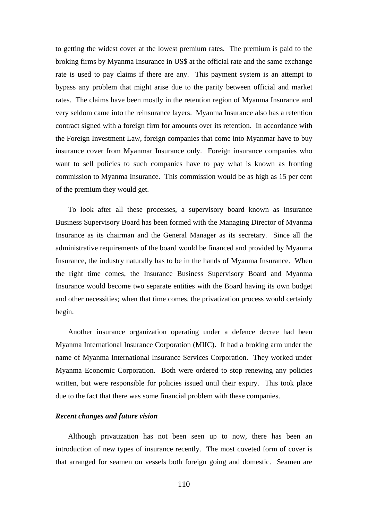to getting the widest cover at the lowest premium rates. The premium is paid to the broking firms by Myanma Insurance in US\$ at the official rate and the same exchange rate is used to pay claims if there are any. This payment system is an attempt to bypass any problem that might arise due to the parity between official and market rates. The claims have been mostly in the retention region of Myanma Insurance and very seldom came into the reinsurance layers. Myanma Insurance also has a retention contract signed with a foreign firm for amounts over its retention. In accordance with the Foreign Investment Law, foreign companies that come into Myanmar have to buy insurance cover from Myanmar Insurance only. Foreign insurance companies who want to sell policies to such companies have to pay what is known as fronting commission to Myanma Insurance. This commission would be as high as 15 per cent of the premium they would get.

To look after all these processes, a supervisory board known as Insurance Business Supervisory Board has been formed with the Managing Director of Myanma Insurance as its chairman and the General Manager as its secretary. Since all the administrative requirements of the board would be financed and provided by Myanma Insurance, the industry naturally has to be in the hands of Myanma Insurance. When the right time comes, the Insurance Business Supervisory Board and Myanma Insurance would become two separate entities with the Board having its own budget and other necessities; when that time comes, the privatization process would certainly begin.

Another insurance organization operating under a defence decree had been Myanma International Insurance Corporation (MIIC). It had a broking arm under the name of Myanma International Insurance Services Corporation. They worked under Myanma Economic Corporation. Both were ordered to stop renewing any policies written, but were responsible for policies issued until their expiry. This took place due to the fact that there was some financial problem with these companies.

### *Recent changes and future vision*

Although privatization has not been seen up to now, there has been an introduction of new types of insurance recently. The most coveted form of cover is that arranged for seamen on vessels both foreign going and domestic. Seamen are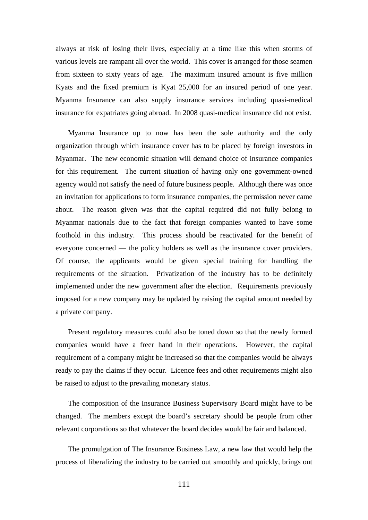always at risk of losing their lives, especially at a time like this when storms of various levels are rampant all over the world. This cover is arranged for those seamen from sixteen to sixty years of age. The maximum insured amount is five million Kyats and the fixed premium is Kyat 25,000 for an insured period of one year. Myanma Insurance can also supply insurance services including quasi-medical insurance for expatriates going abroad. In 2008 quasi-medical insurance did not exist.

Myanma Insurance up to now has been the sole authority and the only organization through which insurance cover has to be placed by foreign investors in Myanmar. The new economic situation will demand choice of insurance companies for this requirement. The current situation of having only one government-owned agency would not satisfy the need of future business people. Although there was once an invitation for applications to form insurance companies, the permission never came about. The reason given was that the capital required did not fully belong to Myanmar nationals due to the fact that foreign companies wanted to have some foothold in this industry. This process should be reactivated for the benefit of everyone concerned — the policy holders as well as the insurance cover providers. Of course, the applicants would be given special training for handling the requirements of the situation. Privatization of the industry has to be definitely implemented under the new government after the election. Requirements previously imposed for a new company may be updated by raising the capital amount needed by a private company.

Present regulatory measures could also be toned down so that the newly formed companies would have a freer hand in their operations. However, the capital requirement of a company might be increased so that the companies would be always ready to pay the claims if they occur. Licence fees and other requirements might also be raised to adjust to the prevailing monetary status.

The composition of the Insurance Business Supervisory Board might have to be changed. The members except the board's secretary should be people from other relevant corporations so that whatever the board decides would be fair and balanced.

The promulgation of The Insurance Business Law, a new law that would help the process of liberalizing the industry to be carried out smoothly and quickly, brings out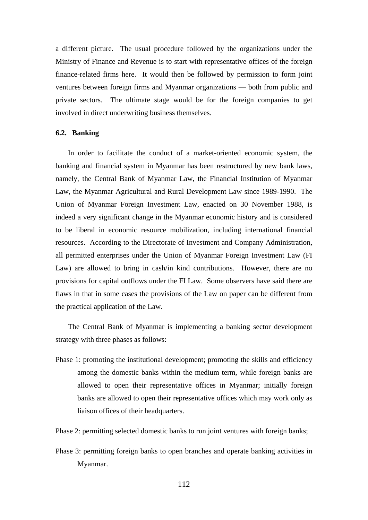a different picture. The usual procedure followed by the organizations under the Ministry of Finance and Revenue is to start with representative offices of the foreign finance-related firms here. It would then be followed by permission to form joint ventures between foreign firms and Myanmar organizations — both from public and private sectors. The ultimate stage would be for the foreign companies to get involved in direct underwriting business themselves.

### **6.2. Banking**

In order to facilitate the conduct of a market-oriented economic system, the banking and financial system in Myanmar has been restructured by new bank laws, namely, the Central Bank of Myanmar Law, the Financial Institution of Myanmar Law, the Myanmar Agricultural and Rural Development Law since 1989-1990. The Union of Myanmar Foreign Investment Law, enacted on 30 November 1988, is indeed a very significant change in the Myanmar economic history and is considered to be liberal in economic resource mobilization, including international financial resources. According to the Directorate of Investment and Company Administration, all permitted enterprises under the Union of Myanmar Foreign Investment Law (FI Law) are allowed to bring in cash/in kind contributions. However, there are no provisions for capital outflows under the FI Law. Some observers have said there are flaws in that in some cases the provisions of the Law on paper can be different from the practical application of the Law.

The Central Bank of Myanmar is implementing a banking sector development strategy with three phases as follows:

- Phase 1: promoting the institutional development; promoting the skills and efficiency among the domestic banks within the medium term, while foreign banks are allowed to open their representative offices in Myanmar; initially foreign banks are allowed to open their representative offices which may work only as liaison offices of their headquarters.
- Phase 2: permitting selected domestic banks to run joint ventures with foreign banks;
- Phase 3: permitting foreign banks to open branches and operate banking activities in Myanmar.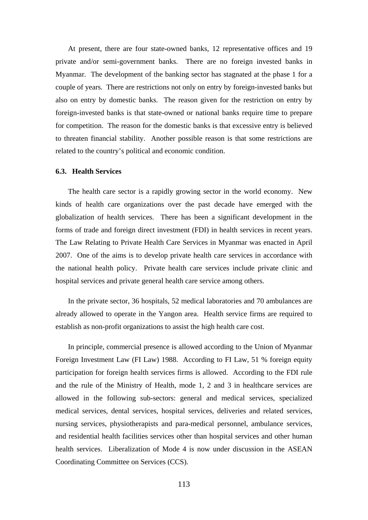At present, there are four state-owned banks, 12 representative offices and 19 private and/or semi-government banks. There are no foreign invested banks in Myanmar. The development of the banking sector has stagnated at the phase 1 for a couple of years. There are restrictions not only on entry by foreign-invested banks but also on entry by domestic banks. The reason given for the restriction on entry by foreign-invested banks is that state-owned or national banks require time to prepare for competition. The reason for the domestic banks is that excessive entry is believed to threaten financial stability. Another possible reason is that some restrictions are related to the country's political and economic condition.

## **6.3. Health Services**

The health care sector is a rapidly growing sector in the world economy. New kinds of health care organizations over the past decade have emerged with the globalization of health services. There has been a significant development in the forms of trade and foreign direct investment (FDI) in health services in recent years. The Law Relating to Private Health Care Services in Myanmar was enacted in April 2007. One of the aims is to develop private health care services in accordance with the national health policy. Private health care services include private clinic and hospital services and private general health care service among others.

In the private sector, 36 hospitals, 52 medical laboratories and 70 ambulances are already allowed to operate in the Yangon area. Health service firms are required to establish as non-profit organizations to assist the high health care cost.

In principle, commercial presence is allowed according to the Union of Myanmar Foreign Investment Law (FI Law) 1988. According to FI Law, 51 % foreign equity participation for foreign health services firms is allowed. According to the FDI rule and the rule of the Ministry of Health, mode 1, 2 and 3 in healthcare services are allowed in the following sub-sectors: general and medical services, specialized medical services, dental services, hospital services, deliveries and related services, nursing services, physiotherapists and para-medical personnel, ambulance services, and residential health facilities services other than hospital services and other human health services. Liberalization of Mode 4 is now under discussion in the ASEAN Coordinating Committee on Services (CCS).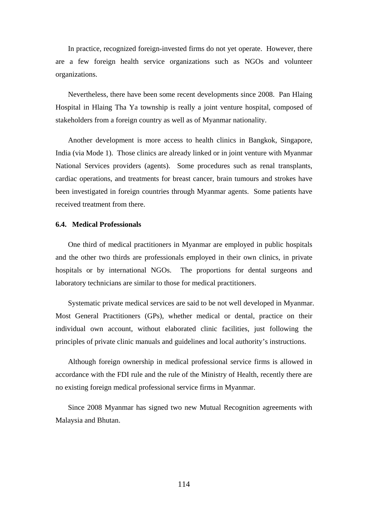In practice, recognized foreign-invested firms do not yet operate. However, there are a few foreign health service organizations such as NGOs and volunteer organizations.

Nevertheless, there have been some recent developments since 2008. Pan Hlaing Hospital in Hlaing Tha Ya township is really a joint venture hospital, composed of stakeholders from a foreign country as well as of Myanmar nationality.

Another development is more access to health clinics in Bangkok, Singapore, India (via Mode 1). Those clinics are already linked or in joint venture with Myanmar National Services providers (agents). Some procedures such as renal transplants, cardiac operations, and treatments for breast cancer, brain tumours and strokes have been investigated in foreign countries through Myanmar agents. Some patients have received treatment from there.

#### **6.4. Medical Professionals**

One third of medical practitioners in Myanmar are employed in public hospitals and the other two thirds are professionals employed in their own clinics, in private hospitals or by international NGOs. The proportions for dental surgeons and laboratory technicians are similar to those for medical practitioners.

Systematic private medical services are said to be not well developed in Myanmar. Most General Practitioners (GPs), whether medical or dental, practice on their individual own account, without elaborated clinic facilities, just following the principles of private clinic manuals and guidelines and local authority's instructions.

Although foreign ownership in medical professional service firms is allowed in accordance with the FDI rule and the rule of the Ministry of Health, recently there are no existing foreign medical professional service firms in Myanmar.

Since 2008 Myanmar has signed two new Mutual Recognition agreements with Malaysia and Bhutan.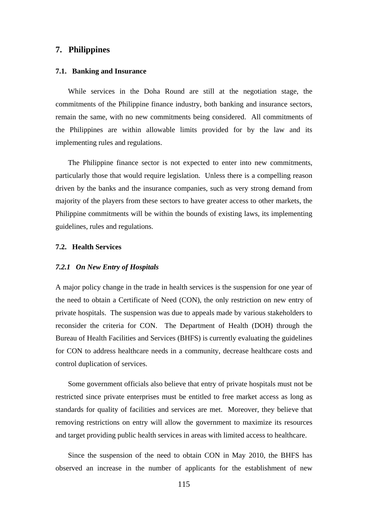## **7. Philippines**

### **7.1. Banking and Insurance**

While services in the Doha Round are still at the negotiation stage, the commitments of the Philippine finance industry, both banking and insurance sectors, remain the same, with no new commitments being considered. All commitments of the Philippines are within allowable limits provided for by the law and its implementing rules and regulations.

The Philippine finance sector is not expected to enter into new commitments, particularly those that would require legislation. Unless there is a compelling reason driven by the banks and the insurance companies, such as very strong demand from majority of the players from these sectors to have greater access to other markets, the Philippine commitments will be within the bounds of existing laws, its implementing guidelines, rules and regulations.

## **7.2. Health Services**

#### *7.2.1 On New Entry of Hospitals*

A major policy change in the trade in health services is the suspension for one year of the need to obtain a Certificate of Need (CON), the only restriction on new entry of private hospitals. The suspension was due to appeals made by various stakeholders to reconsider the criteria for CON. The Department of Health (DOH) through the Bureau of Health Facilities and Services (BHFS) is currently evaluating the guidelines for CON to address healthcare needs in a community, decrease healthcare costs and control duplication of services.

Some government officials also believe that entry of private hospitals must not be restricted since private enterprises must be entitled to free market access as long as standards for quality of facilities and services are met. Moreover, they believe that removing restrictions on entry will allow the government to maximize its resources and target providing public health services in areas with limited access to healthcare.

Since the suspension of the need to obtain CON in May 2010, the BHFS has observed an increase in the number of applicants for the establishment of new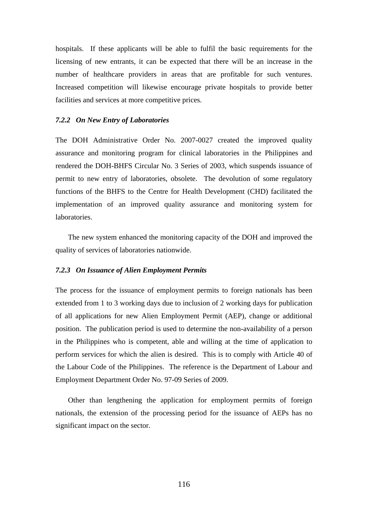hospitals. If these applicants will be able to fulfil the basic requirements for the licensing of new entrants, it can be expected that there will be an increase in the number of healthcare providers in areas that are profitable for such ventures. Increased competition will likewise encourage private hospitals to provide better facilities and services at more competitive prices.

### *7.2.2 On New Entry of Laboratories*

The DOH Administrative Order No. 2007-0027 created the improved quality assurance and monitoring program for clinical laboratories in the Philippines and rendered the DOH-BHFS Circular No. 3 Series of 2003, which suspends issuance of permit to new entry of laboratories, obsolete. The devolution of some regulatory functions of the BHFS to the Centre for Health Development (CHD) facilitated the implementation of an improved quality assurance and monitoring system for laboratories.

The new system enhanced the monitoring capacity of the DOH and improved the quality of services of laboratories nationwide.

#### *7.2.3 On Issuance of Alien Employment Permits*

The process for the issuance of employment permits to foreign nationals has been extended from 1 to 3 working days due to inclusion of 2 working days for publication of all applications for new Alien Employment Permit (AEP), change or additional position. The publication period is used to determine the non-availability of a person in the Philippines who is competent, able and willing at the time of application to perform services for which the alien is desired. This is to comply with Article 40 of the Labour Code of the Philippines. The reference is the Department of Labour and Employment Department Order No. 97-09 Series of 2009.

Other than lengthening the application for employment permits of foreign nationals, the extension of the processing period for the issuance of AEPs has no significant impact on the sector.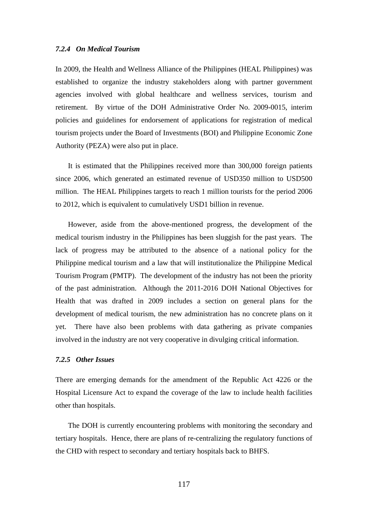### *7.2.4 On Medical Tourism*

In 2009, the Health and Wellness Alliance of the Philippines (HEAL Philippines) was established to organize the industry stakeholders along with partner government agencies involved with global healthcare and wellness services, tourism and retirement. By virtue of the DOH Administrative Order No. 2009-0015, interim policies and guidelines for endorsement of applications for registration of medical tourism projects under the Board of Investments (BOI) and Philippine Economic Zone Authority (PEZA) were also put in place.

It is estimated that the Philippines received more than 300,000 foreign patients since 2006, which generated an estimated revenue of USD350 million to USD500 million. The HEAL Philippines targets to reach 1 million tourists for the period 2006 to 2012, which is equivalent to cumulatively USD1 billion in revenue.

However, aside from the above-mentioned progress, the development of the medical tourism industry in the Philippines has been sluggish for the past years. The lack of progress may be attributed to the absence of a national policy for the Philippine medical tourism and a law that will institutionalize the Philippine Medical Tourism Program (PMTP). The development of the industry has not been the priority of the past administration. Although the 2011-2016 DOH National Objectives for Health that was drafted in 2009 includes a section on general plans for the development of medical tourism, the new administration has no concrete plans on it yet. There have also been problems with data gathering as private companies involved in the industry are not very cooperative in divulging critical information.

#### *7.2.5 Other Issues*

There are emerging demands for the amendment of the Republic Act 4226 or the Hospital Licensure Act to expand the coverage of the law to include health facilities other than hospitals.

The DOH is currently encountering problems with monitoring the secondary and tertiary hospitals. Hence, there are plans of re-centralizing the regulatory functions of the CHD with respect to secondary and tertiary hospitals back to BHFS.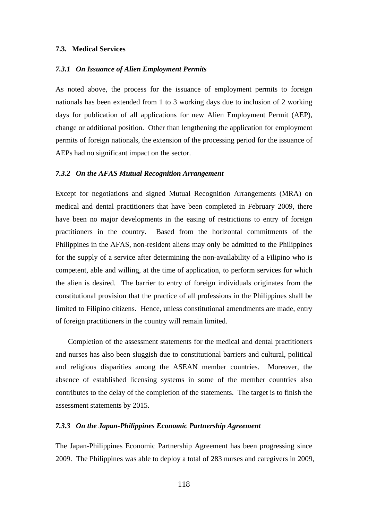#### **7.3. Medical Services**

#### *7.3.1 On Issuance of Alien Employment Permits*

As noted above, the process for the issuance of employment permits to foreign nationals has been extended from 1 to 3 working days due to inclusion of 2 working days for publication of all applications for new Alien Employment Permit (AEP), change or additional position. Other than lengthening the application for employment permits of foreign nationals, the extension of the processing period for the issuance of AEPs had no significant impact on the sector.

#### *7.3.2 On the AFAS Mutual Recognition Arrangement*

Except for negotiations and signed Mutual Recognition Arrangements (MRA) on medical and dental practitioners that have been completed in February 2009, there have been no major developments in the easing of restrictions to entry of foreign practitioners in the country. Based from the horizontal commitments of the Philippines in the AFAS, non-resident aliens may only be admitted to the Philippines for the supply of a service after determining the non-availability of a Filipino who is competent, able and willing, at the time of application, to perform services for which the alien is desired. The barrier to entry of foreign individuals originates from the constitutional provision that the practice of all professions in the Philippines shall be limited to Filipino citizens. Hence, unless constitutional amendments are made, entry of foreign practitioners in the country will remain limited.

Completion of the assessment statements for the medical and dental practitioners and nurses has also been sluggish due to constitutional barriers and cultural, political and religious disparities among the ASEAN member countries. Moreover, the absence of established licensing systems in some of the member countries also contributes to the delay of the completion of the statements. The target is to finish the assessment statements by 2015.

### *7.3.3 On the Japan-Philippines Economic Partnership Agreement*

The Japan-Philippines Economic Partnership Agreement has been progressing since 2009. The Philippines was able to deploy a total of 283 nurses and caregivers in 2009,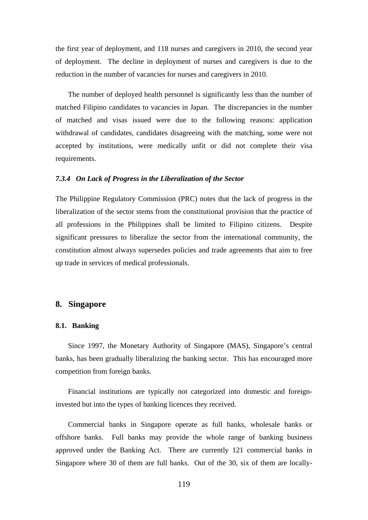the first year of deployment, and 118 nurses and caregivers in 2010, the second year of deployment. The decline in deployment of nurses and caregivers is due to the reduction in the number of vacancies for nurses and caregivers in 2010.

The number of deployed health personnel is significantly less than the number of matched Filipino candidates to vacancies in Japan. The discrepancies in the number of matched and visas issued were due to the following reasons: application withdrawal of candidates, candidates disagreeing with the matching, some were not accepted by institutions, were medically unfit or did not complete their visa requirements.

#### *7.3.4 On Lack of Progress in the Liberalization of the Sector*

The Philippine Regulatory Commission (PRC) notes that the lack of progress in the liberalization of the sector stems from the constitutional provision that the practice of all professions in the Philippines shall be limited to Filipino citizens. Despite significant pressures to liberalize the sector from the international community, the constitution almost always supersedes policies and trade agreements that aim to free up trade in services of medical professionals.

## **8. Singapore**

#### **8.1. Banking**

Since 1997, the Monetary Authority of Singapore (MAS), Singapore's central banks, has been gradually liberalizing the banking sector. This has encouraged more competition from foreign banks.

Financial institutions are typically not categorized into domestic and foreigninvested but into the types of banking licences they received.

Commercial banks in Singapore operate as full banks, wholesale banks or offshore banks. Full banks may provide the whole range of banking business approved under the Banking Act. There are currently 121 commercial banks in Singapore where 30 of them are full banks. Out of the 30, six of them are locally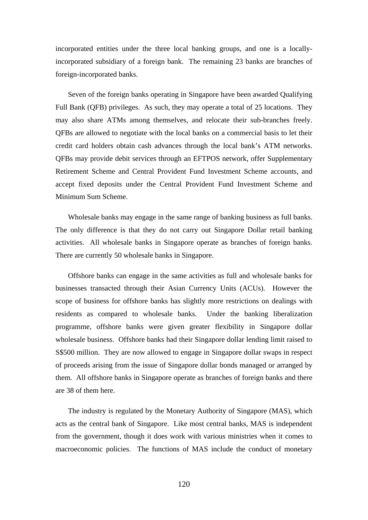incorporated entities under the three local banking groups, and one is a locallyincorporated subsidiary of a foreign bank. The remaining 23 banks are branches of foreign-incorporated banks.

Seven of the foreign banks operating in Singapore have been awarded Qualifying Full Bank (QFB) privileges. As such, they may operate a total of 25 locations. They may also share ATMs among themselves, and relocate their sub-branches freely. QFBs are allowed to negotiate with the local banks on a commercial basis to let their credit card holders obtain cash advances through the local bank's ATM networks. QFBs may provide debit services through an EFTPOS network, offer Supplementary Retirement Scheme and Central Provident Fund Investment Scheme accounts, and accept fixed deposits under the Central Provident Fund Investment Scheme and Minimum Sum Scheme.

Wholesale banks may engage in the same range of banking business as full banks. The only difference is that they do not carry out Singapore Dollar retail banking activities. All wholesale banks in Singapore operate as branches of foreign banks. There are currently 50 wholesale banks in Singapore.

Offshore banks can engage in the same activities as full and wholesale banks for businesses transacted through their Asian Currency Units (ACUs). However the scope of business for offshore banks has slightly more restrictions on dealings with residents as compared to wholesale banks. Under the banking liberalization programme, offshore banks were given greater flexibility in Singapore dollar wholesale business. Offshore banks had their Singapore dollar lending limit raised to S\$500 million. They are now allowed to engage in Singapore dollar swaps in respect of proceeds arising from the issue of Singapore dollar bonds managed or arranged by them. All offshore banks in Singapore operate as branches of foreign banks and there are 38 of them here.

The industry is regulated by the Monetary Authority of Singapore (MAS), which acts as the central bank of Singapore. Like most central banks, MAS is independent from the government, though it does work with various ministries when it comes to macroeconomic policies. The functions of MAS include the conduct of monetary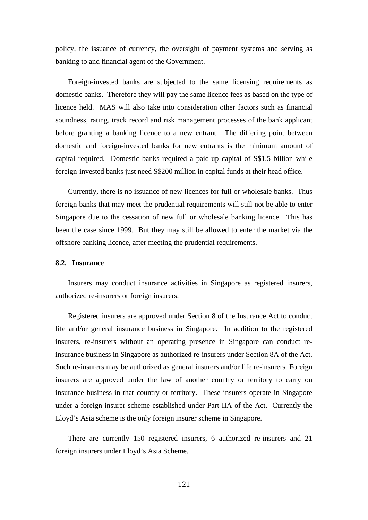policy, the issuance of currency, the oversight of payment systems and serving as banking to and financial agent of the Government.

Foreign-invested banks are subjected to the same licensing requirements as domestic banks. Therefore they will pay the same licence fees as based on the type of licence held. MAS will also take into consideration other factors such as financial soundness, rating, track record and risk management processes of the bank applicant before granting a banking licence to a new entrant. The differing point between domestic and foreign-invested banks for new entrants is the minimum amount of capital required. Domestic banks required a paid-up capital of S\$1.5 billion while foreign-invested banks just need S\$200 million in capital funds at their head office.

Currently, there is no issuance of new licences for full or wholesale banks. Thus foreign banks that may meet the prudential requirements will still not be able to enter Singapore due to the cessation of new full or wholesale banking licence. This has been the case since 1999. But they may still be allowed to enter the market via the offshore banking licence, after meeting the prudential requirements.

### **8.2. Insurance**

Insurers may conduct insurance activities in Singapore as registered insurers, authorized re-insurers or foreign insurers.

Registered insurers are approved under Section 8 of the Insurance Act to conduct life and/or general insurance business in Singapore. In addition to the registered insurers, re-insurers without an operating presence in Singapore can conduct reinsurance business in Singapore as authorized re-insurers under Section 8A of the Act. Such re-insurers may be authorized as general insurers and/or life re-insurers. Foreign insurers are approved under the law of another country or territory to carry on insurance business in that country or territory. These insurers operate in Singapore under a foreign insurer scheme established under Part IIA of the Act. Currently the Lloyd's Asia scheme is the only foreign insurer scheme in Singapore.

There are currently 150 registered insurers, 6 authorized re-insurers and 21 foreign insurers under Lloyd's Asia Scheme.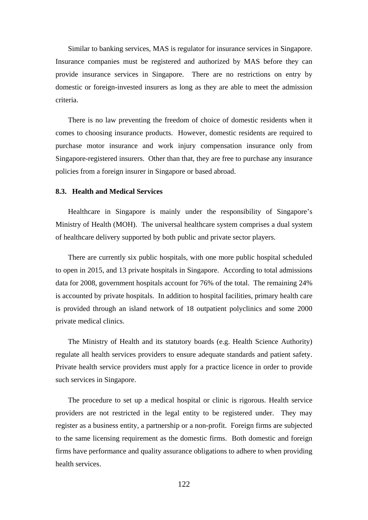Similar to banking services, MAS is regulator for insurance services in Singapore. Insurance companies must be registered and authorized by MAS before they can provide insurance services in Singapore. There are no restrictions on entry by domestic or foreign-invested insurers as long as they are able to meet the admission criteria.

There is no law preventing the freedom of choice of domestic residents when it comes to choosing insurance products. However, domestic residents are required to purchase motor insurance and work injury compensation insurance only from Singapore-registered insurers. Other than that, they are free to purchase any insurance policies from a foreign insurer in Singapore or based abroad.

#### **8.3. Health and Medical Services**

Healthcare in Singapore is mainly under the responsibility of Singapore's Ministry of Health (MOH). The universal healthcare system comprises a dual system of healthcare delivery supported by both public and private sector players.

There are currently six public hospitals, with one more public hospital scheduled to open in 2015, and 13 private hospitals in Singapore. According to total admissions data for 2008, government hospitals account for 76% of the total. The remaining 24% is accounted by private hospitals. In addition to hospital facilities, primary health care is provided through an island network of 18 outpatient polyclinics and some 2000 private medical clinics.

The Ministry of Health and its statutory boards (e.g. Health Science Authority) regulate all health services providers to ensure adequate standards and patient safety. Private health service providers must apply for a practice licence in order to provide such services in Singapore.

The procedure to set up a medical hospital or clinic is rigorous. Health service providers are not restricted in the legal entity to be registered under. They may register as a business entity, a partnership or a non-profit. Foreign firms are subjected to the same licensing requirement as the domestic firms. Both domestic and foreign firms have performance and quality assurance obligations to adhere to when providing health services.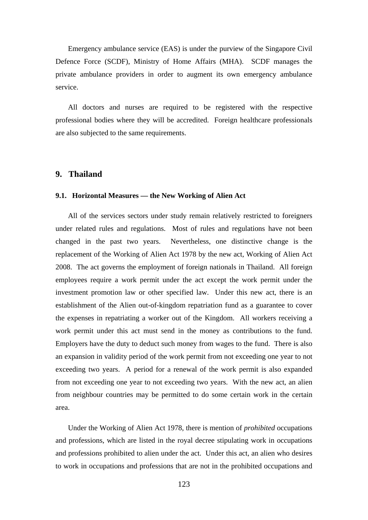Emergency ambulance service (EAS) is under the purview of the Singapore Civil Defence Force (SCDF), Ministry of Home Affairs (MHA). SCDF manages the private ambulance providers in order to augment its own emergency ambulance service.

All doctors and nurses are required to be registered with the respective professional bodies where they will be accredited. Foreign healthcare professionals are also subjected to the same requirements.

## **9. Thailand**

#### **9.1. Horizontal Measures — the New Working of Alien Act**

All of the services sectors under study remain relatively restricted to foreigners under related rules and regulations. Most of rules and regulations have not been changed in the past two years. Nevertheless, one distinctive change is the replacement of the Working of Alien Act 1978 by the new act, Working of Alien Act 2008. The act governs the employment of foreign nationals in Thailand. All foreign employees require a work permit under the act except the work permit under the investment promotion law or other specified law. Under this new act, there is an establishment of the Alien out-of-kingdom repatriation fund as a guarantee to cover the expenses in repatriating a worker out of the Kingdom. All workers receiving a work permit under this act must send in the money as contributions to the fund. Employers have the duty to deduct such money from wages to the fund. There is also an expansion in validity period of the work permit from not exceeding one year to not exceeding two years. A period for a renewal of the work permit is also expanded from not exceeding one year to not exceeding two years. With the new act, an alien from neighbour countries may be permitted to do some certain work in the certain area.

Under the Working of Alien Act 1978, there is mention of *prohibited* occupations and professions, which are listed in the royal decree stipulating work in occupations and professions prohibited to alien under the act. Under this act, an alien who desires to work in occupations and professions that are not in the prohibited occupations and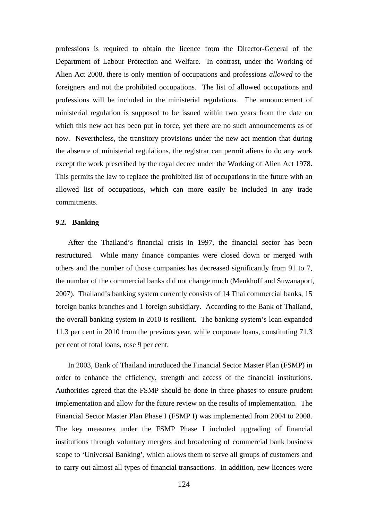professions is required to obtain the licence from the Director-General of the Department of Labour Protection and Welfare. In contrast, under the Working of Alien Act 2008, there is only mention of occupations and professions *allowed* to the foreigners and not the prohibited occupations. The list of allowed occupations and professions will be included in the ministerial regulations. The announcement of ministerial regulation is supposed to be issued within two years from the date on which this new act has been put in force, yet there are no such announcements as of now. Nevertheless, the transitory provisions under the new act mention that during the absence of ministerial regulations, the registrar can permit aliens to do any work except the work prescribed by the royal decree under the Working of Alien Act 1978. This permits the law to replace the prohibited list of occupations in the future with an allowed list of occupations, which can more easily be included in any trade commitments.

### **9.2. Banking**

After the Thailand's financial crisis in 1997, the financial sector has been restructured. While many finance companies were closed down or merged with others and the number of those companies has decreased significantly from 91 to 7, the number of the commercial banks did not change much (Menkhoff and Suwanaport, 2007). Thailand's banking system currently consists of 14 Thai commercial banks, 15 foreign banks branches and 1 foreign subsidiary. According to the Bank of Thailand, the overall banking system in 2010 is resilient. The banking system's loan expanded 11.3 per cent in 2010 from the previous year, while corporate loans, constituting 71.3 per cent of total loans, rose 9 per cent.

In 2003, Bank of Thailand introduced the Financial Sector Master Plan (FSMP) in order to enhance the efficiency, strength and access of the financial institutions. Authorities agreed that the FSMP should be done in three phases to ensure prudent implementation and allow for the future review on the results of implementation. The Financial Sector Master Plan Phase I (FSMP I) was implemented from 2004 to 2008. The key measures under the FSMP Phase I included upgrading of financial institutions through voluntary mergers and broadening of commercial bank business scope to 'Universal Banking', which allows them to serve all groups of customers and to carry out almost all types of financial transactions. In addition, new licences were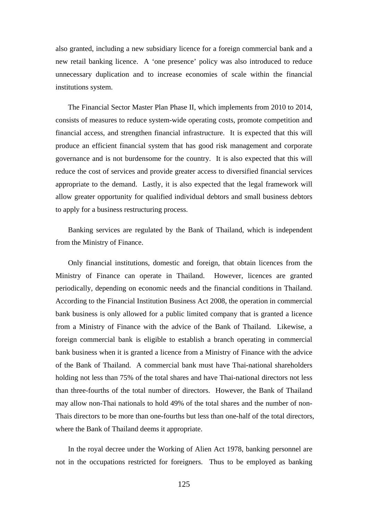also granted, including a new subsidiary licence for a foreign commercial bank and a new retail banking licence. A 'one presence' policy was also introduced to reduce unnecessary duplication and to increase economies of scale within the financial institutions system.

The Financial Sector Master Plan Phase II, which implements from 2010 to 2014, consists of measures to reduce system-wide operating costs, promote competition and financial access, and strengthen financial infrastructure. It is expected that this will produce an efficient financial system that has good risk management and corporate governance and is not burdensome for the country. It is also expected that this will reduce the cost of services and provide greater access to diversified financial services appropriate to the demand. Lastly, it is also expected that the legal framework will allow greater opportunity for qualified individual debtors and small business debtors to apply for a business restructuring process.

Banking services are regulated by the Bank of Thailand, which is independent from the Ministry of Finance.

Only financial institutions, domestic and foreign, that obtain licences from the Ministry of Finance can operate in Thailand. However, licences are granted periodically, depending on economic needs and the financial conditions in Thailand. According to the Financial Institution Business Act 2008, the operation in commercial bank business is only allowed for a public limited company that is granted a licence from a Ministry of Finance with the advice of the Bank of Thailand. Likewise, a foreign commercial bank is eligible to establish a branch operating in commercial bank business when it is granted a licence from a Ministry of Finance with the advice of the Bank of Thailand. A commercial bank must have Thai-national shareholders holding not less than 75% of the total shares and have Thai-national directors not less than three-fourths of the total number of directors. However, the Bank of Thailand may allow non-Thai nationals to hold 49% of the total shares and the number of non-Thais directors to be more than one-fourths but less than one-half of the total directors, where the Bank of Thailand deems it appropriate.

In the royal decree under the Working of Alien Act 1978, banking personnel are not in the occupations restricted for foreigners. Thus to be employed as banking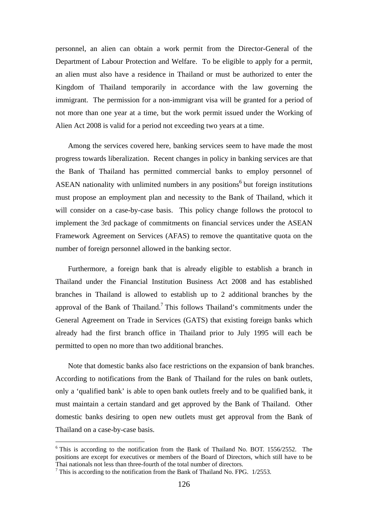personnel, an alien can obtain a work permit from the Director-General of the Department of Labour Protection and Welfare. To be eligible to apply for a permit, an alien must also have a residence in Thailand or must be authorized to enter the Kingdom of Thailand temporarily in accordance with the law governing the immigrant. The permission for a non-immigrant visa will be granted for a period of not more than one year at a time, but the work permit issued under the Working of Alien Act 2008 is valid for a period not exceeding two years at a time.

Among the services covered here, banking services seem to have made the most progress towards liberalization. Recent changes in policy in banking services are that the Bank of Thailand has permitted commercial banks to employ personnel of ASEAN nationality with unlimited numbers in any positions<sup>6</sup> but foreign institutions must propose an employment plan and necessity to the Bank of Thailand, which it will consider on a case-by-case basis. This policy change follows the protocol to implement the 3rd package of commitments on financial services under the ASEAN Framework Agreement on Services (AFAS) to remove the quantitative quota on the number of foreign personnel allowed in the banking sector.

Furthermore, a foreign bank that is already eligible to establish a branch in Thailand under the Financial Institution Business Act 2008 and has established branches in Thailand is allowed to establish up to 2 additional branches by the approval of the Bank of Thailand.<sup>7</sup> This follows Thailand's commitments under the General Agreement on Trade in Services (GATS) that existing foreign banks which already had the first branch office in Thailand prior to July 1995 will each be permitted to open no more than two additional branches.

Note that domestic banks also face restrictions on the expansion of bank branches. According to notifications from the Bank of Thailand for the rules on bank outlets, only a 'qualified bank' is able to open bank outlets freely and to be qualified bank, it must maintain a certain standard and get approved by the Bank of Thailand. Other domestic banks desiring to open new outlets must get approval from the Bank of Thailand on a case-by-case basis.

l

 $6$  This is according to the notification from the Bank of Thailand No. BOT. 1556/2552. The positions are except for executives or members of the Board of Directors, which still have to be Thai nationals not less than three-fourth of the total number of directors.<br><sup>7</sup> This is according to the notification from the Bank of Thailand No. FPG. 1/2553.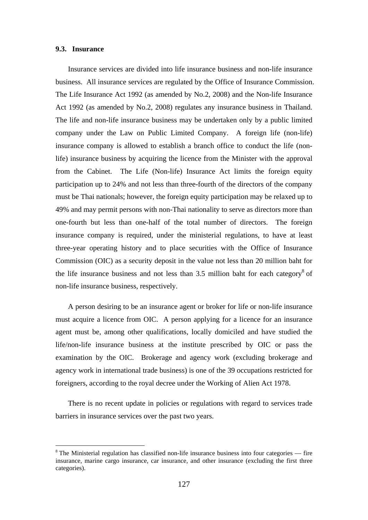# **9.3. Insurance**

l

Insurance services are divided into life insurance business and non-life insurance business. All insurance services are regulated by the Office of Insurance Commission. The Life Insurance Act 1992 (as amended by No.2, 2008) and the Non-life Insurance Act 1992 (as amended by No.2, 2008) regulates any insurance business in Thailand. The life and non-life insurance business may be undertaken only by a public limited company under the Law on Public Limited Company. A foreign life (non-life) insurance company is allowed to establish a branch office to conduct the life (nonlife) insurance business by acquiring the licence from the Minister with the approval from the Cabinet. The Life (Non-life) Insurance Act limits the foreign equity participation up to 24% and not less than three-fourth of the directors of the company must be Thai nationals; however, the foreign equity participation may be relaxed up to 49% and may permit persons with non-Thai nationality to serve as directors more than one-fourth but less than one-half of the total number of directors. The foreign insurance company is required, under the ministerial regulations, to have at least three-year operating history and to place securities with the Office of Insurance Commission (OIC) as a security deposit in the value not less than 20 million baht for the life insurance business and not less than  $3.5$  million baht for each category<sup>8</sup> of non-life insurance business, respectively.

A person desiring to be an insurance agent or broker for life or non-life insurance must acquire a licence from OIC. A person applying for a licence for an insurance agent must be, among other qualifications, locally domiciled and have studied the life/non-life insurance business at the institute prescribed by OIC or pass the examination by the OIC. Brokerage and agency work (excluding brokerage and agency work in international trade business) is one of the 39 occupations restricted for foreigners, according to the royal decree under the Working of Alien Act 1978.

There is no recent update in policies or regulations with regard to services trade barriers in insurance services over the past two years.

 $8$  The Ministerial regulation has classified non-life insurance business into four categories — fire insurance, marine cargo insurance, car insurance, and other insurance (excluding the first three categories).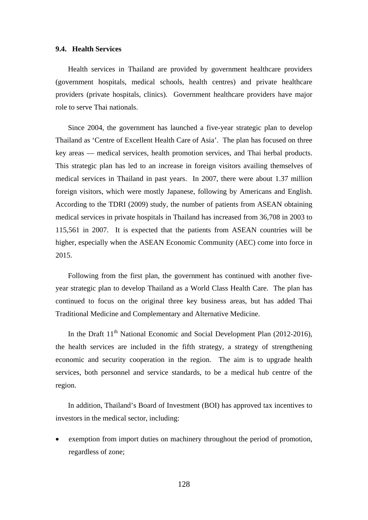## **9.4. Health Services**

Health services in Thailand are provided by government healthcare providers (government hospitals, medical schools, health centres) and private healthcare providers (private hospitals, clinics). Government healthcare providers have major role to serve Thai nationals.

Since 2004, the government has launched a five-year strategic plan to develop Thailand as 'Centre of Excellent Health Care of Asia'. The plan has focused on three key areas — medical services, health promotion services, and Thai herbal products. This strategic plan has led to an increase in foreign visitors availing themselves of medical services in Thailand in past years. In 2007, there were about 1.37 million foreign visitors, which were mostly Japanese, following by Americans and English. According to the TDRI (2009) study, the number of patients from ASEAN obtaining medical services in private hospitals in Thailand has increased from 36,708 in 2003 to 115,561 in 2007. It is expected that the patients from ASEAN countries will be higher, especially when the ASEAN Economic Community (AEC) come into force in 2015.

Following from the first plan, the government has continued with another fiveyear strategic plan to develop Thailand as a World Class Health Care. The plan has continued to focus on the original three key business areas, but has added Thai Traditional Medicine and Complementary and Alternative Medicine.

In the Draft  $11<sup>th</sup>$  National Economic and Social Development Plan (2012-2016), the health services are included in the fifth strategy, a strategy of strengthening economic and security cooperation in the region. The aim is to upgrade health services, both personnel and service standards, to be a medical hub centre of the region.

In addition, Thailand's Board of Investment (BOI) has approved tax incentives to investors in the medical sector, including:

 exemption from import duties on machinery throughout the period of promotion, regardless of zone;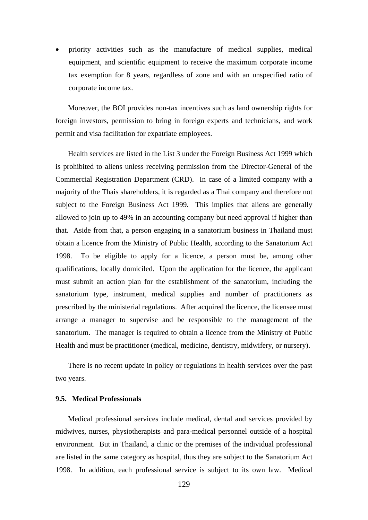priority activities such as the manufacture of medical supplies, medical equipment, and scientific equipment to receive the maximum corporate income tax exemption for 8 years, regardless of zone and with an unspecified ratio of corporate income tax.

Moreover, the BOI provides non-tax incentives such as land ownership rights for foreign investors, permission to bring in foreign experts and technicians, and work permit and visa facilitation for expatriate employees.

Health services are listed in the List 3 under the Foreign Business Act 1999 which is prohibited to aliens unless receiving permission from the Director-General of the Commercial Registration Department (CRD). In case of a limited company with a majority of the Thais shareholders, it is regarded as a Thai company and therefore not subject to the Foreign Business Act 1999. This implies that aliens are generally allowed to join up to 49% in an accounting company but need approval if higher than that. Aside from that, a person engaging in a sanatorium business in Thailand must obtain a licence from the Ministry of Public Health, according to the Sanatorium Act 1998. To be eligible to apply for a licence, a person must be, among other qualifications, locally domiciled. Upon the application for the licence, the applicant must submit an action plan for the establishment of the sanatorium, including the sanatorium type, instrument, medical supplies and number of practitioners as prescribed by the ministerial regulations. After acquired the licence, the licensee must arrange a manager to supervise and be responsible to the management of the sanatorium. The manager is required to obtain a licence from the Ministry of Public Health and must be practitioner (medical, medicine, dentistry, midwifery, or nursery).

There is no recent update in policy or regulations in health services over the past two years.

# **9.5. Medical Professionals**

Medical professional services include medical, dental and services provided by midwives, nurses, physiotherapists and para-medical personnel outside of a hospital environment. But in Thailand, a clinic or the premises of the individual professional are listed in the same category as hospital, thus they are subject to the Sanatorium Act 1998. In addition, each professional service is subject to its own law. Medical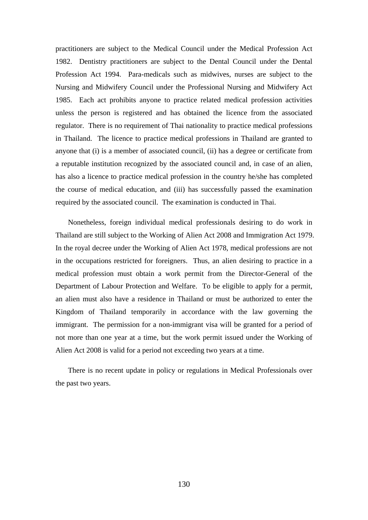practitioners are subject to the Medical Council under the Medical Profession Act 1982. Dentistry practitioners are subject to the Dental Council under the Dental Profession Act 1994. Para-medicals such as midwives, nurses are subject to the Nursing and Midwifery Council under the Professional Nursing and Midwifery Act 1985. Each act prohibits anyone to practice related medical profession activities unless the person is registered and has obtained the licence from the associated regulator. There is no requirement of Thai nationality to practice medical professions in Thailand. The licence to practice medical professions in Thailand are granted to anyone that (i) is a member of associated council, (ii) has a degree or certificate from a reputable institution recognized by the associated council and, in case of an alien, has also a licence to practice medical profession in the country he/she has completed the course of medical education, and (iii) has successfully passed the examination required by the associated council. The examination is conducted in Thai.

Nonetheless, foreign individual medical professionals desiring to do work in Thailand are still subject to the Working of Alien Act 2008 and Immigration Act 1979. In the royal decree under the Working of Alien Act 1978, medical professions are not in the occupations restricted for foreigners. Thus, an alien desiring to practice in a medical profession must obtain a work permit from the Director-General of the Department of Labour Protection and Welfare. To be eligible to apply for a permit, an alien must also have a residence in Thailand or must be authorized to enter the Kingdom of Thailand temporarily in accordance with the law governing the immigrant. The permission for a non-immigrant visa will be granted for a period of not more than one year at a time, but the work permit issued under the Working of Alien Act 2008 is valid for a period not exceeding two years at a time.

There is no recent update in policy or regulations in Medical Professionals over the past two years.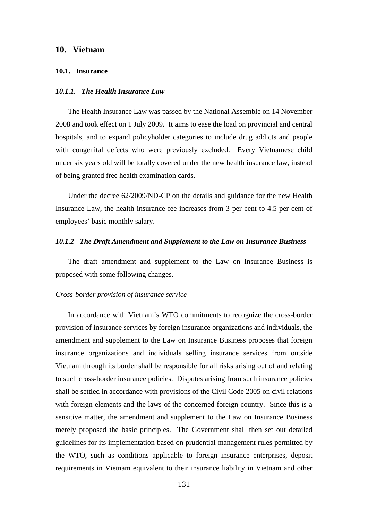# **10. Vietnam**

#### **10.1. Insurance**

# *10.1.1. The Health Insurance Law*

The Health Insurance Law was passed by the National Assemble on 14 November 2008 and took effect on 1 July 2009. It aims to ease the load on provincial and central hospitals, and to expand policyholder categories to include drug addicts and people with congenital defects who were previously excluded. Every Vietnamese child under six years old will be totally covered under the new health insurance law, instead of being granted free health examination cards.

Under the decree 62/2009/ND-CP on the details and guidance for the new Health Insurance Law, the health insurance fee increases from 3 per cent to 4.5 per cent of employees' basic monthly salary.

#### *10.1.2 The Draft Amendment and Supplement to the Law on Insurance Business*

The draft amendment and supplement to the Law on Insurance Business is proposed with some following changes.

#### *Cross-border provision of insurance service*

In accordance with Vietnam's WTO commitments to recognize the cross-border provision of insurance services by foreign insurance organizations and individuals, the amendment and supplement to the Law on Insurance Business proposes that foreign insurance organizations and individuals selling insurance services from outside Vietnam through its border shall be responsible for all risks arising out of and relating to such cross-border insurance policies. Disputes arising from such insurance policies shall be settled in accordance with provisions of the Civil Code 2005 on civil relations with foreign elements and the laws of the concerned foreign country. Since this is a sensitive matter, the amendment and supplement to the Law on Insurance Business merely proposed the basic principles. The Government shall then set out detailed guidelines for its implementation based on prudential management rules permitted by the WTO, such as conditions applicable to foreign insurance enterprises, deposit requirements in Vietnam equivalent to their insurance liability in Vietnam and other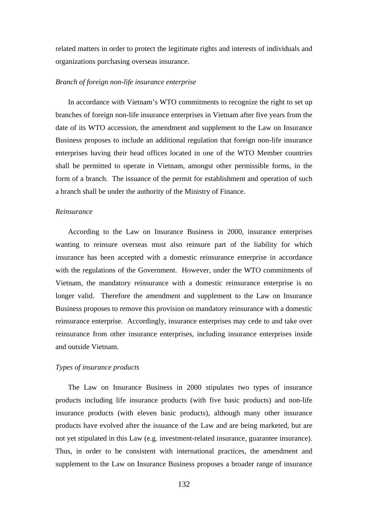related matters in order to protect the legitimate rights and interests of individuals and organizations purchasing overseas insurance.

## *Branch of foreign non-life insurance enterprise*

In accordance with Vietnam's WTO commitments to recognize the right to set up branches of foreign non-life insurance enterprises in Vietnam after five years from the date of its WTO accession, the amendment and supplement to the Law on Insurance Business proposes to include an additional regulation that foreign non-life insurance enterprises having their head offices located in one of the WTO Member countries shall be permitted to operate in Vietnam, amongst other permissible forms, in the form of a branch. The issuance of the permit for establishment and operation of such a branch shall be under the authority of the Ministry of Finance.

## *Reinsurance*

According to the Law on Insurance Business in 2000, insurance enterprises wanting to reinsure overseas must also reinsure part of the liability for which insurance has been accepted with a domestic reinsurance enterprise in accordance with the regulations of the Government. However, under the WTO commitments of Vietnam, the mandatory reinsurance with a domestic reinsurance enterprise is no longer valid. Therefore the amendment and supplement to the Law on Insurance Business proposes to remove this provision on mandatory reinsurance with a domestic reinsurance enterprise. Accordingly, insurance enterprises may cede to and take over reinsurance from other insurance enterprises, including insurance enterprises inside and outside Vietnam.

## *Types of insurance products*

The Law on Insurance Business in 2000 stipulates two types of insurance products including life insurance products (with five basic products) and non-life insurance products (with eleven basic products), although many other insurance products have evolved after the issuance of the Law and are being marketed, but are not yet stipulated in this Law (e.g. investment-related insurance, guarantee insurance). Thus, in order to be consistent with international practices, the amendment and supplement to the Law on Insurance Business proposes a broader range of insurance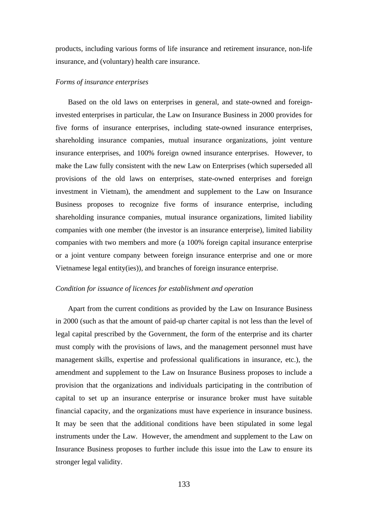products, including various forms of life insurance and retirement insurance, non-life insurance, and (voluntary) health care insurance.

#### *Forms of insurance enterprises*

Based on the old laws on enterprises in general, and state-owned and foreigninvested enterprises in particular, the Law on Insurance Business in 2000 provides for five forms of insurance enterprises, including state-owned insurance enterprises, shareholding insurance companies, mutual insurance organizations, joint venture insurance enterprises, and 100% foreign owned insurance enterprises. However, to make the Law fully consistent with the new Law on Enterprises (which superseded all provisions of the old laws on enterprises, state-owned enterprises and foreign investment in Vietnam), the amendment and supplement to the Law on Insurance Business proposes to recognize five forms of insurance enterprise, including shareholding insurance companies, mutual insurance organizations, limited liability companies with one member (the investor is an insurance enterprise), limited liability companies with two members and more (a 100% foreign capital insurance enterprise or a joint venture company between foreign insurance enterprise and one or more Vietnamese legal entity(ies)), and branches of foreign insurance enterprise.

# *Condition for issuance of licences for establishment and operation*

Apart from the current conditions as provided by the Law on Insurance Business in 2000 (such as that the amount of paid-up charter capital is not less than the level of legal capital prescribed by the Government, the form of the enterprise and its charter must comply with the provisions of laws, and the management personnel must have management skills, expertise and professional qualifications in insurance, etc.), the amendment and supplement to the Law on Insurance Business proposes to include a provision that the organizations and individuals participating in the contribution of capital to set up an insurance enterprise or insurance broker must have suitable financial capacity, and the organizations must have experience in insurance business. It may be seen that the additional conditions have been stipulated in some legal instruments under the Law. However, the amendment and supplement to the Law on Insurance Business proposes to further include this issue into the Law to ensure its stronger legal validity.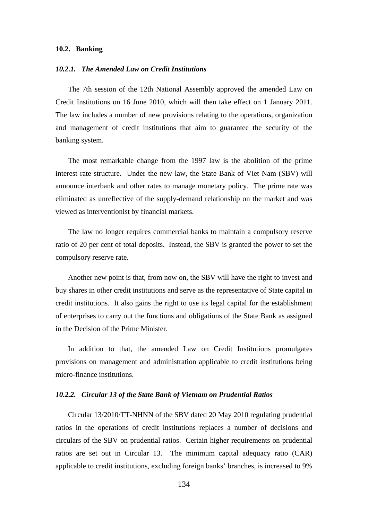#### **10.2. Banking**

# *10.2.1. The Amended Law on Credit Institutions*

The 7th session of the 12th National Assembly approved the amended Law on Credit Institutions on 16 June 2010, which will then take effect on 1 January 2011. The law includes a number of new provisions relating to the operations, organization and management of credit institutions that aim to guarantee the security of the banking system.

The most remarkable change from the 1997 law is the abolition of the prime interest rate structure. Under the new law, the State Bank of Viet Nam (SBV) will announce interbank and other rates to manage monetary policy. The prime rate was eliminated as unreflective of the supply-demand relationship on the market and was viewed as interventionist by financial markets.

The law no longer requires commercial banks to maintain a compulsory reserve ratio of 20 per cent of total deposits. Instead, the SBV is granted the power to set the compulsory reserve rate.

Another new point is that, from now on, the SBV will have the right to invest and buy shares in other credit institutions and serve as the representative of State capital in credit institutions. It also gains the right to use its legal capital for the establishment of enterprises to carry out the functions and obligations of the State Bank as assigned in the Decision of the Prime Minister.

In addition to that, the amended Law on Credit Institutions promulgates provisions on management and administration applicable to credit institutions being micro-finance institutions.

#### *10.2.2. Circular 13 of the State Bank of Vietnam on Prudential Ratios*

Circular 13/2010/TT-NHNN of the SBV dated 20 May 2010 regulating prudential ratios in the operations of credit institutions replaces a number of decisions and circulars of the SBV on prudential ratios. Certain higher requirements on prudential ratios are set out in Circular 13. The minimum capital adequacy ratio (CAR) applicable to credit institutions, excluding foreign banks' branches, is increased to 9%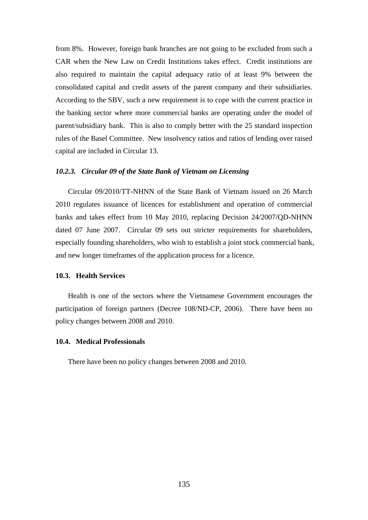from 8%. However, foreign bank branches are not going to be excluded from such a CAR when the New Law on Credit Institutions takes effect. Credit institutions are also required to maintain the capital adequacy ratio of at least 9% between the consolidated capital and credit assets of the parent company and their subsidiaries. According to the SBV, such a new requirement is to cope with the current practice in the banking sector where more commercial banks are operating under the model of parent/subsidiary bank. This is also to comply better with the 25 standard inspection rules of the Basel Committee. New insolvency ratios and ratios of lending over raised capital are included in Circular 13.

# *10.2.3. Circular 09 of the State Bank of Vietnam on Licensing*

Circular 09/2010/TT-NHNN of the State Bank of Vietnam issued on 26 March 2010 regulates issuance of licences for establishment and operation of commercial banks and takes effect from 10 May 2010, replacing Decision 24/2007/QD-NHNN dated 07 June 2007. Circular 09 sets out stricter requirements for shareholders, especially founding shareholders, who wish to establish a joint stock commercial bank, and new longer timeframes of the application process for a licence.

## **10.3. Health Services**

Health is one of the sectors where the Vietnamese Government encourages the participation of foreign partners (Decree 108/ND-CP, 2006). There have been no policy changes between 2008 and 2010.

# **10.4. Medical Professionals**

There have been no policy changes between 2008 and 2010.